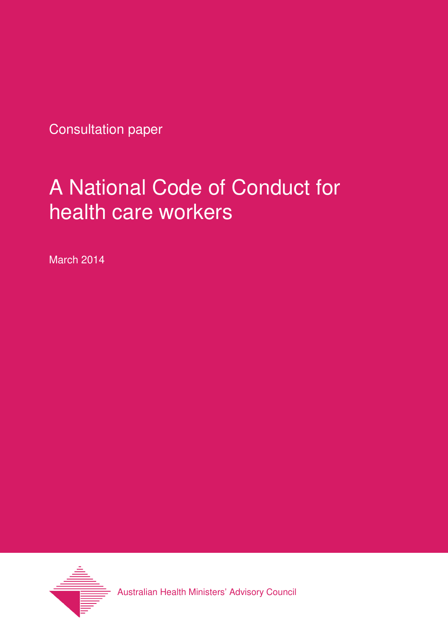Consultation paper

# A National Code of Conduct for health care workers

March 2014



Australian Health Ministers' Advisory Council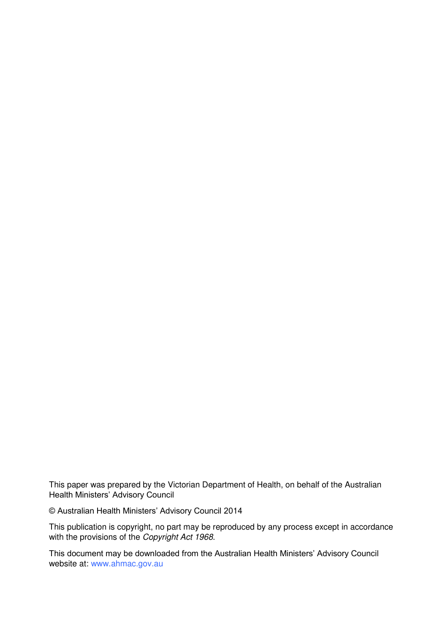This paper was prepared by the Victorian Department of Health, on behalf of the Australian Health Ministers' Advisory Council

© Australian Health Ministers' Advisory Council 2014

This publication is copyright, no part may be reproduced by any process except in accordance with the provisions of the *Copyright Act 1968*.

This document may be downloaded from the Australian Health Ministers' Advisory Council website at: [www.ahmac.gov.au](http://www.ahmac.gov.au/)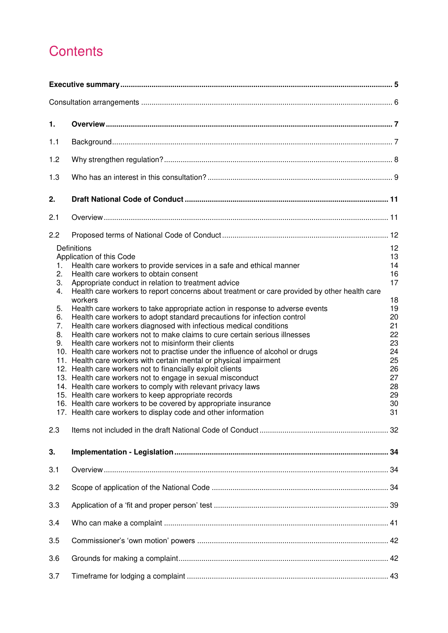## **Contents**

| 1.                                                        |                                                                                                                                                                                                                                                                                                                                                                                                                                                                                                                                                                                                                                                                                                                                                                                                                                                                                                                                                                                                                                                                                                                                                                                                                                            |                                                                                                                |
|-----------------------------------------------------------|--------------------------------------------------------------------------------------------------------------------------------------------------------------------------------------------------------------------------------------------------------------------------------------------------------------------------------------------------------------------------------------------------------------------------------------------------------------------------------------------------------------------------------------------------------------------------------------------------------------------------------------------------------------------------------------------------------------------------------------------------------------------------------------------------------------------------------------------------------------------------------------------------------------------------------------------------------------------------------------------------------------------------------------------------------------------------------------------------------------------------------------------------------------------------------------------------------------------------------------------|----------------------------------------------------------------------------------------------------------------|
| 1.1                                                       |                                                                                                                                                                                                                                                                                                                                                                                                                                                                                                                                                                                                                                                                                                                                                                                                                                                                                                                                                                                                                                                                                                                                                                                                                                            |                                                                                                                |
| 1.2                                                       |                                                                                                                                                                                                                                                                                                                                                                                                                                                                                                                                                                                                                                                                                                                                                                                                                                                                                                                                                                                                                                                                                                                                                                                                                                            |                                                                                                                |
| 1.3                                                       |                                                                                                                                                                                                                                                                                                                                                                                                                                                                                                                                                                                                                                                                                                                                                                                                                                                                                                                                                                                                                                                                                                                                                                                                                                            |                                                                                                                |
| 2.                                                        |                                                                                                                                                                                                                                                                                                                                                                                                                                                                                                                                                                                                                                                                                                                                                                                                                                                                                                                                                                                                                                                                                                                                                                                                                                            |                                                                                                                |
| 2.1                                                       |                                                                                                                                                                                                                                                                                                                                                                                                                                                                                                                                                                                                                                                                                                                                                                                                                                                                                                                                                                                                                                                                                                                                                                                                                                            |                                                                                                                |
| 2.2                                                       |                                                                                                                                                                                                                                                                                                                                                                                                                                                                                                                                                                                                                                                                                                                                                                                                                                                                                                                                                                                                                                                                                                                                                                                                                                            |                                                                                                                |
| 1.<br>2.<br>3.<br>4.<br>5.<br>6.<br>7.<br>8.<br>9.<br>2.3 | Definitions<br>Application of this Code<br>Health care workers to provide services in a safe and ethical manner<br>Health care workers to obtain consent<br>Appropriate conduct in relation to treatment advice<br>Health care workers to report concerns about treatment or care provided by other health care<br>workers<br>Health care workers to take appropriate action in response to adverse events<br>Health care workers to adopt standard precautions for infection control<br>Health care workers diagnosed with infectious medical conditions<br>Health care workers not to make claims to cure certain serious illnesses<br>Health care workers not to misinform their clients<br>10. Health care workers not to practise under the influence of alcohol or drugs<br>11. Health care workers with certain mental or physical impairment<br>12. Health care workers not to financially exploit clients<br>13. Health care workers not to engage in sexual misconduct<br>14. Health care workers to comply with relevant privacy laws<br>15. Health care workers to keep appropriate records<br>16. Health care workers to be covered by appropriate insurance<br>17. Health care workers to display code and other information | 12<br>13<br>14<br>16<br>17<br>18<br>19<br>20<br>21<br>22<br>23<br>24<br>25<br>26<br>27<br>28<br>29<br>30<br>31 |
| 3.                                                        |                                                                                                                                                                                                                                                                                                                                                                                                                                                                                                                                                                                                                                                                                                                                                                                                                                                                                                                                                                                                                                                                                                                                                                                                                                            |                                                                                                                |
| 3.1                                                       |                                                                                                                                                                                                                                                                                                                                                                                                                                                                                                                                                                                                                                                                                                                                                                                                                                                                                                                                                                                                                                                                                                                                                                                                                                            |                                                                                                                |
| 3.2                                                       |                                                                                                                                                                                                                                                                                                                                                                                                                                                                                                                                                                                                                                                                                                                                                                                                                                                                                                                                                                                                                                                                                                                                                                                                                                            |                                                                                                                |
| 3.3                                                       |                                                                                                                                                                                                                                                                                                                                                                                                                                                                                                                                                                                                                                                                                                                                                                                                                                                                                                                                                                                                                                                                                                                                                                                                                                            |                                                                                                                |
| 3.4                                                       |                                                                                                                                                                                                                                                                                                                                                                                                                                                                                                                                                                                                                                                                                                                                                                                                                                                                                                                                                                                                                                                                                                                                                                                                                                            |                                                                                                                |
| 3.5                                                       |                                                                                                                                                                                                                                                                                                                                                                                                                                                                                                                                                                                                                                                                                                                                                                                                                                                                                                                                                                                                                                                                                                                                                                                                                                            |                                                                                                                |
| 3.6                                                       |                                                                                                                                                                                                                                                                                                                                                                                                                                                                                                                                                                                                                                                                                                                                                                                                                                                                                                                                                                                                                                                                                                                                                                                                                                            |                                                                                                                |
| 3.7                                                       |                                                                                                                                                                                                                                                                                                                                                                                                                                                                                                                                                                                                                                                                                                                                                                                                                                                                                                                                                                                                                                                                                                                                                                                                                                            |                                                                                                                |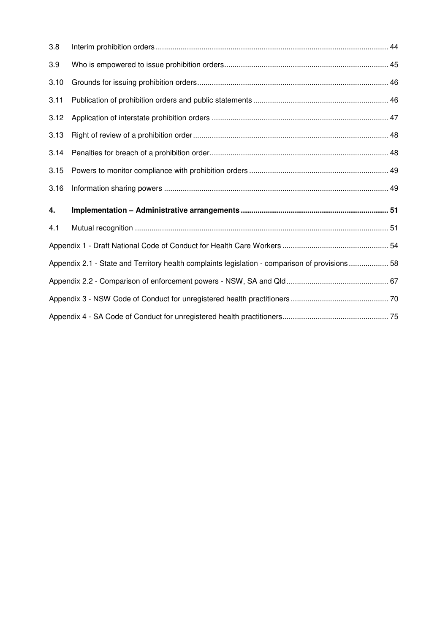| 3.8  |                                                                                                |  |  |
|------|------------------------------------------------------------------------------------------------|--|--|
| 3.9  |                                                                                                |  |  |
| 3.10 |                                                                                                |  |  |
| 3.11 |                                                                                                |  |  |
| 3.12 |                                                                                                |  |  |
| 3.13 |                                                                                                |  |  |
| 3.14 |                                                                                                |  |  |
| 3.15 |                                                                                                |  |  |
| 3.16 |                                                                                                |  |  |
| 4.   |                                                                                                |  |  |
| 4.1  |                                                                                                |  |  |
|      |                                                                                                |  |  |
|      | Appendix 2.1 - State and Territory health complaints legislation - comparison of provisions 58 |  |  |
|      |                                                                                                |  |  |
|      |                                                                                                |  |  |
|      |                                                                                                |  |  |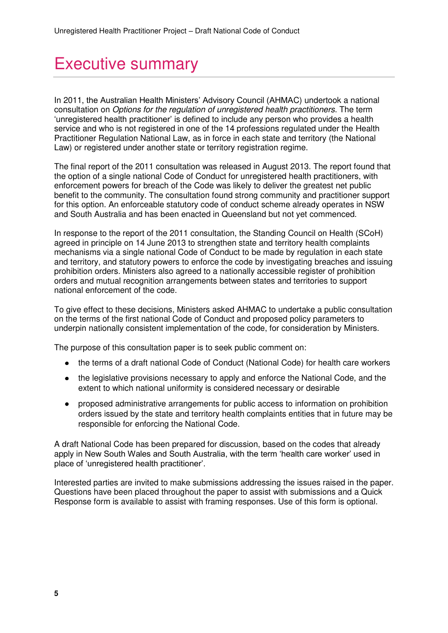## <span id="page-4-0"></span>Executive summary

In 2011, the Australian Health Ministers' Advisory Council (AHMAC) undertook a national consultation on *Options for the regulation of unregistered health practitioners*. The term 'unregistered health practitioner' is defined to include any person who provides a health service and who is not registered in one of the 14 professions regulated under the Health Practitioner Regulation National Law, as in force in each state and territory (the National Law) or registered under another state or territory registration regime.

The final report of the 2011 consultation was released in August 2013. The report found that the option of a single national Code of Conduct for unregistered health practitioners, with enforcement powers for breach of the Code was likely to deliver the greatest net public benefit to the community. The consultation found strong community and practitioner support for this option. An enforceable statutory code of conduct scheme already operates in NSW and South Australia and has been enacted in Queensland but not yet commenced.

In response to the report of the 2011 consultation, the Standing Council on Health (SCoH) agreed in principle on 14 June 2013 to strengthen state and territory health complaints mechanisms via a single national Code of Conduct to be made by regulation in each state and territory, and statutory powers to enforce the code by investigating breaches and issuing prohibition orders. Ministers also agreed to a nationally accessible register of prohibition orders and mutual recognition arrangements between states and territories to support national enforcement of the code.

To give effect to these decisions, Ministers asked AHMAC to undertake a public consultation on the terms of the first national Code of Conduct and proposed policy parameters to underpin nationally consistent implementation of the code, for consideration by Ministers.

The purpose of this consultation paper is to seek public comment on:

- the terms of a draft national Code of Conduct (National Code) for health care workers
- the legislative provisions necessary to apply and enforce the National Code, and the extent to which national uniformity is considered necessary or desirable
- proposed administrative arrangements for public access to information on prohibition orders issued by the state and territory health complaints entities that in future may be responsible for enforcing the National Code.

A draft National Code has been prepared for discussion, based on the codes that already apply in New South Wales and South Australia, with the term 'health care worker' used in place of 'unregistered health practitioner'.

Interested parties are invited to make submissions addressing the issues raised in the paper. Questions have been placed throughout the paper to assist with submissions and a Quick Response form is available to assist with framing responses. Use of this form is optional.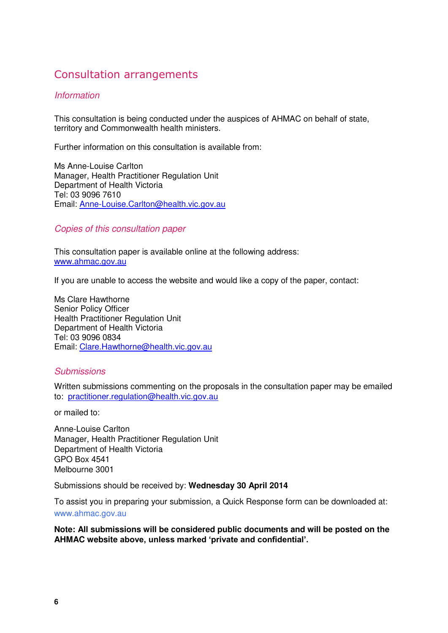### <span id="page-5-0"></span>Consultation arrangements

#### *Information*

This consultation is being conducted under the auspices of AHMAC on behalf of state, territory and Commonwealth health ministers.

Further information on this consultation is available from:

Ms Anne-Louise Carlton Manager, Health Practitioner Regulation Unit Department of Health Victoria Tel: 03 9096 7610 Email: [Anne-Louise.Carlton@health.vic.gov.au](mailto:Anne-Louise.Carlton@health.vic.gov.au)

#### *Copies of this consultation paper*

This consultation paper is available online at the following address: [www.ahmac.gov.au](http://www.ahmac.gov.au/)

If you are unable to access the website and would like a copy of the paper, contact:

Ms Clare Hawthorne Senior Policy Officer Health Practitioner Regulation Unit Department of Health Victoria Tel: 03 9096 0834 Email: [Clare.Hawthorne@health.vic.gov.au](mailto:Clare.Hawthorne@health.vic.gov.au)

#### *Submissions*

Written submissions commenting on the proposals in the consultation paper may be emailed to: [practitioner.regulation@health.vic.gov.au](mailto:practitioner.regulation@health.vic.gov.au) 

or mailed to:

Anne-Louise Carlton Manager, Health Practitioner Regulation Unit Department of Health Victoria GPO Box 4541 Melbourne 3001

Submissions should be received by: **Wednesday 30 April 2014**

To assist you in preparing your submission, a Quick Response form can be downloaded at: [www.ahmac.gov.au](http://www.ahmac.gov.au/) 

**Note: All submissions will be considered public documents and will be posted on the AHMAC website above, unless marked 'private and confidential'.**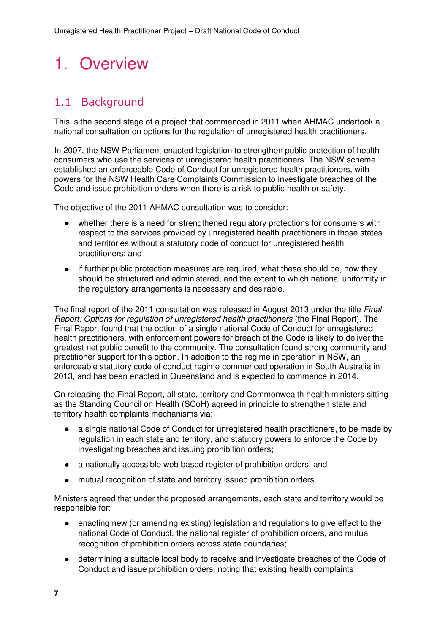# <span id="page-6-0"></span>1. Overview

## <span id="page-6-1"></span>1.1 Background

This is the second stage of a project that commenced in 2011 when AHMAC undertook a national consultation on options for the regulation of unregistered health practitioners.

In 2007, the NSW Parliament enacted legislation to strengthen public protection of health consumers who use the services of unregistered health practitioners. The NSW scheme established an enforceable Code of Conduct for unregistered health practitioners, with powers for the NSW Health Care Complaints Commission to investigate breaches of the Code and issue prohibition orders when there is a risk to public health or safety.

The objective of the 2011 AHMAC consultation was to consider:

- whether there is a need for strengthened regulatory protections for consumers with respect to the services provided by unregistered health practitioners in those states and territories without a statutory code of conduct for unregistered health practitioners; and
- if further public protection measures are required, what these should be, how they should be structured and administered, and the extent to which national uniformity in the regulatory arrangements is necessary and desirable.

The final report of the 2011 consultation was released in August 2013 under the title *Final Report: Options for regulation of unregistered health practitioners* (the Final Report). The Final Report found that the option of a single national Code of Conduct for unregistered health practitioners, with enforcement powers for breach of the Code is likely to deliver the greatest net public benefit to the community. The consultation found strong community and practitioner support for this option. In addition to the regime in operation in NSW, an enforceable statutory code of conduct regime commenced operation in South Australia in 2013, and has been enacted in Queensland and is expected to commence in 2014.

On releasing the Final Report, all state, territory and Commonwealth health ministers sitting as the Standing Council on Health (SCoH) agreed in principle to strengthen state and territory health complaints mechanisms via:

- a single national Code of Conduct for unregistered health practitioners, to be made by regulation in each state and territory, and statutory powers to enforce the Code by investigating breaches and issuing prohibition orders:
- a nationally accessible web based register of prohibition orders; and
- mutual recognition of state and territory issued prohibition orders.

Ministers agreed that under the proposed arrangements, each state and territory would be responsible for:

- $\bullet$ enacting new (or amending existing) legislation and regulations to give effect to the national Code of Conduct, the national register of prohibition orders, and mutual recognition of prohibition orders across state boundaries;
- determining a suitable local body to receive and investigate breaches of the Code of Conduct and issue prohibition orders, noting that existing health complaints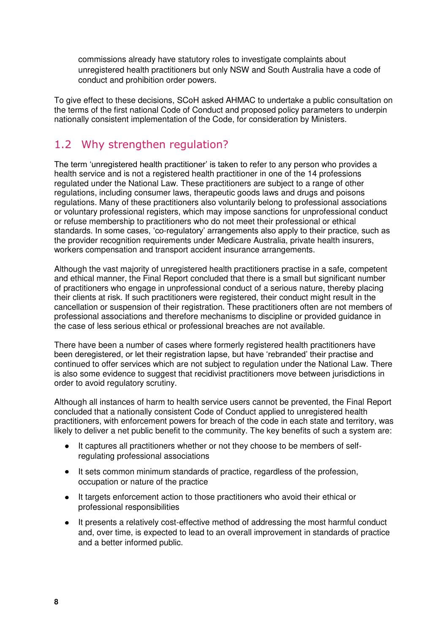commissions already have statutory roles to investigate complaints about unregistered health practitioners but only NSW and South Australia have a code of conduct and prohibition order powers.

To give effect to these decisions, SCoH asked AHMAC to undertake a public consultation on the terms of the first national Code of Conduct and proposed policy parameters to underpin nationally consistent implementation of the Code, for consideration by Ministers.

### <span id="page-7-0"></span>1.2 Why strengthen regulation?

The term 'unregistered health practitioner' is taken to refer to any person who provides a health service and is not a registered health practitioner in one of the 14 professions regulated under the National Law. These practitioners are subject to a range of other regulations, including consumer laws, therapeutic goods laws and drugs and poisons regulations. Many of these practitioners also voluntarily belong to professional associations or voluntary professional registers, which may impose sanctions for unprofessional conduct or refuse membership to practitioners who do not meet their professional or ethical standards. In some cases, 'co-regulatory' arrangements also apply to their practice, such as the provider recognition requirements under Medicare Australia, private health insurers, workers compensation and transport accident insurance arrangements.

Although the vast majority of unregistered health practitioners practise in a safe, competent and ethical manner, the Final Report concluded that there is a small but significant number of practitioners who engage in unprofessional conduct of a serious nature, thereby placing their clients at risk. If such practitioners were registered, their conduct might result in the cancellation or suspension of their registration. These practitioners often are not members of professional associations and therefore mechanisms to discipline or provided guidance in the case of less serious ethical or professional breaches are not available.

There have been a number of cases where formerly registered health practitioners have been deregistered, or let their registration lapse, but have 'rebranded' their practise and continued to offer services which are not subject to regulation under the National Law. There is also some evidence to suggest that recidivist practitioners move between jurisdictions in order to avoid regulatory scrutiny.

Although all instances of harm to health service users cannot be prevented, the Final Report concluded that a nationally consistent Code of Conduct applied to unregistered health practitioners, with enforcement powers for breach of the code in each state and territory, was likely to deliver a net public benefit to the community. The key benefits of such a system are:

- It captures all practitioners whether or not they choose to be members of selfregulating professional associations
- It sets common minimum standards of practice, regardless of the profession, occupation or nature of the practice
- It targets enforcement action to those practitioners who avoid their ethical or professional responsibilities
- It presents a relatively cost-effective method of addressing the most harmful conduct and, over time, is expected to lead to an overall improvement in standards of practice and a better informed public.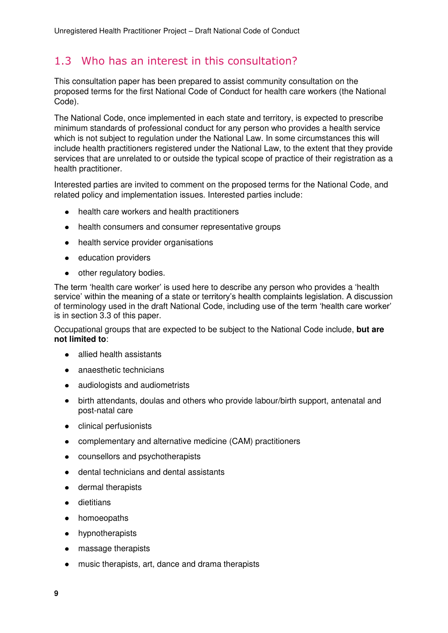### <span id="page-8-0"></span>1.3 Who has an interest in this consultation?

This consultation paper has been prepared to assist community consultation on the proposed terms for the first National Code of Conduct for health care workers (the National Code).

The National Code, once implemented in each state and territory, is expected to prescribe minimum standards of professional conduct for any person who provides a health service which is not subject to regulation under the National Law. In some circumstances this will include health practitioners registered under the National Law, to the extent that they provide services that are unrelated to or outside the typical scope of practice of their registration as a health practitioner.

Interested parties are invited to comment on the proposed terms for the National Code, and related policy and implementation issues. Interested parties include:

- health care workers and health practitioners
- health consumers and consumer representative groups
- health service provider organisations  $\bullet$
- education providers  $\bullet$
- other regulatory bodies.

The term 'health care worker' is used here to describe any person who provides a 'health service' within the meaning of a state or territory's health complaints legislation. A discussion of terminology used in the draft National Code, including use of the term 'health care worker' is in section 3.3 of this paper.

Occupational groups that are expected to be subject to the National Code include, **but are not limited to**:

- allied health assistants
- anaesthetic technicians  $\blacksquare$
- audiologists and audiometrists  $\bullet$
- birth attendants, doulas and others who provide labour/birth support, antenatal and  $\bullet$ post-natal care
- clinical perfusionists
- complementary and alternative medicine (CAM) practitioners
- counsellors and psychotherapists
- dental technicians and dental assistants
- dermal therapists
- dietitians
- homoeopaths  $\bullet$
- hypnotherapists
- massage therapists
- music therapists, art, dance and drama therapists  $\bullet$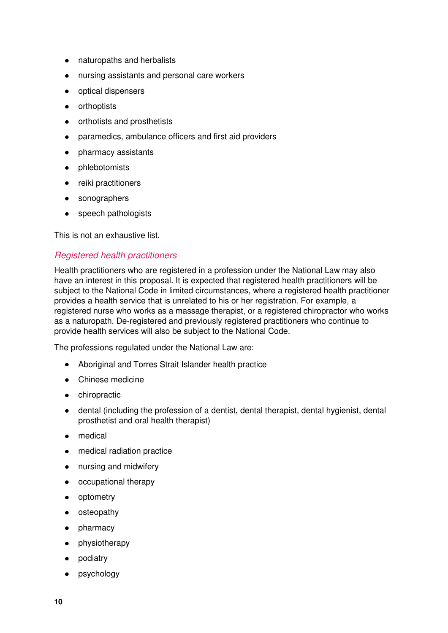- naturopaths and herbalists  $\bullet$
- nursing assistants and personal care workers
- optical dispensers
- orthoptists
- orthotists and prosthetists  $\bullet$
- paramedics, ambulance officers and first aid providers
- pharmacy assistants
- phlebotomists  $\bullet$
- reiki practitioners  $\bullet$
- sonographers
- speech pathologists

This is not an exhaustive list.

#### *Registered health practitioners*

Health practitioners who are registered in a profession under the National Law may also have an interest in this proposal. It is expected that registered health practitioners will be subject to the National Code in limited circumstances, where a registered health practitioner provides a health service that is unrelated to his or her registration. For example, a registered nurse who works as a massage therapist, or a registered chiropractor who works as a naturopath. De-registered and previously registered practitioners who continue to provide health services will also be subject to the National Code.

The professions regulated under the National Law are:

- Aboriginal and Torres Strait Islander health practice
- Chinese medicine
- chiropractic
- dental (including the profession of a dentist, dental therapist, dental hygienist, dental  $\bullet$ prosthetist and oral health therapist)
- medical  $\bullet$
- medical radiation practice
- nursing and midwifery
- occupational therapy
- optometry  $\bullet$
- osteopathy
- pharmacy  $\bullet$
- physiotherapy  $\bullet$
- podiatry  $\bullet$
- psychology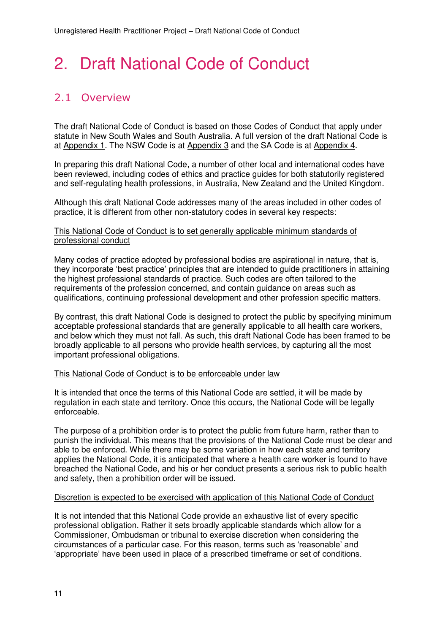## <span id="page-10-0"></span>2. Draft National Code of Conduct

## <span id="page-10-1"></span>2.1 Overview

The draft National Code of Conduct is based on those Codes of Conduct that apply under statute in New South Wales and South Australia. A full version of the draft National Code is at Appendix 1. The NSW Code is at Appendix 3 and the SA Code is at Appendix 4.

In preparing this draft National Code, a number of other local and international codes have been reviewed, including codes of ethics and practice guides for both statutorily registered and self-regulating health professions, in Australia, New Zealand and the United Kingdom.

Although this draft National Code addresses many of the areas included in other codes of practice, it is different from other non-statutory codes in several key respects:

#### This National Code of Conduct is to set generally applicable minimum standards of professional conduct

Many codes of practice adopted by professional bodies are aspirational in nature, that is, they incorporate 'best practice' principles that are intended to guide practitioners in attaining the highest professional standards of practice. Such codes are often tailored to the requirements of the profession concerned, and contain guidance on areas such as qualifications, continuing professional development and other profession specific matters.

By contrast, this draft National Code is designed to protect the public by specifying minimum acceptable professional standards that are generally applicable to all health care workers, and below which they must not fall. As such, this draft National Code has been framed to be broadly applicable to all persons who provide health services, by capturing all the most important professional obligations.

#### This National Code of Conduct is to be enforceable under law

It is intended that once the terms of this National Code are settled, it will be made by regulation in each state and territory. Once this occurs, the National Code will be legally enforceable.

The purpose of a prohibition order is to protect the public from future harm, rather than to punish the individual. This means that the provisions of the National Code must be clear and able to be enforced. While there may be some variation in how each state and territory applies the National Code, it is anticipated that where a health care worker is found to have breached the National Code, and his or her conduct presents a serious risk to public health and safety, then a prohibition order will be issued.

#### Discretion is expected to be exercised with application of this National Code of Conduct

It is not intended that this National Code provide an exhaustive list of every specific professional obligation. Rather it sets broadly applicable standards which allow for a Commissioner, Ombudsman or tribunal to exercise discretion when considering the circumstances of a particular case. For this reason, terms such as 'reasonable' and 'appropriate' have been used in place of a prescribed timeframe or set of conditions.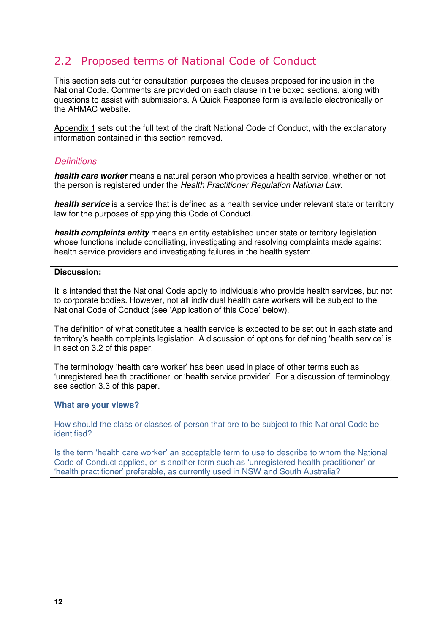## <span id="page-11-0"></span>2.2 Proposed terms of National Code of Conduct

This section sets out for consultation purposes the clauses proposed for inclusion in the National Code. Comments are provided on each clause in the boxed sections, along with questions to assist with submissions. A Quick Response form is available electronically on the AHMAC website.

Appendix 1 sets out the full text of the draft National Code of Conduct, with the explanatory information contained in this section removed.

#### <span id="page-11-1"></span>*Definitions*

*health care worker* means a natural person who provides a health service, whether or not the person is registered under the *Health Practitioner Regulation National Law*.

*health service* is a service that is defined as a health service under relevant state or territory law for the purposes of applying this Code of Conduct.

*health complaints entity* means an entity established under state or territory legislation whose functions include conciliating, investigating and resolving complaints made against health service providers and investigating failures in the health system.

#### **Discussion:**

It is intended that the National Code apply to individuals who provide health services, but not to corporate bodies. However, not all individual health care workers will be subject to the National Code of Conduct (see 'Application of this Code' below).

The definition of what constitutes a health service is expected to be set out in each state and territory's health complaints legislation. A discussion of options for defining 'health service' is in section 3.2 of this paper.

The terminology 'health care worker' has been used in place of other terms such as 'unregistered health practitioner' or 'health service provider'. For a discussion of terminology, see section 3.3 of this paper.

#### **What are your views?**

How should the class or classes of person that are to be subject to this National Code be identified?

Is the term 'health care worker' an acceptable term to use to describe to whom the National Code of Conduct applies, or is another term such as 'unregistered health practitioner' or 'health practitioner' preferable, as currently used in NSW and South Australia?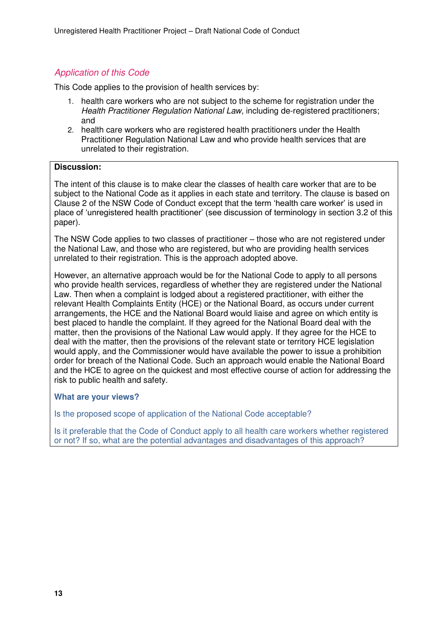#### <span id="page-12-0"></span>*Application of this Code*

This Code applies to the provision of health services by:

- 1. health care workers who are not subject to the scheme for registration under the *Health Practitioner Regulation National Law*, including de-registered practitioners; and
- 2. health care workers who are registered health practitioners under the Health Practitioner Regulation National Law and who provide health services that are unrelated to their registration.

#### **Discussion:**

The intent of this clause is to make clear the classes of health care worker that are to be subject to the National Code as it applies in each state and territory. The clause is based on Clause 2 of the NSW Code of Conduct except that the term 'health care worker' is used in place of 'unregistered health practitioner' (see discussion of terminology in section 3.2 of this paper).

The NSW Code applies to two classes of practitioner – those who are not registered under the National Law, and those who are registered, but who are providing health services unrelated to their registration. This is the approach adopted above.

However, an alternative approach would be for the National Code to apply to all persons who provide health services, regardless of whether they are registered under the National Law. Then when a complaint is lodged about a registered practitioner, with either the relevant Health Complaints Entity (HCE) or the National Board, as occurs under current arrangements, the HCE and the National Board would liaise and agree on which entity is best placed to handle the complaint. If they agreed for the National Board deal with the matter, then the provisions of the National Law would apply. If they agree for the HCE to deal with the matter, then the provisions of the relevant state or territory HCE legislation would apply, and the Commissioner would have available the power to issue a prohibition order for breach of the National Code. Such an approach would enable the National Board and the HCE to agree on the quickest and most effective course of action for addressing the risk to public health and safety.

#### **What are your views?**

Is the proposed scope of application of the National Code acceptable?

Is it preferable that the Code of Conduct apply to all health care workers whether registered or not? If so, what are the potential advantages and disadvantages of this approach?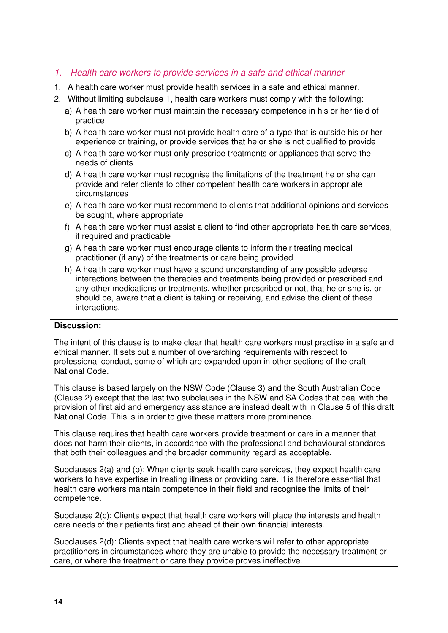#### <span id="page-13-0"></span>*1. Health care workers to provide services in a safe and ethical manner*

- 1. A health care worker must provide health services in a safe and ethical manner.
- 2. Without limiting subclause 1, health care workers must comply with the following:
	- a) A health care worker must maintain the necessary competence in his or her field of practice
	- b) A health care worker must not provide health care of a type that is outside his or her experience or training, or provide services that he or she is not qualified to provide
	- c) A health care worker must only prescribe treatments or appliances that serve the needs of clients
	- d) A health care worker must recognise the limitations of the treatment he or she can provide and refer clients to other competent health care workers in appropriate circumstances
	- e) A health care worker must recommend to clients that additional opinions and services be sought, where appropriate
	- f) A health care worker must assist a client to find other appropriate health care services, if required and practicable
	- g) A health care worker must encourage clients to inform their treating medical practitioner (if any) of the treatments or care being provided
	- h) A health care worker must have a sound understanding of any possible adverse interactions between the therapies and treatments being provided or prescribed and any other medications or treatments, whether prescribed or not, that he or she is, or should be, aware that a client is taking or receiving, and advise the client of these interactions.

#### **Discussion:**

The intent of this clause is to make clear that health care workers must practise in a safe and ethical manner. It sets out a number of overarching requirements with respect to professional conduct, some of which are expanded upon in other sections of the draft National Code.

This clause is based largely on the NSW Code (Clause 3) and the South Australian Code (Clause 2) except that the last two subclauses in the NSW and SA Codes that deal with the provision of first aid and emergency assistance are instead dealt with in Clause 5 of this draft National Code. This is in order to give these matters more prominence.

This clause requires that health care workers provide treatment or care in a manner that does not harm their clients, in accordance with the professional and behavioural standards that both their colleagues and the broader community regard as acceptable.

Subclauses 2(a) and (b): When clients seek health care services, they expect health care workers to have expertise in treating illness or providing care. It is therefore essential that health care workers maintain competence in their field and recognise the limits of their competence.

Subclause 2(c): Clients expect that health care workers will place the interests and health care needs of their patients first and ahead of their own financial interests.

Subclauses 2(d): Clients expect that health care workers will refer to other appropriate practitioners in circumstances where they are unable to provide the necessary treatment or care, or where the treatment or care they provide proves ineffective.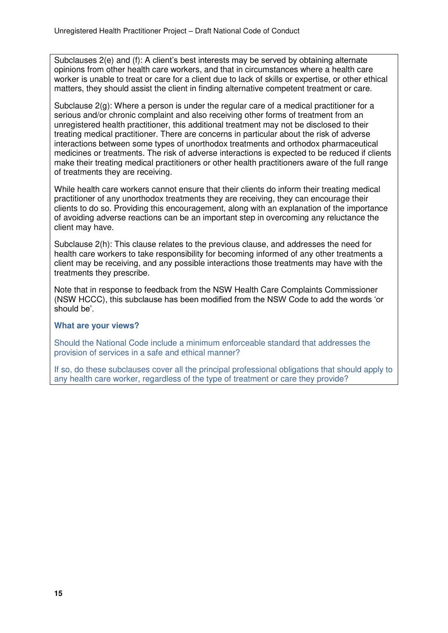Subclauses 2(e) and (f): A client's best interests may be served by obtaining alternate opinions from other health care workers, and that in circumstances where a health care worker is unable to treat or care for a client due to lack of skills or expertise, or other ethical matters, they should assist the client in finding alternative competent treatment or care.

Subclause 2(g): Where a person is under the regular care of a medical practitioner for a serious and/or chronic complaint and also receiving other forms of treatment from an unregistered health practitioner, this additional treatment may not be disclosed to their treating medical practitioner. There are concerns in particular about the risk of adverse interactions between some types of unorthodox treatments and orthodox pharmaceutical medicines or treatments. The risk of adverse interactions is expected to be reduced if clients make their treating medical practitioners or other health practitioners aware of the full range of treatments they are receiving.

While health care workers cannot ensure that their clients do inform their treating medical practitioner of any unorthodox treatments they are receiving, they can encourage their clients to do so. Providing this encouragement, along with an explanation of the importance of avoiding adverse reactions can be an important step in overcoming any reluctance the client may have.

Subclause 2(h): This clause relates to the previous clause, and addresses the need for health care workers to take responsibility for becoming informed of any other treatments a client may be receiving, and any possible interactions those treatments may have with the treatments they prescribe.

Note that in response to feedback from the NSW Health Care Complaints Commissioner (NSW HCCC), this subclause has been modified from the NSW Code to add the words 'or should be'.

#### **What are your views?**

Should the National Code include a minimum enforceable standard that addresses the provision of services in a safe and ethical manner?

If so, do these subclauses cover all the principal professional obligations that should apply to any health care worker, regardless of the type of treatment or care they provide?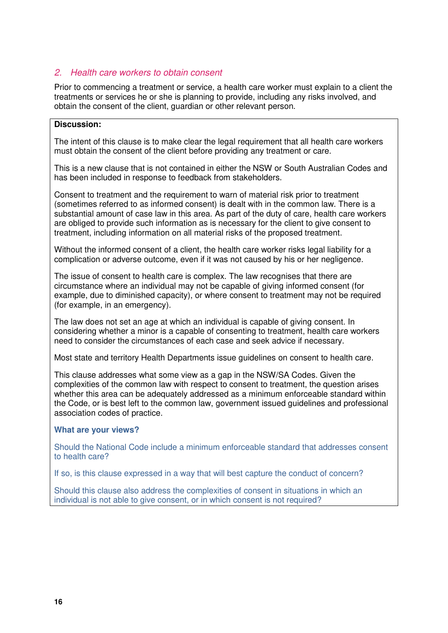#### <span id="page-15-0"></span>*2. Health care workers to obtain consent*

Prior to commencing a treatment or service, a health care worker must explain to a client the treatments or services he or she is planning to provide, including any risks involved, and obtain the consent of the client, guardian or other relevant person.

#### **Discussion:**

The intent of this clause is to make clear the legal requirement that all health care workers must obtain the consent of the client before providing any treatment or care.

This is a new clause that is not contained in either the NSW or South Australian Codes and has been included in response to feedback from stakeholders.

Consent to treatment and the requirement to warn of material risk prior to treatment (sometimes referred to as informed consent) is dealt with in the common law. There is a substantial amount of case law in this area. As part of the duty of care, health care workers are obliged to provide such information as is necessary for the client to give consent to treatment, including information on all material risks of the proposed treatment.

Without the informed consent of a client, the health care worker risks legal liability for a complication or adverse outcome, even if it was not caused by his or her negligence.

The issue of consent to health care is complex. The law recognises that there are circumstance where an individual may not be capable of giving informed consent (for example, due to diminished capacity), or where consent to treatment may not be required (for example, in an emergency).

The law does not set an age at which an individual is capable of giving consent. In considering whether a minor is a capable of consenting to treatment, health care workers need to consider the circumstances of each case and seek advice if necessary.

Most state and territory Health Departments issue guidelines on consent to health care.

This clause addresses what some view as a gap in the NSW/SA Codes. Given the complexities of the common law with respect to consent to treatment, the question arises whether this area can be adequately addressed as a minimum enforceable standard within the Code, or is best left to the common law, government issued guidelines and professional association codes of practice.

#### **What are your views?**

Should the National Code include a minimum enforceable standard that addresses consent to health care?

If so, is this clause expressed in a way that will best capture the conduct of concern?

Should this clause also address the complexities of consent in situations in which an individual is not able to give consent, or in which consent is not required?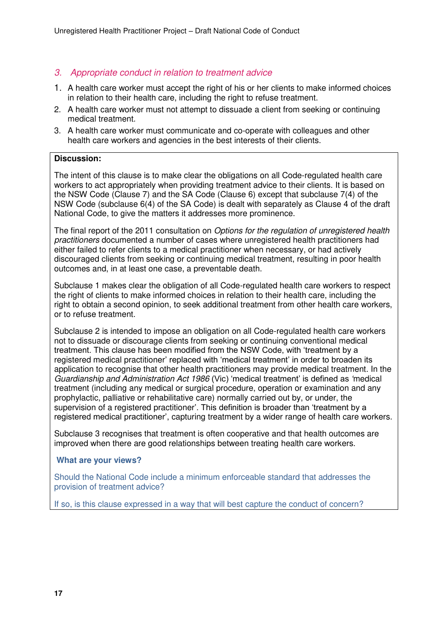#### <span id="page-16-0"></span>*3. Appropriate conduct in relation to treatment advice*

- 1. A health care worker must accept the right of his or her clients to make informed choices in relation to their health care, including the right to refuse treatment.
- 2. A health care worker must not attempt to dissuade a client from seeking or continuing medical treatment.
- 3. A health care worker must communicate and co-operate with colleagues and other health care workers and agencies in the best interests of their clients.

#### **Discussion:**

The intent of this clause is to make clear the obligations on all Code-regulated health care workers to act appropriately when providing treatment advice to their clients. It is based on the NSW Code (Clause 7) and the SA Code (Clause 6) except that subclause 7(4) of the NSW Code (subclause 6(4) of the SA Code) is dealt with separately as Clause 4 of the draft National Code, to give the matters it addresses more prominence.

The final report of the 2011 consultation on *Options for the regulation of unregistered health practitioners* documented a number of cases where unregistered health practitioners had either failed to refer clients to a medical practitioner when necessary, or had actively discouraged clients from seeking or continuing medical treatment, resulting in poor health outcomes and, in at least one case, a preventable death.

Subclause 1 makes clear the obligation of all Code-regulated health care workers to respect the right of clients to make informed choices in relation to their health care, including the right to obtain a second opinion, to seek additional treatment from other health care workers, or to refuse treatment.

Subclause 2 is intended to impose an obligation on all Code-regulated health care workers not to dissuade or discourage clients from seeking or continuing conventional medical treatment. This clause has been modified from the NSW Code, with 'treatment by a registered medical practitioner' replaced with 'medical treatment' in order to broaden its application to recognise that other health practitioners may provide medical treatment. In the *Guardianship and Administration Act 1986* (Vic) 'medical treatment' is defined as *'*medical treatment (including any medical or surgical procedure, operation or examination and any prophylactic, palliative or rehabilitative care) normally carried out by, or under, the supervision of a [registered practitioner](http://www.austlii.edu.au/au/legis/vic/consol_act/gaaa1986304/s3.html#registered_practitioner)'. This definition is broader than 'treatment by a registered medical practitioner', capturing treatment by a wider range of health care workers.

Subclause 3 recognises that treatment is often cooperative and that health outcomes are improved when there are good relationships between treating health care workers.

#### **What are your views?**

Should the National Code include a minimum enforceable standard that addresses the provision of treatment advice?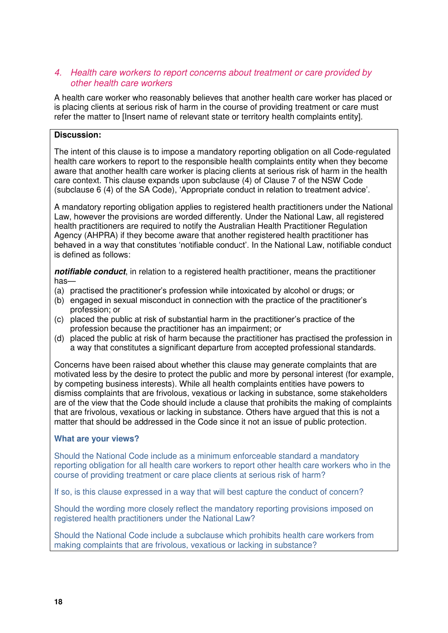#### <span id="page-17-0"></span>*4. Health care workers to report concerns about treatment or care provided by other health care workers*

A health care worker who reasonably believes that another health care worker has placed or is placing clients at serious risk of harm in the course of providing treatment or care must refer the matter to [Insert name of relevant state or territory health complaints entity].

#### **Discussion:**

The intent of this clause is to impose a mandatory reporting obligation on all Code-regulated health care workers to report to the responsible health complaints entity when they become aware that another health care worker is placing clients at serious risk of harm in the health care context. This clause expands upon subclause (4) of Clause 7 of the NSW Code (subclause 6 (4) of the SA Code), 'Appropriate conduct in relation to treatment advice'.

A mandatory reporting obligation applies to registered health practitioners under the National Law, however the provisions are worded differently. Under the National Law, all registered health practitioners are required to notify the Australian Health Practitioner Regulation Agency (AHPRA) if they become aware that another registered health practitioner has behaved in a way that constitutes 'notifiable conduct'. In the National Law, notifiable conduct is defined as follows:

*notifiable conduct*, in relation to a registered health practitioner, means the practitioner has—

- (a) practised the practitioner's profession while intoxicated by alcohol or drugs; or
- (b) engaged in sexual misconduct in connection with the practice of the practitioner's profession; or
- (c) placed the public at risk of substantial harm in the practitioner's practice of the profession because the practitioner has an impairment; or
- (d) placed the public at risk of harm because the practitioner has practised the profession in a way that constitutes a significant departure from accepted professional standards.

Concerns have been raised about whether this clause may generate complaints that are motivated less by the desire to protect the public and more by personal interest (for example, by competing business interests). While all health complaints entities have powers to dismiss complaints that are frivolous, vexatious or lacking in substance, some stakeholders are of the view that the Code should include a clause that prohibits the making of complaints that are frivolous, vexatious or lacking in substance. Others have argued that this is not a matter that should be addressed in the Code since it not an issue of public protection.

#### **What are your views?**

Should the National Code include as a minimum enforceable standard a mandatory reporting obligation for all health care workers to report other health care workers who in the course of providing treatment or care place clients at serious risk of harm?

If so, is this clause expressed in a way that will best capture the conduct of concern?

Should the wording more closely reflect the mandatory reporting provisions imposed on registered health practitioners under the National Law?

Should the National Code include a subclause which prohibits health care workers from making complaints that are frivolous, vexatious or lacking in substance?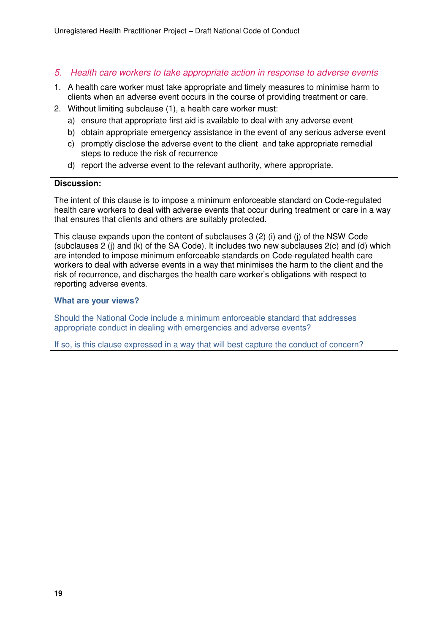#### <span id="page-18-0"></span>*5. Health care workers to take appropriate action in response to adverse events*

- 1. A health care worker must take appropriate and timely measures to minimise harm to clients when an adverse event occurs in the course of providing treatment or care.
- 2. Without limiting subclause (1), a health care worker must:
	- a) ensure that appropriate first aid is available to deal with any adverse event
	- b) obtain appropriate emergency assistance in the event of any serious adverse event
	- c) promptly disclose the adverse event to the client and take appropriate remedial steps to reduce the risk of recurrence
	- d) report the adverse event to the relevant authority, where appropriate.

#### **Discussion:**

The intent of this clause is to impose a minimum enforceable standard on Code-regulated health care workers to deal with adverse events that occur during treatment or care in a way that ensures that clients and others are suitably protected.

This clause expands upon the content of subclauses 3 (2) (i) and (j) of the NSW Code (subclauses 2 (j) and (k) of the SA Code). It includes two new subclauses 2(c) and (d) which are intended to impose minimum enforceable standards on Code-regulated health care workers to deal with adverse events in a way that minimises the harm to the client and the risk of recurrence, and discharges the health care worker's obligations with respect to reporting adverse events.

#### **What are your views?**

Should the National Code include a minimum enforceable standard that addresses appropriate conduct in dealing with emergencies and adverse events?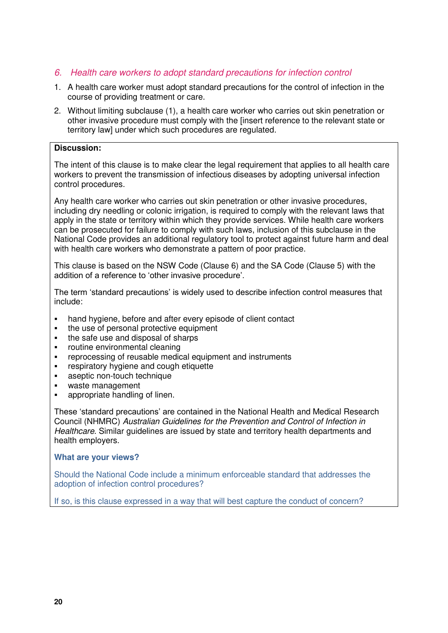#### <span id="page-19-0"></span>*6. Health care workers to adopt standard precautions for infection control*

- 1. A health care worker must adopt standard precautions for the control of infection in the course of providing treatment or care.
- 2. Without limiting subclause (1), a health care worker who carries out skin penetration or other invasive procedure must comply with the [insert reference to the relevant state or territory law] under which such procedures are regulated.

#### **Discussion:**

The intent of this clause is to make clear the legal requirement that applies to all health care workers to prevent the transmission of infectious diseases by adopting universal infection control procedures.

Any health care worker who carries out skin penetration or other invasive procedures, including dry needling or colonic irrigation, is required to comply with the relevant laws that apply in the state or territory within which they provide services. While health care workers can be prosecuted for failure to comply with such laws, inclusion of this subclause in the National Code provides an additional regulatory tool to protect against future harm and deal with health care workers who demonstrate a pattern of poor practice.

This clause is based on the NSW Code (Clause 6) and the SA Code (Clause 5) with the addition of a reference to 'other invasive procedure'.

The term 'standard precautions' is widely used to describe infection control measures that include:

- hand hygiene, before and after every episode of client contact
- the use of personal protective equipment
- the safe use and disposal of sharps
- routine environmental cleaning
- reprocessing of reusable medical equipment and instruments
- **Fig. 2** respiratory hygiene and cough etiquette
- aseptic non-touch technique
- waste management
- appropriate handling of linen.

These 'standard precautions' are contained in the National Health and Medical Research Council (NHMRC) *Australian Guidelines for the Prevention and Control of Infection in Healthcare*. Similar guidelines are issued by state and territory health departments and health employers.

#### **What are your views?**

Should the National Code include a minimum enforceable standard that addresses the adoption of infection control procedures?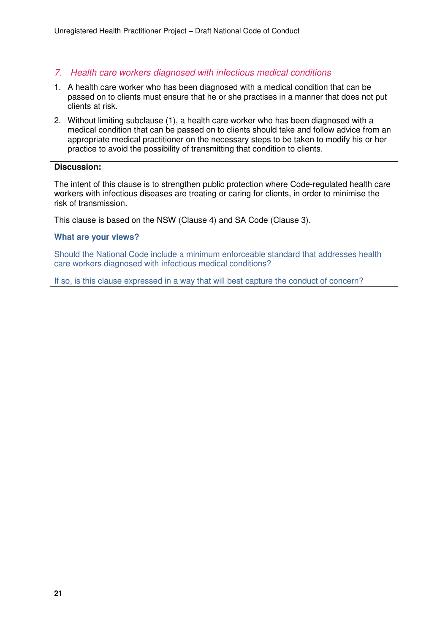#### <span id="page-20-0"></span>*7. Health care workers diagnosed with infectious medical conditions*

- 1. A health care worker who has been diagnosed with a medical condition that can be passed on to clients must ensure that he or she practises in a manner that does not put clients at risk.
- 2. Without limiting subclause (1), a health care worker who has been diagnosed with a medical condition that can be passed on to clients should take and follow advice from an appropriate medical practitioner on the necessary steps to be taken to modify his or her practice to avoid the possibility of transmitting that condition to clients.

#### **Discussion:**

The intent of this clause is to strengthen public protection where Code-regulated health care workers with infectious diseases are treating or caring for clients, in order to minimise the risk of transmission.

This clause is based on the NSW (Clause 4) and SA Code (Clause 3).

#### **What are your views?**

Should the National Code include a minimum enforceable standard that addresses health care workers diagnosed with infectious medical conditions?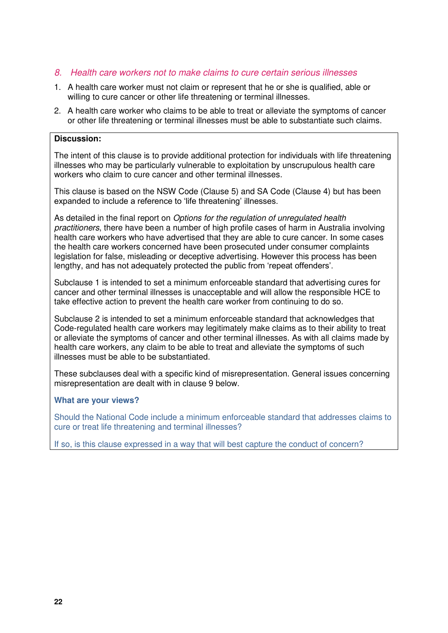#### <span id="page-21-0"></span>*8. Health care workers not to make claims to cure certain serious illnesses*

- 1. A health care worker must not claim or represent that he or she is qualified, able or willing to cure cancer or other life threatening or terminal illnesses.
- 2. A health care worker who claims to be able to treat or alleviate the symptoms of cancer or other life threatening or terminal illnesses must be able to substantiate such claims.

#### **Discussion:**

The intent of this clause is to provide additional protection for individuals with life threatening illnesses who may be particularly vulnerable to exploitation by unscrupulous health care workers who claim to cure cancer and other terminal illnesses.

This clause is based on the NSW Code (Clause 5) and SA Code (Clause 4) but has been expanded to include a reference to 'life threatening' illnesses.

As detailed in the final report on *Options for the regulation of unregulated health practitioners*, there have been a number of high profile cases of harm in Australia involving health care workers who have advertised that they are able to cure cancer. In some cases the health care workers concerned have been prosecuted under consumer complaints legislation for false, misleading or deceptive advertising. However this process has been lengthy, and has not adequately protected the public from 'repeat offenders'.

Subclause 1 is intended to set a minimum enforceable standard that advertising cures for cancer and other terminal illnesses is unacceptable and will allow the responsible HCE to take effective action to prevent the health care worker from continuing to do so.

Subclause 2 is intended to set a minimum enforceable standard that acknowledges that Code-regulated health care workers may legitimately make claims as to their ability to treat or alleviate the symptoms of cancer and other terminal illnesses. As with all claims made by health care workers, any claim to be able to treat and alleviate the symptoms of such illnesses must be able to be substantiated.

These subclauses deal with a specific kind of misrepresentation. General issues concerning misrepresentation are dealt with in clause 9 below.

#### **What are your views?**

Should the National Code include a minimum enforceable standard that addresses claims to cure or treat life threatening and terminal illnesses?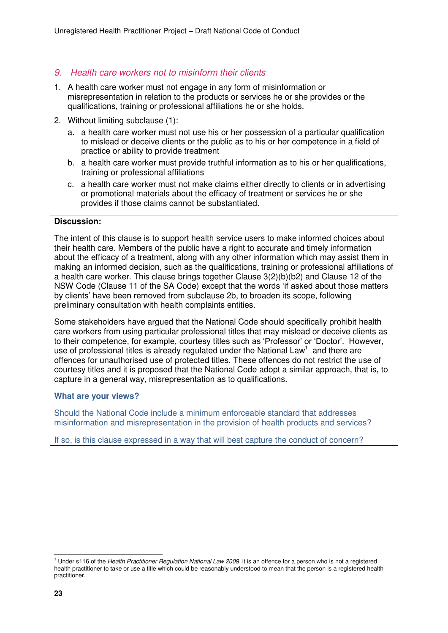#### <span id="page-22-0"></span>*9. Health care workers not to misinform their clients*

- 1. A health care worker must not engage in any form of misinformation or misrepresentation in relation to the products or services he or she provides or the qualifications, training or professional affiliations he or she holds.
- 2. Without limiting subclause (1):
	- a. a health care worker must not use his or her possession of a particular qualification to mislead or deceive clients or the public as to his or her competence in a field of practice or ability to provide treatment
	- b. a health care worker must provide truthful information as to his or her qualifications, training or professional affiliations
	- c. a health care worker must not make claims either directly to clients or in advertising or promotional materials about the efficacy of treatment or services he or she provides if those claims cannot be substantiated.

#### **Discussion:**

The intent of this clause is to support health service users to make informed choices about their health care. Members of the public have a right to accurate and timely information about the efficacy of a treatment, along with any other information which may assist them in making an informed decision, such as the qualifications, training or professional affiliations of a health care worker. This clause brings together Clause 3(2)(b)(b2) and Clause 12 of the NSW Code (Clause 11 of the SA Code) except that the words 'if asked about those matters by clients' have been removed from subclause 2b, to broaden its scope, following preliminary consultation with health complaints entities.

Some stakeholders have argued that the National Code should specifically prohibit health care workers from using particular professional titles that may mislead or deceive clients as to their competence, for example, courtesy titles such as 'Professor' or 'Doctor'. However, use of professional titles is already regulated under the National Law<sup>1</sup> and there are offences for unauthorised use of protected titles. These offences do not restrict the use of courtesy titles and it is proposed that the National Code adopt a similar approach, that is, to capture in a general way, misrepresentation as to qualifications.

#### **What are your views?**

Should the National Code include a minimum enforceable standard that addresses misinformation and misrepresentation in the provision of health products and services?

<sup>-</sup><sup>1</sup> Under s116 of the *Health Practitioner Regulation National Law 2009*, it is an offence for a person who is not a registered health practitioner to take or use a title which could be reasonably understood to mean that the person is a registered health practitioner.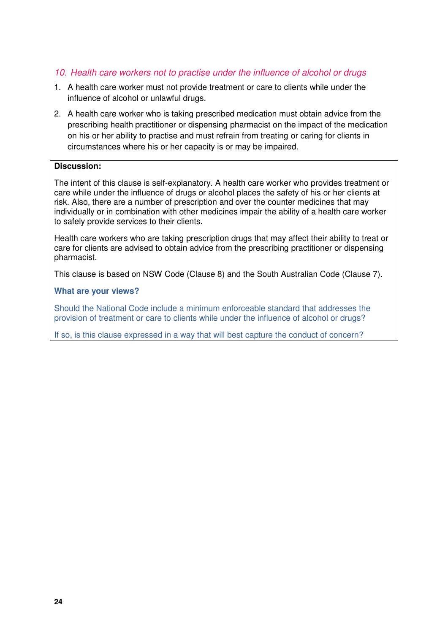#### <span id="page-23-0"></span>*10. Health care workers not to practise under the influence of alcohol or drugs*

- 1. A health care worker must not provide treatment or care to clients while under the influence of alcohol or unlawful drugs.
- 2. A health care worker who is taking prescribed medication must obtain advice from the prescribing health practitioner or dispensing pharmacist on the impact of the medication on his or her ability to practise and must refrain from treating or caring for clients in circumstances where his or her capacity is or may be impaired.

#### **Discussion:**

The intent of this clause is self-explanatory. A health care worker who provides treatment or care while under the influence of drugs or alcohol places the safety of his or her clients at risk. Also, there are a number of prescription and over the counter medicines that may individually or in combination with other medicines impair the ability of a health care worker to safely provide services to their clients.

Health care workers who are taking prescription drugs that may affect their ability to treat or care for clients are advised to obtain advice from the prescribing practitioner or dispensing pharmacist.

This clause is based on NSW Code (Clause 8) and the South Australian Code (Clause 7).

#### **What are your views?**

Should the National Code include a minimum enforceable standard that addresses the provision of treatment or care to clients while under the influence of alcohol or drugs?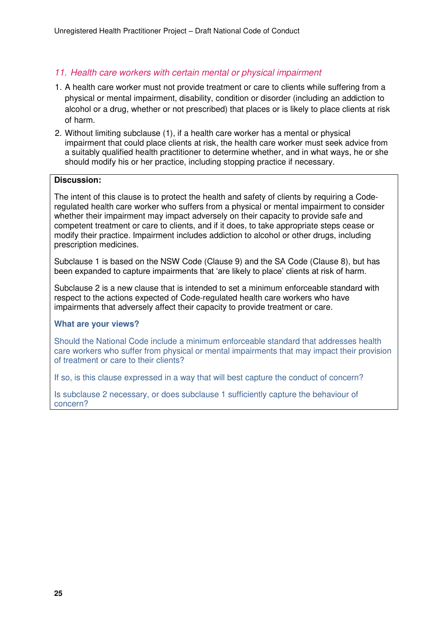#### <span id="page-24-0"></span>*11. Health care workers with certain mental or physical impairment*

- 1. A health care worker must not provide treatment or care to clients while suffering from a physical or mental impairment, disability, condition or disorder (including an addiction to alcohol or a drug, whether or not prescribed) that places or is likely to place clients at risk of harm.
- 2. Without limiting subclause (1), if a health care worker has a mental or physical impairment that could place clients at risk, the health care worker must seek advice from a suitably qualified health practitioner to determine whether, and in what ways, he or she should modify his or her practice, including stopping practice if necessary.

#### **Discussion:**

The intent of this clause is to protect the health and safety of clients by requiring a Coderegulated health care worker who suffers from a physical or mental impairment to consider whether their impairment may impact adversely on their capacity to provide safe and competent treatment or care to clients, and if it does, to take appropriate steps cease or modify their practice. Impairment includes addiction to alcohol or other drugs, including prescription medicines.

Subclause 1 is based on the NSW Code (Clause 9) and the SA Code (Clause 8), but has been expanded to capture impairments that 'are likely to place' clients at risk of harm.

Subclause 2 is a new clause that is intended to set a minimum enforceable standard with respect to the actions expected of Code-regulated health care workers who have impairments that adversely affect their capacity to provide treatment or care.

#### **What are your views?**

Should the National Code include a minimum enforceable standard that addresses health care workers who suffer from physical or mental impairments that may impact their provision of treatment or care to their clients?

If so, is this clause expressed in a way that will best capture the conduct of concern?

Is subclause 2 necessary, or does subclause 1 sufficiently capture the behaviour of concern?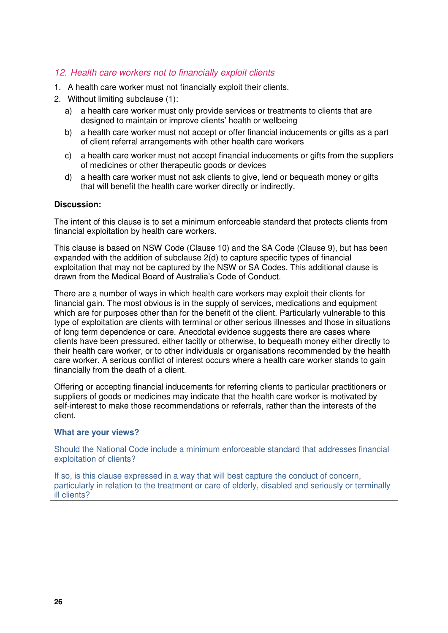#### <span id="page-25-0"></span>*12. Health care workers not to financially exploit clients*

- 1. A health care worker must not financially exploit their clients.
- 2. Without limiting subclause (1):
	- a) a health care worker must only provide services or treatments to clients that are designed to maintain or improve clients' health or wellbeing
	- b) a health care worker must not accept or offer financial inducements or gifts as a part of client referral arrangements with other health care workers
	- c) a health care worker must not accept financial inducements or gifts from the suppliers of medicines or other therapeutic goods or devices
	- d) a health care worker must not ask clients to give, lend or bequeath money or gifts that will benefit the health care worker directly or indirectly.

#### **Discussion:**

The intent of this clause is to set a minimum enforceable standard that protects clients from financial exploitation by health care workers.

This clause is based on NSW Code (Clause 10) and the SA Code (Clause 9), but has been expanded with the addition of subclause 2(d) to capture specific types of financial exploitation that may not be captured by the NSW or SA Codes. This additional clause is drawn from the Medical Board of Australia's Code of Conduct.

There are a number of ways in which health care workers may exploit their clients for financial gain. The most obvious is in the supply of services, medications and equipment which are for purposes other than for the benefit of the client. Particularly vulnerable to this type of exploitation are clients with terminal or other serious illnesses and those in situations of long term dependence or care. Anecdotal evidence suggests there are cases where clients have been pressured, either tacitly or otherwise, to bequeath money either directly to their health care worker, or to other individuals or organisations recommended by the health care worker. A serious conflict of interest occurs where a health care worker stands to gain financially from the death of a client.

Offering or accepting financial inducements for referring clients to particular practitioners or suppliers of goods or medicines may indicate that the health care worker is motivated by self-interest to make those recommendations or referrals, rather than the interests of the client.

#### **What are your views?**

Should the National Code include a minimum enforceable standard that addresses financial exploitation of clients?

If so, is this clause expressed in a way that will best capture the conduct of concern, particularly in relation to the treatment or care of elderly, disabled and seriously or terminally ill clients?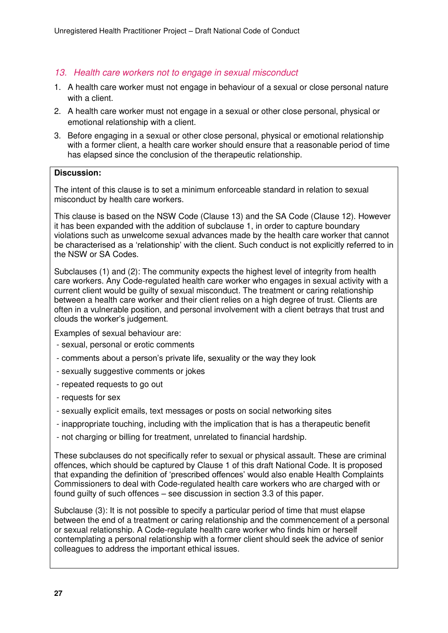#### <span id="page-26-0"></span>*13. Health care workers not to engage in sexual misconduct*

- 1. A health care worker must not engage in behaviour of a sexual or close personal nature with a client.
- 2. A health care worker must not engage in a sexual or other close personal, physical or emotional relationship with a client.
- 3. Before engaging in a sexual or other close personal, physical or emotional relationship with a former client, a health care worker should ensure that a reasonable period of time has elapsed since the conclusion of the therapeutic relationship.

#### **Discussion:**

The intent of this clause is to set a minimum enforceable standard in relation to sexual misconduct by health care workers.

This clause is based on the NSW Code (Clause 13) and the SA Code (Clause 12). However it has been expanded with the addition of subclause 1, in order to capture boundary violations such as unwelcome sexual advances made by the health care worker that cannot be characterised as a 'relationship' with the client. Such conduct is not explicitly referred to in the NSW or SA Codes.

Subclauses (1) and (2): The community expects the highest level of integrity from health care workers. Any Code-regulated health care worker who engages in sexual activity with a current client would be guilty of sexual misconduct. The treatment or caring relationship between a health care worker and their client relies on a high degree of trust. Clients are often in a vulnerable position, and personal involvement with a client betrays that trust and clouds the worker's judgement.

Examples of sexual behaviour are:

- sexual, personal or erotic comments
- comments about a person's private life, sexuality or the way they look
- sexually suggestive comments or jokes
- repeated requests to go out
- requests for sex
- sexually explicit emails, text messages or posts on social networking sites
- inappropriate touching, including with the implication that is has a therapeutic benefit
- not charging or billing for treatment, unrelated to financial hardship.

These subclauses do not specifically refer to sexual or physical assault. These are criminal offences, which should be captured by Clause 1 of this draft National Code. It is proposed that expanding the definition of 'prescribed offences' would also enable Health Complaints Commissioners to deal with Code-regulated health care workers who are charged with or found guilty of such offences – see discussion in section 3.3 of this paper.

Subclause (3): It is not possible to specify a particular period of time that must elapse between the end of a treatment or caring relationship and the commencement of a personal or sexual relationship. A Code-regulate health care worker who finds him or herself contemplating a personal relationship with a former client should seek the advice of senior colleagues to address the important ethical issues.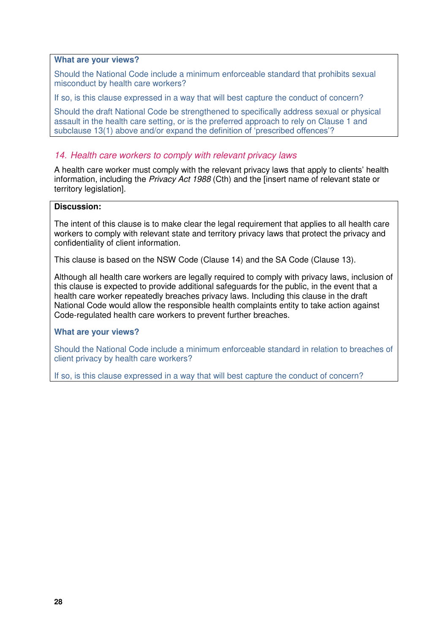#### **What are your views?**

Should the National Code include a minimum enforceable standard that prohibits sexual misconduct by health care workers?

If so, is this clause expressed in a way that will best capture the conduct of concern?

Should the draft National Code be strengthened to specifically address sexual or physical assault in the health care setting, or is the preferred approach to rely on Clause 1 and subclause 13(1) above and/or expand the definition of 'prescribed offences'?

#### <span id="page-27-0"></span>*14. Health care workers to comply with relevant privacy laws*

A health care worker must comply with the relevant privacy laws that apply to clients' health information, including the *Privacy Act 1988* (Cth) and the [insert name of relevant state or territory legislation].

#### **Discussion:**

The intent of this clause is to make clear the legal requirement that applies to all health care workers to comply with relevant state and territory privacy laws that protect the privacy and confidentiality of client information.

This clause is based on the NSW Code (Clause 14) and the SA Code (Clause 13).

Although all health care workers are legally required to comply with privacy laws, inclusion of this clause is expected to provide additional safeguards for the public, in the event that a health care worker repeatedly breaches privacy laws. Including this clause in the draft National Code would allow the responsible health complaints entity to take action against Code-regulated health care workers to prevent further breaches.

#### **What are your views?**

Should the National Code include a minimum enforceable standard in relation to breaches of client privacy by health care workers?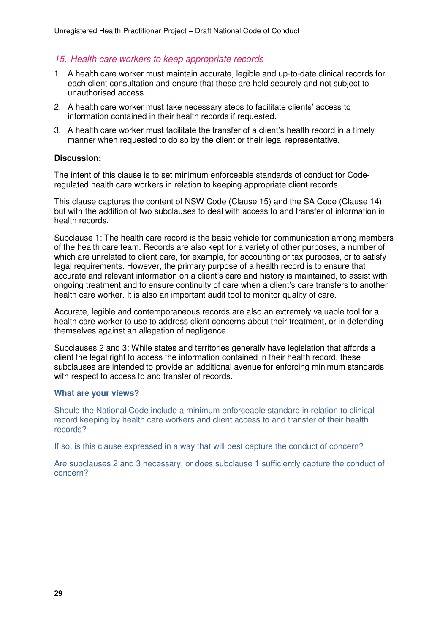#### <span id="page-28-0"></span>*15. Health care workers to keep appropriate records*

- 1. A health care worker must maintain accurate, legible and up-to-date clinical records for each client consultation and ensure that these are held securely and not subject to unauthorised access.
- 2. A health care worker must take necessary steps to facilitate clients' access to information contained in their health records if requested.
- 3. A health care worker must facilitate the transfer of a client's health record in a timely manner when requested to do so by the client or their legal representative.

#### **Discussion:**

The intent of this clause is to set minimum enforceable standards of conduct for Coderegulated health care workers in relation to keeping appropriate client records.

This clause captures the content of NSW Code (Clause 15) and the SA Code (Clause 14) but with the addition of two subclauses to deal with access to and transfer of information in health records.

Subclause 1: The health care record is the basic vehicle for communication among members of the health care team. Records are also kept for a variety of other purposes, a number of which are unrelated to client care, for example, for accounting or tax purposes, or to satisfy legal requirements. However, the primary purpose of a health record is to ensure that accurate and relevant information on a client's care and history is maintained, to assist with ongoing treatment and to ensure continuity of care when a client's care transfers to another health care worker. It is also an important audit tool to monitor quality of care.

Accurate, legible and contemporaneous records are also an extremely valuable tool for a health care worker to use to address client concerns about their treatment, or in defending themselves against an allegation of negligence.

Subclauses 2 and 3: While states and territories generally have legislation that affords a client the legal right to access the information contained in their health record, these subclauses are intended to provide an additional avenue for enforcing minimum standards with respect to access to and transfer of records.

#### **What are your views?**

Should the National Code include a minimum enforceable standard in relation to clinical record keeping by health care workers and client access to and transfer of their health records?

If so, is this clause expressed in a way that will best capture the conduct of concern?

Are subclauses 2 and 3 necessary, or does subclause 1 sufficiently capture the conduct of concern?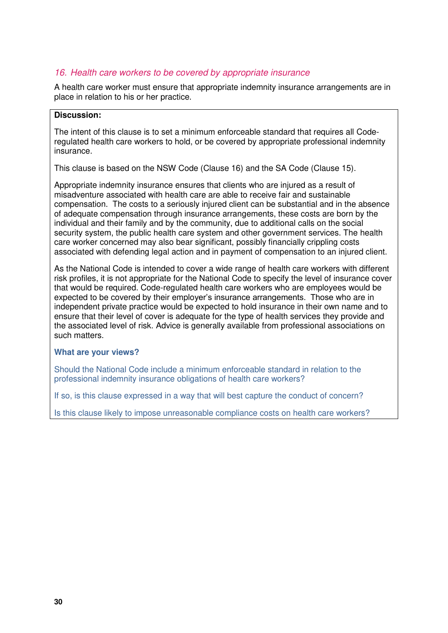#### <span id="page-29-0"></span>*16. Health care workers to be covered by appropriate insurance*

A health care worker must ensure that appropriate indemnity insurance arrangements are in place in relation to his or her practice.

#### **Discussion:**

The intent of this clause is to set a minimum enforceable standard that requires all Coderegulated health care workers to hold, or be covered by appropriate professional indemnity insurance.

This clause is based on the NSW Code (Clause 16) and the SA Code (Clause 15).

Appropriate indemnity insurance ensures that clients who are injured as a result of misadventure associated with health care are able to receive fair and sustainable compensation. The costs to a seriously injured client can be substantial and in the absence of adequate compensation through insurance arrangements, these costs are born by the individual and their family and by the community, due to additional calls on the social security system, the public health care system and other government services. The health care worker concerned may also bear significant, possibly financially crippling costs associated with defending legal action and in payment of compensation to an injured client.

As the National Code is intended to cover a wide range of health care workers with different risk profiles, it is not appropriate for the National Code to specify the level of insurance cover that would be required. Code-regulated health care workers who are employees would be expected to be covered by their employer's insurance arrangements. Those who are in independent private practice would be expected to hold insurance in their own name and to ensure that their level of cover is adequate for the type of health services they provide and the associated level of risk. Advice is generally available from professional associations on such matters.

#### **What are your views?**

Should the National Code include a minimum enforceable standard in relation to the professional indemnity insurance obligations of health care workers?

If so, is this clause expressed in a way that will best capture the conduct of concern?

Is this clause likely to impose unreasonable compliance costs on health care workers?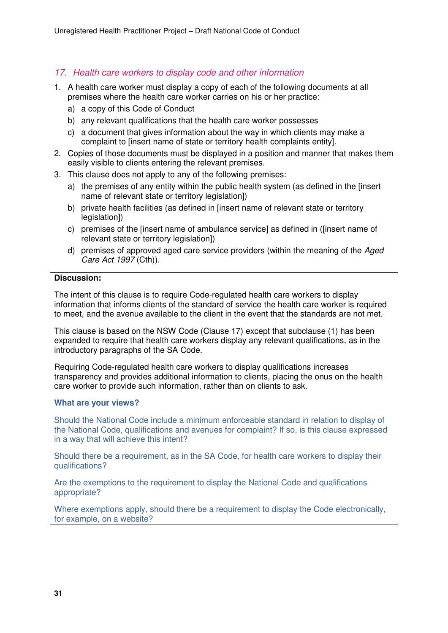#### <span id="page-30-0"></span>*17. Health care workers to display code and other information*

- 1. A health care worker must display a copy of each of the following documents at all premises where the health care worker carries on his or her practice:
	- a) a copy of this Code of Conduct
	- b) any relevant qualifications that the health care worker possesses
	- c) a document that gives information about the way in which clients may make a complaint to [insert name of state or territory health complaints entity].
- 2. Copies of those documents must be displayed in a position and manner that makes them easily visible to clients entering the relevant premises.
- 3. This clause does not apply to any of the following premises:
	- a) the premises of any entity within the public health system (as defined in the [insert name of relevant state or territory legislation])
	- b) private health facilities (as defined in [insert name of relevant state or territory legislation])
	- c) premises of the linsert name of ambulance servicel as defined in (linsert name of relevant state or territory legislation])
	- d) premises of approved aged care service providers (within the meaning of the *[Aged](http://www.comlaw.gov.au/)  [Care Act 1997](http://www.comlaw.gov.au/)* (Cth)).

#### **Discussion:**

The intent of this clause is to require Code-regulated health care workers to display information that informs clients of the standard of service the health care worker is required to meet, and the avenue available to the client in the event that the standards are not met.

This clause is based on the NSW Code (Clause 17) except that subclause (1) has been expanded to require that health care workers display any relevant qualifications, as in the introductory paragraphs of the SA Code.

Requiring Code-regulated health care workers to display qualifications increases transparency and provides additional information to clients, placing the onus on the health care worker to provide such information, rather than on clients to ask.

#### **What are your views?**

Should the National Code include a minimum enforceable standard in relation to display of the National Code, qualifications and avenues for complaint? If so, is this clause expressed in a way that will achieve this intent?

Should there be a requirement, as in the SA Code, for health care workers to display their qualifications?

Are the exemptions to the requirement to display the National Code and qualifications appropriate?

Where exemptions apply, should there be a requirement to display the Code electronically, for example, on a website?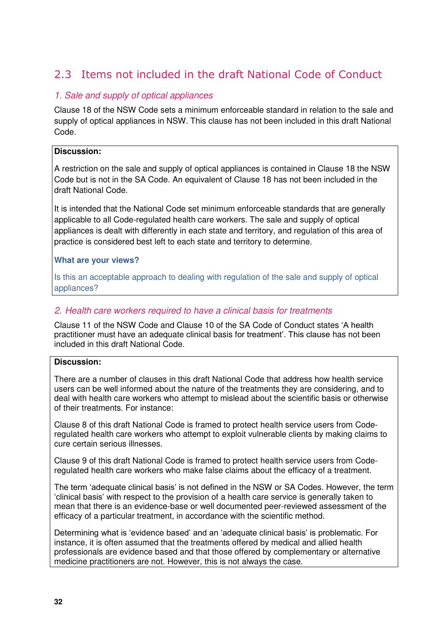## <span id="page-31-0"></span>2.3 Items not included in the draft National Code of Conduct

#### *1. Sale and supply of optical appliances*

Clause 18 of the NSW Code sets a minimum enforceable standard in relation to the sale and supply of optical appliances in NSW. This clause has not been included in this draft National Code.

#### **Discussion:**

A restriction on the sale and supply of optical appliances is contained in Clause 18 the NSW Code but is not in the SA Code. An equivalent of Clause 18 has not been included in the draft National Code.

It is intended that the National Code set minimum enforceable standards that are generally applicable to all Code-regulated health care workers. The sale and supply of optical appliances is dealt with differently in each state and territory, and regulation of this area of practice is considered best left to each state and territory to determine.

#### **What are your views?**

Is this an acceptable approach to dealing with regulation of the sale and supply of optical appliances?

#### *2. Health care workers required to have a clinical basis for treatments*

Clause 11 of the NSW Code and Clause 10 of the SA Code of Conduct states 'A health practitioner must have an adequate clinical basis for treatment'. This clause has not been included in this draft National Code.

#### **Discussion:**

There are a number of clauses in this draft National Code that address how health service users can be well informed about the nature of the treatments they are considering, and to deal with health care workers who attempt to mislead about the scientific basis or otherwise of their treatments. For instance:

Clause 8 of this draft National Code is framed to protect health service users from Coderegulated health care workers who attempt to exploit vulnerable clients by making claims to cure certain serious illnesses.

Clause 9 of this draft National Code is framed to protect health service users from Coderegulated health care workers who make false claims about the efficacy of a treatment.

The term 'adequate clinical basis' is not defined in the NSW or SA Codes. However, the term 'clinical basis' with respect to the provision of a health care service is generally taken to mean that there is an evidence-base or well documented peer-reviewed assessment of the efficacy of a particular treatment, in accordance with the scientific method.

Determining what is 'evidence based' and an 'adequate clinical basis' is problematic. For instance, it is often assumed that the treatments offered by medical and allied health professionals are evidence based and that those offered by complementary or alternative medicine practitioners are not. However, this is not always the case.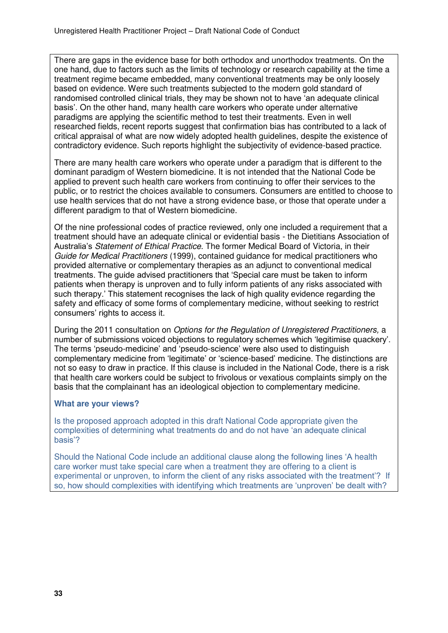There are gaps in the evidence base for both orthodox and unorthodox treatments. On the one hand, due to factors such as the limits of technology or research capability at the time a treatment regime became embedded, many conventional treatments may be only loosely based on evidence. Were such treatments subjected to the modern gold standard of randomised controlled clinical trials, they may be shown not to have 'an adequate clinical basis'. On the other hand, many health care workers who operate under alternative paradigms are applying the scientific method to test their treatments. Even in well researched fields, recent reports suggest that confirmation bias has contributed to a lack of critical appraisal of what are now widely adopted health guidelines, despite the existence of contradictory evidence. Such reports highlight the subjectivity of evidence-based practice.

There are many health care workers who operate under a paradigm that is different to the dominant paradigm of Western biomedicine. It is not intended that the National Code be applied to prevent such health care workers from continuing to offer their services to the public, or to restrict the choices available to consumers. Consumers are entitled to choose to use health services that do not have a strong evidence base, or those that operate under a different paradigm to that of Western biomedicine.

Of the nine professional codes of practice reviewed, only one included a requirement that a treatment should have an adequate clinical or evidential basis - the Dietitians Association of Australia's *Statement of Ethical Practice*. The former Medical Board of Victoria, in their *Guide for Medical Practitioners* (1999), contained guidance for medical practitioners who provided alternative or complementary therapies as an adjunct to conventional medical treatments. The guide advised practitioners that 'Special care must be taken to inform patients when therapy is unproven and to fully inform patients of any risks associated with such therapy.' This statement recognises the lack of high quality evidence regarding the safety and efficacy of some forms of complementary medicine, without seeking to restrict consumers' rights to access it.

During the 2011 consultation on *Options for the Regulation of Unregistered Practitioners,* a number of submissions voiced objections to regulatory schemes which 'legitimise quackery'. The terms 'pseudo-medicine' and 'pseudo-science' were also used to distinguish complementary medicine from 'legitimate' or 'science-based' medicine. The distinctions are not so easy to draw in practice. If this clause is included in the National Code, there is a risk that health care workers could be subject to frivolous or vexatious complaints simply on the basis that the complainant has an ideological objection to complementary medicine.

#### **What are your views?**

Is the proposed approach adopted in this draft National Code appropriate given the complexities of determining what treatments do and do not have 'an adequate clinical basis'?

Should the National Code include an additional clause along the following lines 'A health care worker must take special care when a treatment they are offering to a client is experimental or unproven, to inform the client of any risks associated with the treatment'? If so, how should complexities with identifying which treatments are 'unproven' be dealt with?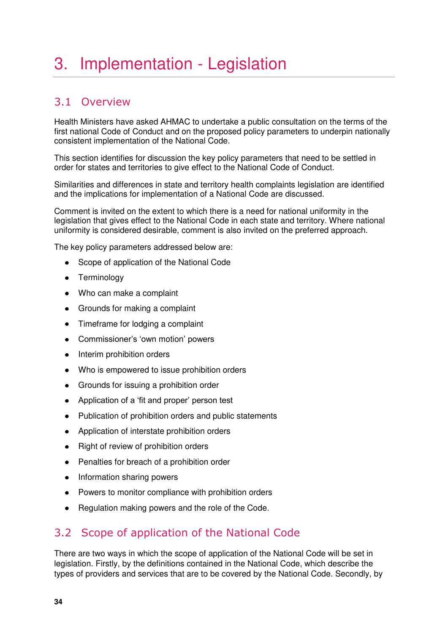## <span id="page-33-0"></span>3. Implementation - Legislation

### <span id="page-33-1"></span>3.1 Overview

Health Ministers have asked AHMAC to undertake a public consultation on the terms of the first national Code of Conduct and on the proposed policy parameters to underpin nationally consistent implementation of the National Code.

This section identifies for discussion the key policy parameters that need to be settled in order for states and territories to give effect to the National Code of Conduct.

Similarities and differences in state and territory health complaints legislation are identified and the implications for implementation of a National Code are discussed.

Comment is invited on the extent to which there is a need for national uniformity in the legislation that gives effect to the National Code in each state and territory. Where national uniformity is considered desirable, comment is also invited on the preferred approach.

The key policy parameters addressed below are:

- Scope of application of the National Code
- Terminology
- Who can make a complaint
- Grounds for making a complaint
- Timeframe for lodging a complaint  $\bullet$
- $\bullet$ Commissioner's 'own motion' powers
- Interim prohibition orders
- Who is empowered to issue prohibition orders  $\bullet$
- Grounds for issuing a prohibition order  $\bullet$
- Application of a 'fit and proper' person test  $\bullet$
- Publication of prohibition orders and public statements
- Application of interstate prohibition orders
- Right of review of prohibition orders  $\bullet$
- Penalties for breach of a prohibition order
- Information sharing powers  $\bullet$
- Powers to monitor compliance with prohibition orders  $\bullet$
- Regulation making powers and the role of the Code.  $\bullet$

#### <span id="page-33-2"></span>3.2 Scope of application of the National Code

There are two ways in which the scope of application of the National Code will be set in legislation. Firstly, by the definitions contained in the National Code, which describe the types of providers and services that are to be covered by the National Code. Secondly, by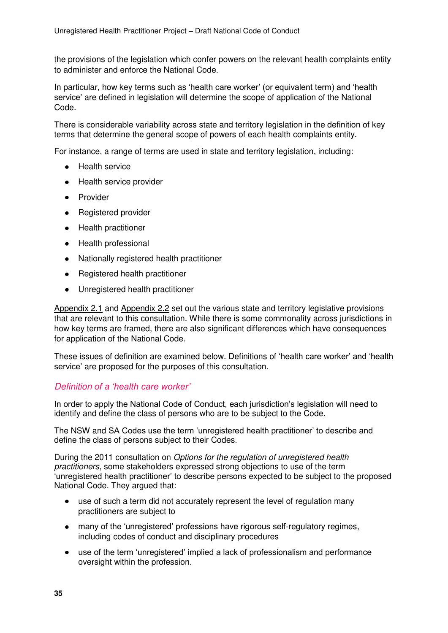the provisions of the legislation which confer powers on the relevant health complaints entity to administer and enforce the National Code.

In particular, how key terms such as 'health care worker' (or equivalent term) and 'health service' are defined in legislation will determine the scope of application of the National Code.

There is considerable variability across state and territory legislation in the definition of key terms that determine the general scope of powers of each health complaints entity.

For instance, a range of terms are used in state and territory legislation, including:

- Health service
- Health service provider  $\bullet$
- Provider  $\bullet$
- Registered provider  $\bullet$
- Health practitioner
- Health professional  $\bullet$
- Nationally registered health practitioner  $\bullet$
- Registered health practitioner  $\bullet$
- Unregistered health practitioner

Appendix 2.1 and Appendix 2.2 set out the various state and territory legislative provisions that are relevant to this consultation. While there is some commonality across jurisdictions in how key terms are framed, there are also significant differences which have consequences for application of the National Code.

These issues of definition are examined below. Definitions of 'health care worker' and 'health service' are proposed for the purposes of this consultation.

#### *Definition of a 'health care worker'*

In order to apply the National Code of Conduct, each jurisdiction's legislation will need to identify and define the class of persons who are to be subject to the Code.

The NSW and SA Codes use the term 'unregistered health practitioner' to describe and define the class of persons subject to their Codes.

During the 2011 consultation on *Options for the regulation of unregistered health practitioners*, some stakeholders expressed strong objections to use of the term 'unregistered health practitioner' to describe persons expected to be subject to the proposed National Code. They argued that:

- use of such a term did not accurately represent the level of regulation many practitioners are subject to
- many of the 'unregistered' professions have rigorous self-regulatory regimes, including codes of conduct and disciplinary procedures
- use of the term 'unregistered' implied a lack of professionalism and performance  $\bullet$ oversight within the profession.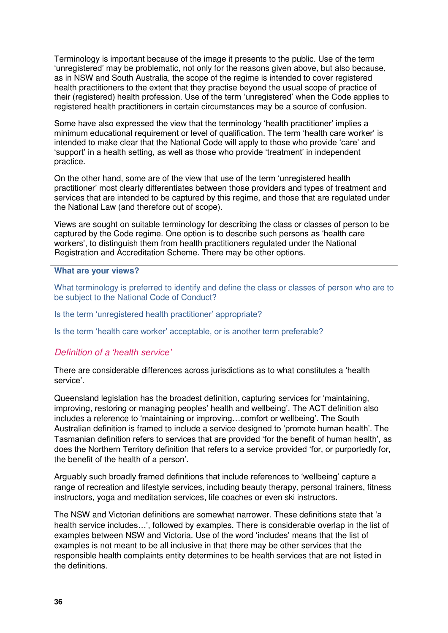Terminology is important because of the image it presents to the public. Use of the term 'unregistered' may be problematic, not only for the reasons given above, but also because, as in NSW and South Australia, the scope of the regime is intended to cover registered health practitioners to the extent that they practise beyond the usual scope of practice of their (registered) health profession. Use of the term 'unregistered' when the Code applies to registered health practitioners in certain circumstances may be a source of confusion.

Some have also expressed the view that the terminology 'health practitioner' implies a minimum educational requirement or level of qualification. The term 'health care worker' is intended to make clear that the National Code will apply to those who provide 'care' and 'support' in a health setting, as well as those who provide 'treatment' in independent practice.

On the other hand, some are of the view that use of the term 'unregistered health practitioner' most clearly differentiates between those providers and types of treatment and services that are intended to be captured by this regime, and those that are regulated under the National Law (and therefore out of scope).

Views are sought on suitable terminology for describing the class or classes of person to be captured by the Code regime. One option is to describe such persons as 'health care workers', to distinguish them from health practitioners regulated under the National Registration and Accreditation Scheme. There may be other options.

#### **What are your views?**

What terminology is preferred to identify and define the class or classes of person who are to be subject to the National Code of Conduct?

Is the term 'unregistered health practitioner' appropriate?

Is the term 'health care worker' acceptable, or is another term preferable?

#### *Definition of a 'health service'*

There are considerable differences across jurisdictions as to what constitutes a 'health service'.

Queensland legislation has the broadest definition, capturing services for 'maintaining, improving, restoring or managing peoples' health and wellbeing'. The ACT definition also includes a reference to 'maintaining or improving…comfort or wellbeing'. The South Australian definition is framed to include a service designed to 'promote human health'. The Tasmanian definition refers to services that are provided 'for the benefit of human health', as does the Northern Territory definition that refers to a service provided 'for, or purportedly for, the benefit of the health of a person'.

Arguably such broadly framed definitions that include references to 'wellbeing' capture a range of recreation and lifestyle services, including beauty therapy, personal trainers, fitness instructors, yoga and meditation services, life coaches or even ski instructors.

The NSW and Victorian definitions are somewhat narrower. These definitions state that 'a health service includes…', followed by examples. There is considerable overlap in the list of examples between NSW and Victoria. Use of the word 'includes' means that the list of examples is not meant to be all inclusive in that there may be other services that the responsible health complaints entity determines to be health services that are not listed in the definitions.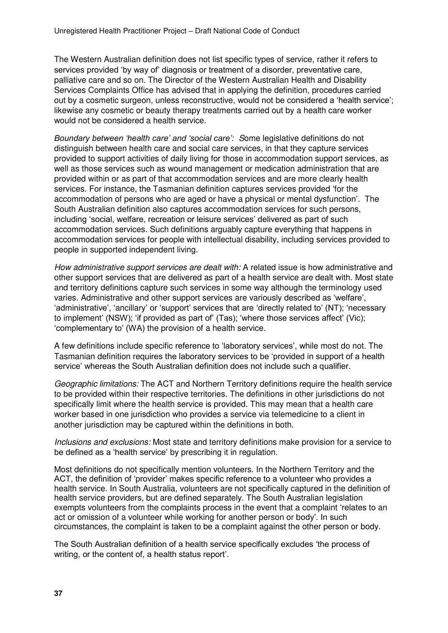The Western Australian definition does not list specific types of service, rather it refers to services provided 'by way of' diagnosis or treatment of a disorder, preventative care, palliative care and so on. The Director of the Western Australian Health and Disability Services Complaints Office has advised that in applying the definition, procedures carried out by a cosmetic surgeon, unless reconstructive, would not be considered a 'health service'; likewise any cosmetic or beauty therapy treatments carried out by a health care worker would not be considered a health service.

*Boundary between 'health care' and 'social care': S*ome legislative definitions do not distinguish between health care and social care services, in that they capture services provided to support activities of daily living for those in accommodation support services, as well as those services such as wound management or medication administration that are provided within or as part of that accommodation services and are more clearly health services. For instance, the Tasmanian definition captures services provided 'for the accommodation of persons who are aged or have a physical or mental dysfunction'. The South Australian definition also captures accommodation services for such persons, including 'social, welfare, recreation or leisure services' delivered as part of such accommodation services. Such definitions arguably capture everything that happens in accommodation services for people with intellectual disability, including services provided to people in supported independent living.

*How administrative support services are dealt with:* A related issue is how administrative and other support services that are delivered as part of a health service are dealt with. Most state and territory definitions capture such services in some way although the terminology used varies. Administrative and other support services are variously described as 'welfare', 'administrative', 'ancillary' or 'support' services that are 'directly related to' (NT); 'necessary to implement' (NSW); 'if provided as part of' (Tas); 'where those services affect' (Vic); 'complementary to' (WA) the provision of a health service.

A few definitions include specific reference to 'laboratory services', while most do not. The Tasmanian definition requires the laboratory services to be 'provided in support of a health service' whereas the South Australian definition does not include such a qualifier.

*Geographic limitations:* The ACT and Northern Territory definitions require the health service to be provided within their respective territories. The definitions in other jurisdictions do not specifically limit where the health service is provided. This may mean that a health care worker based in one jurisdiction who provides a service via telemedicine to a client in another jurisdiction may be captured within the definitions in both.

*Inclusions and exclusions:* Most state and territory definitions make provision for a service to be defined as a 'health service' by prescribing it in regulation.

Most definitions do not specifically mention volunteers. In the Northern Territory and the ACT, the definition of 'provider' makes specific reference to a volunteer who provides a health service. In South Australia, volunteers are not specifically captured in the definition of health service providers, but are defined separately. The South Australian legislation exempts volunteers from the complaints process in the event that a complaint 'relates to an act or omission of a volunteer while working for another person or body'. In such circumstances, the complaint is taken to be a complaint against the other person or body.

The South Australian definition of a health service specifically excludes 'the process of writing, or the content of, a health status report'.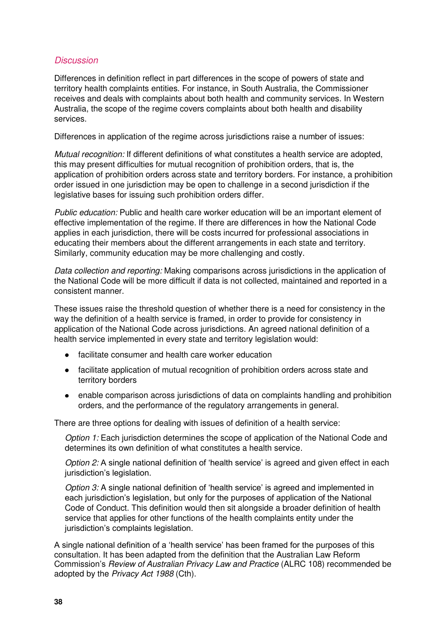## *Discussion*

Differences in definition reflect in part differences in the scope of powers of state and territory health complaints entities. For instance, in South Australia, the Commissioner receives and deals with complaints about both health and community services. In Western Australia, the scope of the regime covers complaints about both health and disability services.

Differences in application of the regime across jurisdictions raise a number of issues:

*Mutual recognition:* If different definitions of what constitutes a health service are adopted, this may present difficulties for mutual recognition of prohibition orders, that is, the application of prohibition orders across state and territory borders. For instance, a prohibition order issued in one jurisdiction may be open to challenge in a second jurisdiction if the legislative bases for issuing such prohibition orders differ.

*Public education:* Public and health care worker education will be an important element of effective implementation of the regime. If there are differences in how the National Code applies in each jurisdiction, there will be costs incurred for professional associations in educating their members about the different arrangements in each state and territory. Similarly, community education may be more challenging and costly.

*Data collection and reporting:* Making comparisons across jurisdictions in the application of the National Code will be more difficult if data is not collected, maintained and reported in a consistent manner.

These issues raise the threshold question of whether there is a need for consistency in the way the definition of a health service is framed, in order to provide for consistency in application of the National Code across jurisdictions. An agreed national definition of a health service implemented in every state and territory legislation would:

- facilitate consumer and health care worker education
- facilitate application of mutual recognition of prohibition orders across state and territory borders
- enable comparison across jurisdictions of data on complaints handling and prohibition orders, and the performance of the regulatory arrangements in general.

There are three options for dealing with issues of definition of a health service:

*Option 1:* Each jurisdiction determines the scope of application of the National Code and determines its own definition of what constitutes a health service.

*Option 2:* A single national definition of 'health service' is agreed and given effect in each jurisdiction's legislation.

*Option 3:* A single national definition of 'health service' is agreed and implemented in each jurisdiction's legislation, but only for the purposes of application of the National Code of Conduct. This definition would then sit alongside a broader definition of health service that applies for other functions of the health complaints entity under the jurisdiction's complaints legislation.

A single national definition of a 'health service' has been framed for the purposes of this consultation. It has been adapted from the definition that the Australian Law Reform Commission's *Review of Australian Privacy Law and Practice* (ALRC 108) recommended be adopted by the *Privacy Act 1988* (Cth).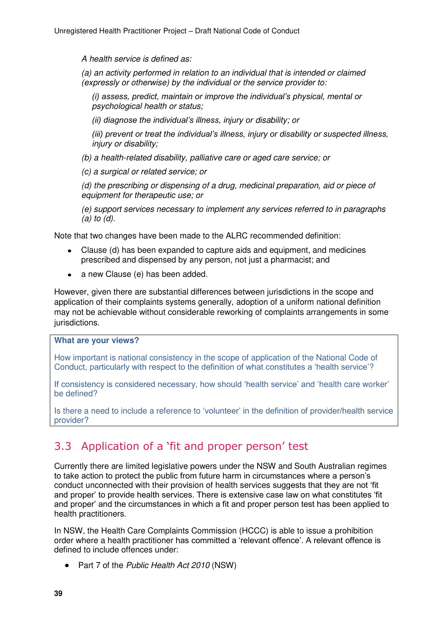*A health service is defined as:* 

*(a) an activity performed in relation to an individual that is intended or claimed (expressly or otherwise) by the individual or the service provider to:* 

*(i) assess, predict, maintain or improve the individual's physical, mental or psychological health or status;* 

*(ii) diagnose the individual's illness, injury or disability; or* 

*(iii) prevent or treat the individual's illness, injury or disability or suspected illness, injury or disability;* 

*(b) a health-related disability, palliative care or aged care service; or*

*(c) a surgical or related service; or* 

*(d) the prescribing or dispensing of a drug, medicinal preparation, aid or piece of equipment for therapeutic use; or* 

*(e) support services necessary to implement any services referred to in paragraphs (a) to (d).* 

Note that two changes have been made to the ALRC recommended definition:

- Clause (d) has been expanded to capture aids and equipment, and medicines prescribed and dispensed by any person, not just a pharmacist; and
- a new Clause (e) has been added.

However, given there are substantial differences between jurisdictions in the scope and application of their complaints systems generally, adoption of a uniform national definition may not be achievable without considerable reworking of complaints arrangements in some jurisdictions.

#### **What are your views?**

How important is national consistency in the scope of application of the National Code of Conduct, particularly with respect to the definition of what constitutes a 'health service'?

If consistency is considered necessary, how should 'health service' and 'health care worker' be defined?

Is there a need to include a reference to 'volunteer' in the definition of provider/health service provider?

# 3.3 Application of a 'fit and proper person' test

Currently there are limited legislative powers under the NSW and South Australian regimes to take action to protect the public from future harm in circumstances where a person's conduct unconnected with their provision of health services suggests that they are not 'fit and proper' to provide health services. There is extensive case law on what constitutes 'fit and proper' and the circumstances in which a fit and proper person test has been applied to health practitioners.

In NSW, the Health Care Complaints Commission (HCCC) is able to issue a prohibition order where a health practitioner has committed a 'relevant offence'. A relevant offence is defined to include offences under:

Part 7 of the *[Public Health Act 2010](http://www.austlii.edu.au/au/legis/nsw/consol_act/pha2010126/)* (NSW)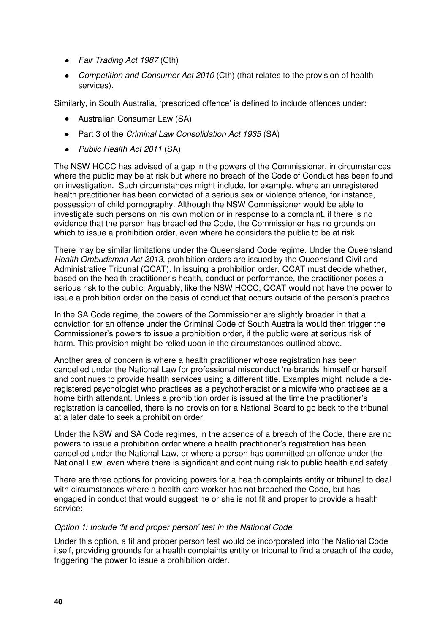- *[Fair Trading Act 1987](http://www.austlii.edu.au/au/legis/nsw/consol_act/fta1987117/)* (Cth)
- *[Competition and Consumer Act 2010](http://www.austlii.edu.au/au/legis/cth/consol_act/caca2010265/)* (Cth) (that relates to the provision of health services).

Similarly, in South Australia, 'prescribed offence' is defined to include offences under:

- Australian Consumer Law (SA)
- Part 3 of the *Criminal Law Consolidation Act 1935* (SA)
- *Public Health Act 2011* (SA).

The NSW HCCC has advised of a gap in the powers of the Commissioner, in circumstances where the public may be at risk but where no breach of the Code of Conduct has been found on investigation. Such circumstances might include, for example, where an unregistered health practitioner has been convicted of a serious sex or violence offence, for instance, possession of child pornography. Although the NSW Commissioner would be able to investigate such persons on his own motion or in response to a complaint, if there is no evidence that the person has breached the Code, the Commissioner has no grounds on which to issue a prohibition order, even where he considers the public to be at risk.

There may be similar limitations under the Queensland Code regime. Under the Queensland *Health Ombudsman Act 2013*, prohibition orders are issued by the Queensland Civil and Administrative Tribunal (QCAT). In issuing a prohibition order, QCAT must decide whether, based on the health practitioner's health, conduct or performance, the practitioner poses a serious risk to the public. Arguably, like the NSW HCCC, QCAT would not have the power to issue a prohibition order on the basis of conduct that occurs outside of the person's practice.

In the SA Code regime, the powers of the Commissioner are slightly broader in that a conviction for an offence under the Criminal Code of South Australia would then trigger the Commissioner's powers to issue a prohibition order, if the public were at serious risk of harm. This provision might be relied upon in the circumstances outlined above.

Another area of concern is where a health practitioner whose registration has been cancelled under the National Law for professional misconduct 're-brands' himself or herself and continues to provide health services using a different title. Examples might include a deregistered psychologist who practises as a psychotherapist or a midwife who practises as a home birth attendant. Unless a prohibition order is issued at the time the practitioner's registration is cancelled, there is no provision for a National Board to go back to the tribunal at a later date to seek a prohibition order.

Under the NSW and SA Code regimes, in the absence of a breach of the Code, there are no powers to issue a prohibition order where a health practitioner's registration has been cancelled under the National Law, or where a person has committed an offence under the National Law, even where there is significant and continuing risk to public health and safety.

There are three options for providing powers for a health complaints entity or tribunal to deal with circumstances where a health care worker has not breached the Code, but has engaged in conduct that would suggest he or she is not fit and proper to provide a health service:

#### *Option 1: Include 'fit and proper person' test in the National Code*

Under this option, a fit and proper person test would be incorporated into the National Code itself, providing grounds for a health complaints entity or tribunal to find a breach of the code, triggering the power to issue a prohibition order.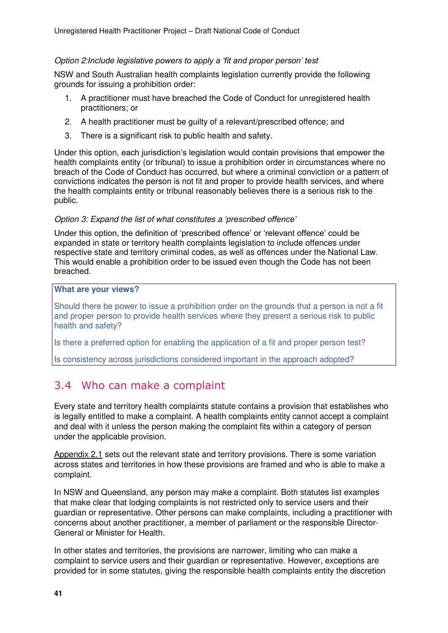## *Option 2:Include legislative powers to apply a 'fit and proper person' test*

NSW and South Australian health complaints legislation currently provide the following grounds for issuing a prohibition order:

- 1. A practitioner must have breached the Code of Conduct for unregistered health practitioners; or
- 2. A health practitioner must be guilty of a relevant/prescribed offence; and
- 3. There is a significant risk to public health and safety.

Under this option, each jurisdiction's legislation would contain provisions that empower the health complaints entity (or tribunal) to issue a prohibition order in circumstances where no breach of the Code of Conduct has occurred, but where a criminal conviction or a pattern of convictions indicates the person is not fit and proper to provide health services, and where the health complaints entity or tribunal reasonably believes there is a serious risk to the public.

#### *Option 3: Expand the list of what constitutes a 'prescribed offence'*

Under this option, the definition of 'prescribed offence' or 'relevant offence' could be expanded in state or territory health complaints legislation to include offences under respective state and territory criminal codes, as well as offences under the National Law. This would enable a prohibition order to be issued even though the Code has not been breached.

#### **What are your views?**

Should there be power to issue a prohibition order on the grounds that a person is not a fit and proper person to provide health services where they present a serious risk to public health and safety?

Is there a preferred option for enabling the application of a fit and proper person test?

Is consistency across jurisdictions considered important in the approach adopted?

# 3.4 Who can make a complaint

Every state and territory health complaints statute contains a provision that establishes who is legally entitled to make a complaint. A health complaints entity cannot accept a complaint and deal with it unless the person making the complaint fits within a category of person under the applicable provision.

Appendix 2.1 sets out the relevant state and territory provisions. There is some variation across states and territories in how these provisions are framed and who is able to make a complaint.

In NSW and Queensland, any person may make a complaint. Both statutes list examples that make clear that lodging complaints is not restricted only to service users and their guardian or representative. Other persons can make complaints, including a practitioner with concerns about another practitioner, a member of parliament or the responsible Director-General or Minister for Health.

In other states and territories, the provisions are narrower, limiting who can make a complaint to service users and their guardian or representative. However, exceptions are provided for in some statutes, giving the responsible health complaints entity the discretion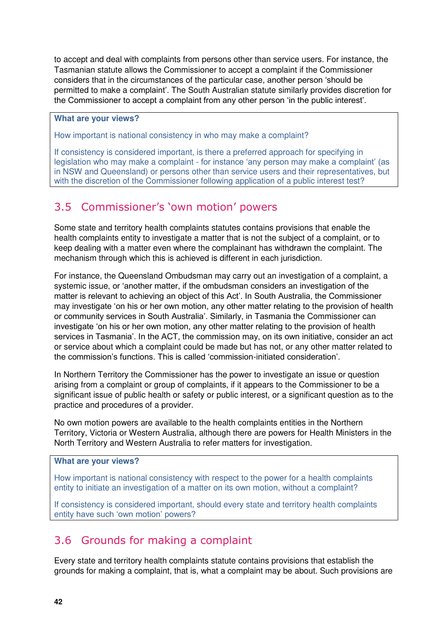to accept and deal with complaints from persons other than service users. For instance, the Tasmanian statute allows the Commissioner to accept a complaint if the Commissioner considers that in the circumstances of the particular case, another person 'should be permitted to make a complaint'. The South Australian statute similarly provides discretion for the Commissioner to accept a complaint from any other person 'in the public interest'.

**What are your views?** 

How important is national consistency in who may make a complaint?

If consistency is considered important, is there a preferred approach for specifying in legislation who may make a complaint - for instance 'any person may make a complaint' (as in NSW and Queensland) or persons other than service users and their representatives, but with the discretion of the Commissioner following application of a public interest test?

# 3.5 Commissioner's 'own motion' powers

Some state and territory health complaints statutes contains provisions that enable the health complaints entity to investigate a matter that is not the subject of a complaint, or to keep dealing with a matter even where the complainant has withdrawn the complaint. The mechanism through which this is achieved is different in each jurisdiction.

For instance, the Queensland Ombudsman may carry out an investigation of a complaint, a systemic issue, or 'another matter, if the ombudsman considers an investigation of the matter is relevant to achieving an object of this Act'. In South Australia, the Commissioner may investigate 'on his or her own motion, any other matter relating to the provision of health or community services in South Australia'. Similarly, in Tasmania the Commissioner can investigate 'on his or her own motion, any other matter relating to the provision of health services in Tasmania'. In the ACT, the commission may, on its own initiative, consider an act or service about which a complaint could be made but has not, or any other matter related to the commission's functions. This is called 'commission-initiated consideration'.

In Northern Territory the Commissioner has the power to investigate an issue or question arising from a complaint or group of complaints, if it appears to the Commissioner to be a significant issue of public health or safety or public interest, or a significant question as to the practice and procedures of a provider.

No own motion powers are available to the health complaints entities in the Northern Territory, Victoria or Western Australia, although there are powers for Health Ministers in the North Territory and Western Australia to refer matters for investigation.

#### **What are your views?**

How important is national consistency with respect to the power for a health complaints entity to initiate an investigation of a matter on its own motion, without a complaint?

If consistency is considered important, should every state and territory health complaints entity have such 'own motion' powers?

# 3.6 Grounds for making a complaint

Every state and territory health complaints statute contains provisions that establish the grounds for making a complaint, that is, what a complaint may be about. Such provisions are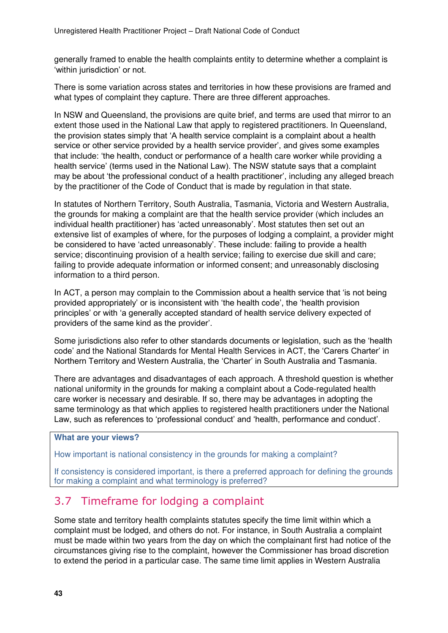generally framed to enable the health complaints entity to determine whether a complaint is 'within jurisdiction' or not.

There is some variation across states and territories in how these provisions are framed and what types of complaint they capture. There are three different approaches.

In NSW and Queensland, the provisions are quite brief, and terms are used that mirror to an extent those used in the National Law that apply to registered practitioners. In Queensland, the provision states simply that 'A health service complaint is a complaint about a health service or other service provided by a health service provider', and gives some examples that include: 'the health, conduct or performance of a health care worker while providing a health service' (terms used in the National Law). The NSW statute says that a complaint may be about 'the professional conduct of a health practitioner', including any alleged breach by the practitioner of the Code of Conduct that is made by regulation in that state.

In statutes of Northern Territory, South Australia, Tasmania, Victoria and Western Australia, the grounds for making a complaint are that the health service provider (which includes an individual health practitioner) has 'acted unreasonably'. Most statutes then set out an extensive list of examples of where, for the purposes of lodging a complaint, a provider might be considered to have 'acted unreasonably'. These include: failing to provide a health service; discontinuing provision of a health service; failing to exercise due skill and care; failing to provide adequate information or informed consent; and unreasonably disclosing information to a third person.

In ACT, a person may complain to the Commission about a health service that 'is not being provided appropriately' or is inconsistent with 'the health code', the 'health provision principles' or with 'a generally accepted standard of health service delivery expected of providers of the same kind as the provider'.

Some jurisdictions also refer to other standards documents or legislation, such as the 'health code' and the National Standards for Mental Health Services in ACT, the 'Carers Charter' in Northern Territory and Western Australia, the 'Charter' in South Australia and Tasmania.

There are advantages and disadvantages of each approach. A threshold question is whether national uniformity in the grounds for making a complaint about a Code-regulated health care worker is necessary and desirable. If so, there may be advantages in adopting the same terminology as that which applies to registered health practitioners under the National Law, such as references to 'professional conduct' and 'health, performance and conduct'.

#### **What are your views?**

How important is national consistency in the grounds for making a complaint?

If consistency is considered important, is there a preferred approach for defining the grounds for making a complaint and what terminology is preferred?

# 3.7 Timeframe for lodging a complaint

Some state and territory health complaints statutes specify the time limit within which a complaint must be lodged, and others do not. For instance, in South Australia a complaint must be made within two years from the day on which the complainant first had notice of the circumstances giving rise to the complaint, however the Commissioner has broad discretion to extend the period in a particular case. The same time limit applies in Western Australia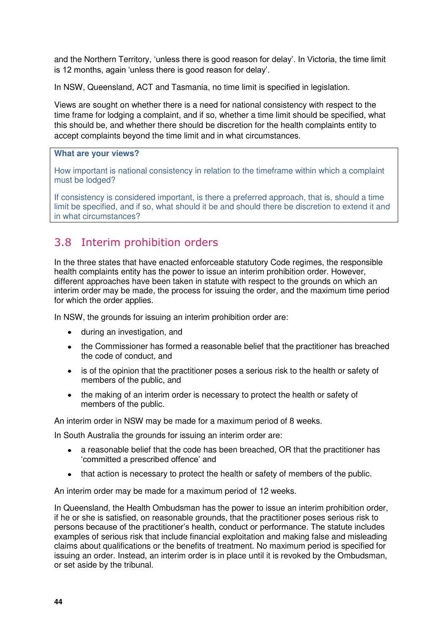and the Northern Territory, 'unless there is good reason for delay'. In Victoria, the time limit is 12 months, again 'unless there is good reason for delay'.

In NSW, Queensland, ACT and Tasmania, no time limit is specified in legislation.

Views are sought on whether there is a need for national consistency with respect to the time frame for lodging a complaint, and if so, whether a time limit should be specified, what this should be, and whether there should be discretion for the health complaints entity to accept complaints beyond the time limit and in what circumstances.

#### **What are your views?**

How important is national consistency in relation to the timeframe within which a complaint must be lodged?

If consistency is considered important, is there a preferred approach, that is, should a time limit be specified, and if so, what should it be and should there be discretion to extend it and in what circumstances?

# 3.8 Interim prohibition orders

In the three states that have enacted enforceable statutory Code regimes, the responsible health complaints entity has the power to issue an interim prohibition order. However, different approaches have been taken in statute with respect to the grounds on which an interim order may be made, the process for issuing the order, and the maximum time period for which the order applies.

In NSW, the grounds for issuing an interim prohibition order are:

- during an investigation, and
- the Commissioner has formed a reasonable belief that the practitioner has breached the code of conduct, and
- is of the opinion that the practitioner poses a serious risk to the health or safety of members of the public, and
- the making of an interim order is necessary to protect the health or safety of members of the public.

An interim order in NSW may be made for a maximum period of 8 weeks.

In South Australia the grounds for issuing an interim order are:

- a reasonable belief that the code has been breached, OR that the practitioner has 'committed a prescribed offence' and
- that action is necessary to protect the health or safety of members of the public.

An interim order may be made for a maximum period of 12 weeks.

In Queensland, the Health Ombudsman has the power to issue an interim prohibition order, if he or she is satisfied, on reasonable grounds, that the practitioner poses serious risk to persons because of the practitioner's health, conduct or performance. The statute includes examples of serious risk that include financial exploitation and making false and misleading claims about qualifications or the benefits of treatment. No maximum period is specified for issuing an order. Instead, an interim order is in place until it is revoked by the Ombudsman, or set aside by the tribunal.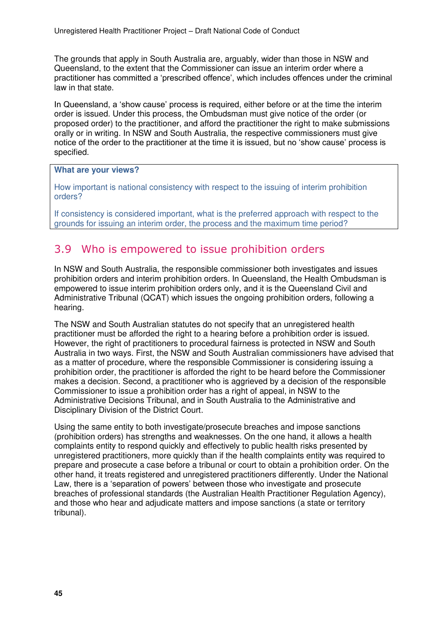The grounds that apply in South Australia are, arguably, wider than those in NSW and Queensland, to the extent that the Commissioner can issue an interim order where a practitioner has committed a 'prescribed offence', which includes offences under the criminal law in that state.

In Queensland, a 'show cause' process is required, either before or at the time the interim order is issued. Under this process, the Ombudsman must give notice of the order (or proposed order) to the practitioner, and afford the practitioner the right to make submissions orally or in writing. In NSW and South Australia, the respective commissioners must give notice of the order to the practitioner at the time it is issued, but no 'show cause' process is specified.

#### **What are your views?**

How important is national consistency with respect to the issuing of interim prohibition orders?

If consistency is considered important, what is the preferred approach with respect to the grounds for issuing an interim order, the process and the maximum time period?

# 3.9 Who is empowered to issue prohibition orders

In NSW and South Australia, the responsible commissioner both investigates and issues prohibition orders and interim prohibition orders. In Queensland, the Health Ombudsman is empowered to issue interim prohibition orders only, and it is the Queensland Civil and Administrative Tribunal (QCAT) which issues the ongoing prohibition orders, following a hearing.

The NSW and South Australian statutes do not specify that an unregistered health practitioner must be afforded the right to a hearing before a prohibition order is issued. However, the right of practitioners to procedural fairness is protected in NSW and South Australia in two ways. First, the NSW and South Australian commissioners have advised that as a matter of procedure, where the responsible Commissioner is considering issuing a prohibition order, the practitioner is afforded the right to be heard before the Commissioner makes a decision. Second, a practitioner who is aggrieved by a decision of the responsible Commissioner to issue a prohibition order has a right of appeal, in NSW to the Administrative Decisions Tribunal, and in South Australia to the Administrative and Disciplinary Division of the District Court.

Using the same entity to both investigate/prosecute breaches and impose sanctions (prohibition orders) has strengths and weaknesses. On the one hand, it allows a health complaints entity to respond quickly and effectively to public health risks presented by unregistered practitioners, more quickly than if the health complaints entity was required to prepare and prosecute a case before a tribunal or court to obtain a prohibition order. On the other hand, it treats registered and unregistered practitioners differently. Under the National Law, there is a 'separation of powers' between those who investigate and prosecute breaches of professional standards (the Australian Health Practitioner Regulation Agency), and those who hear and adjudicate matters and impose sanctions (a state or territory tribunal).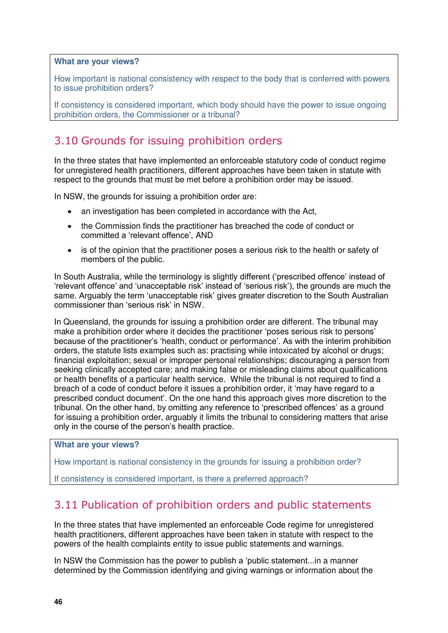#### **What are your views?**

How important is national consistency with respect to the body that is conferred with powers to issue prohibition orders?

If consistency is considered important, which body should have the power to issue ongoing prohibition orders, the Commissioner or a tribunal?

# 3.10 Grounds for issuing prohibition orders

In the three states that have implemented an enforceable statutory code of conduct regime for unregistered health practitioners, different approaches have been taken in statute with respect to the grounds that must be met before a prohibition order may be issued.

In NSW, the grounds for issuing a prohibition order are:

- an investigation has been completed in accordance with the Act,
- the Commission finds the practitioner has breached the code of conduct or committed a 'relevant offence', AND
- is of the opinion that the practitioner poses a serious risk to the health or safety of members of the public.

In South Australia, while the terminology is slightly different ('prescribed offence' instead of 'relevant offence' and 'unacceptable risk' instead of 'serious risk'), the grounds are much the same. Arguably the term 'unacceptable risk' gives greater discretion to the South Australian commissioner than 'serious risk' in NSW.

In Queensland, the grounds for issuing a prohibition order are different. The tribunal may make a prohibition order where it decides the practitioner 'poses serious risk to persons' because of the practitioner's 'health, conduct or performance'. As with the interim prohibition orders, the statute lists examples such as: practising while intoxicated by alcohol or drugs; financial exploitation; sexual or improper personal relationships; discouraging a person from seeking clinically accepted care; and making false or misleading claims about qualifications or health benefits of a particular health service. While the tribunal is not required to find a breach of a code of conduct before it issues a prohibition order, it 'may have regard to a prescribed conduct document'. On the one hand this approach gives more discretion to the tribunal. On the other hand, by omitting any reference to 'prescribed offences' as a ground for issuing a prohibition order, arguably it limits the tribunal to considering matters that arise only in the course of the person's health practice.

**What are your views?** 

How important is national consistency in the grounds for issuing a prohibition order?

If consistency is considered important, is there a preferred approach?

# 3.11 Publication of prohibition orders and public statements

In the three states that have implemented an enforceable Code regime for unregistered health practitioners, different approaches have been taken in statute with respect to the powers of the health complaints entity to issue public statements and warnings.

In NSW the Commission has the power to publish a 'public statement...in a manner determined by the Commission identifying and giving warnings or information about the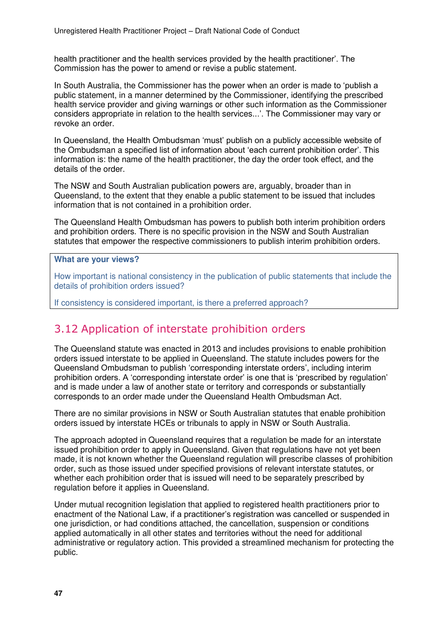health practitioner and the health services provided by the health practitioner'. The Commission has the power to amend or revise a public statement.

In South Australia, the Commissioner has the power when an order is made to 'publish a public statement, in a manner determined by the Commissioner, identifying the prescribed health service provider and giving warnings or other such information as the Commissioner considers appropriate in relation to the health services...'. The Commissioner may vary or revoke an order.

In Queensland, the Health Ombudsman 'must' publish on a publicly accessible website of the Ombudsman a specified list of information about 'each current prohibition order'. This information is: the name of the health practitioner, the day the order took effect, and the details of the order.

The NSW and South Australian publication powers are, arguably, broader than in Queensland, to the extent that they enable a public statement to be issued that includes information that is not contained in a prohibition order.

The Queensland Health Ombudsman has powers to publish both interim prohibition orders and prohibition orders. There is no specific provision in the NSW and South Australian statutes that empower the respective commissioners to publish interim prohibition orders.

#### **What are your views?**

How important is national consistency in the publication of public statements that include the details of prohibition orders issued?

If consistency is considered important, is there a preferred approach?

# 3.12 Application of interstate prohibition orders

The Queensland statute was enacted in 2013 and includes provisions to enable prohibition orders issued interstate to be applied in Queensland. The statute includes powers for the Queensland Ombudsman to publish 'corresponding interstate orders', including interim prohibition orders. A 'corresponding interstate order' is one that is 'prescribed by regulation' and is made under a law of another state or territory and corresponds or substantially corresponds to an order made under the Queensland Health Ombudsman Act.

There are no similar provisions in NSW or South Australian statutes that enable prohibition orders issued by interstate HCEs or tribunals to apply in NSW or South Australia.

The approach adopted in Queensland requires that a regulation be made for an interstate issued prohibition order to apply in Queensland. Given that regulations have not yet been made, it is not known whether the Queensland regulation will prescribe classes of prohibition order, such as those issued under specified provisions of relevant interstate statutes, or whether each prohibition order that is issued will need to be separately prescribed by regulation before it applies in Queensland.

Under mutual recognition legislation that applied to registered health practitioners prior to enactment of the National Law, if a practitioner's registration was cancelled or suspended in one jurisdiction, or had conditions attached, the cancellation, suspension or conditions applied automatically in all other states and territories without the need for additional administrative or regulatory action. This provided a streamlined mechanism for protecting the public.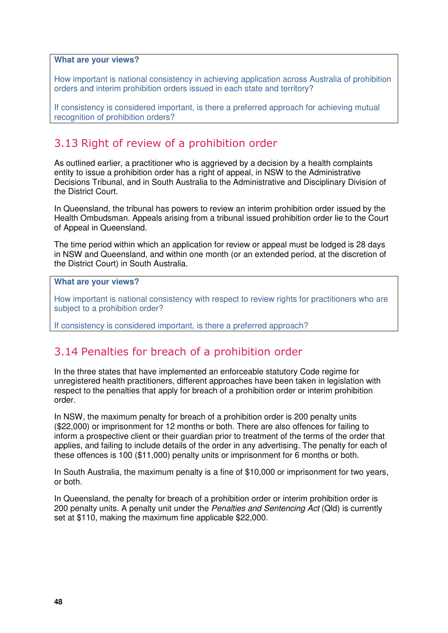#### **What are your views?**

How important is national consistency in achieving application across Australia of prohibition orders and interim prohibition orders issued in each state and territory?

If consistency is considered important, is there a preferred approach for achieving mutual recognition of prohibition orders?

# 3.13 Right of review of a prohibition order

As outlined earlier, a practitioner who is aggrieved by a decision by a health complaints entity to issue a prohibition order has a right of appeal, in NSW to the Administrative Decisions Tribunal, and in South Australia to the Administrative and Disciplinary Division of the District Court.

In Queensland, the tribunal has powers to review an interim prohibition order issued by the Health Ombudsman. Appeals arising from a tribunal issued prohibition order lie to the Court of Appeal in Queensland.

The time period within which an application for review or appeal must be lodged is 28 days in NSW and Queensland, and within one month (or an extended period, at the discretion of the District Court) in South Australia.

#### **What are your views?**

How important is national consistency with respect to review rights for practitioners who are subject to a prohibition order?

If consistency is considered important, is there a preferred approach?

# 3.14 Penalties for breach of a prohibition order

In the three states that have implemented an enforceable statutory Code regime for unregistered health practitioners, different approaches have been taken in legislation with respect to the penalties that apply for breach of a prohibition order or interim prohibition order.

In NSW, the maximum penalty for breach of a prohibition order is 200 penalty units (\$22,000) or imprisonment for 12 months or both. There are also offences for failing to inform a prospective client or their guardian prior to treatment of the terms of the order that applies, and failing to include details of the order in any advertising. The penalty for each of these offences is 100 (\$11,000) penalty units or imprisonment for 6 months or both.

In South Australia, the maximum penalty is a fine of \$10,000 or imprisonment for two years, or both.

In Queensland, the penalty for breach of a prohibition order or interim prohibition order is 200 penalty units. A penalty unit under the *Penalties and Sentencing Act* (Qld) is currently set at \$110, making the maximum fine applicable \$22,000.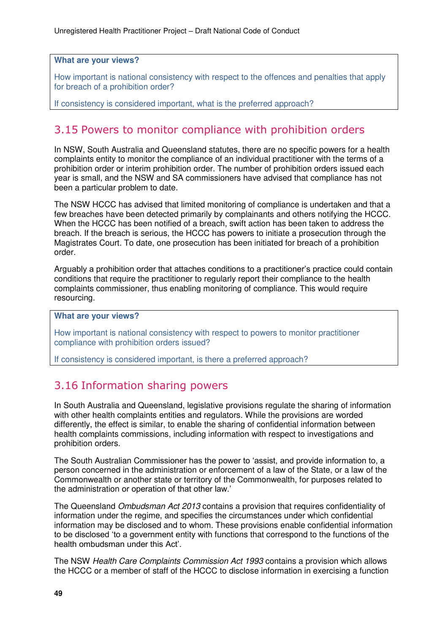#### **What are your views?**

How important is national consistency with respect to the offences and penalties that apply for breach of a prohibition order?

If consistency is considered important, what is the preferred approach?

# 3.15 Powers to monitor compliance with prohibition orders

In NSW, South Australia and Queensland statutes, there are no specific powers for a health complaints entity to monitor the compliance of an individual practitioner with the terms of a prohibition order or interim prohibition order. The number of prohibition orders issued each year is small, and the NSW and SA commissioners have advised that compliance has not been a particular problem to date.

The NSW HCCC has advised that limited monitoring of compliance is undertaken and that a few breaches have been detected primarily by complainants and others notifying the HCCC. When the HCCC has been notified of a breach, swift action has been taken to address the breach. If the breach is serious, the HCCC has powers to initiate a prosecution through the Magistrates Court. To date, one prosecution has been initiated for breach of a prohibition order.

Arguably a prohibition order that attaches conditions to a practitioner's practice could contain conditions that require the practitioner to regularly report their compliance to the health complaints commissioner, thus enabling monitoring of compliance. This would require resourcing.

**What are your views?** 

How important is national consistency with respect to powers to monitor practitioner compliance with prohibition orders issued?

If consistency is considered important, is there a preferred approach?

# 3.16 Information sharing powers

In South Australia and Queensland, legislative provisions regulate the sharing of information with other health complaints entities and regulators. While the provisions are worded differently, the effect is similar, to enable the sharing of confidential information between health complaints commissions, including information with respect to investigations and prohibition orders.

The South Australian Commissioner has the power to 'assist, and provide information to, a person concerned in the administration or enforcement of a law of the State, or a law of the Commonwealth or another state or territory of the Commonwealth, for purposes related to the administration or operation of that other law.'

The Queensland *Ombudsman Act 2013* contains a provision that requires confidentiality of information under the regime, and specifies the circumstances under which confidential information may be disclosed and to whom. These provisions enable confidential information to be disclosed 'to a government entity with functions that correspond to the functions of the health ombudsman under this Act'.

The NSW *Health Care Complaints Commission Act 1993* contains a provision which allows the HCCC or a member of staff of the HCCC to disclose information in exercising a function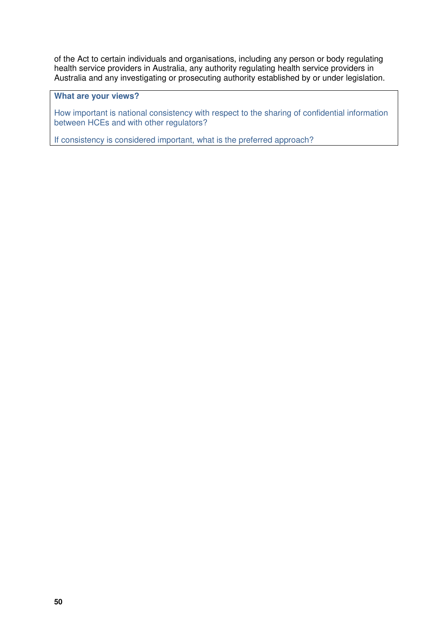of the Act to certain individuals and organisations, including any person or body regulating health service providers in Australia, any authority regulating health service providers in Australia and any investigating or prosecuting authority established by or under legislation.

## **What are your views?**

How important is national consistency with respect to the sharing of confidential information between HCEs and with other regulators?

If consistency is considered important, what is the preferred approach?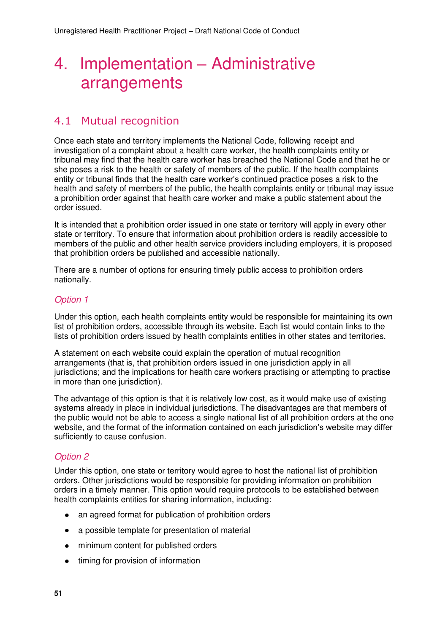# 4. Implementation – Administrative arrangements

# 4.1 Mutual recognition

Once each state and territory implements the National Code, following receipt and investigation of a complaint about a health care worker, the health complaints entity or tribunal may find that the health care worker has breached the National Code and that he or she poses a risk to the health or safety of members of the public. If the health complaints entity or tribunal finds that the health care worker's continued practice poses a risk to the health and safety of members of the public, the health complaints entity or tribunal may issue a prohibition order against that health care worker and make a public statement about the order issued.

It is intended that a prohibition order issued in one state or territory will apply in every other state or territory. To ensure that information about prohibition orders is readily accessible to members of the public and other health service providers including employers, it is proposed that prohibition orders be published and accessible nationally.

There are a number of options for ensuring timely public access to prohibition orders nationally.

# *Option 1*

Under this option, each health complaints entity would be responsible for maintaining its own list of prohibition orders, accessible through its website. Each list would contain links to the lists of prohibition orders issued by health complaints entities in other states and territories.

A statement on each website could explain the operation of mutual recognition arrangements (that is, that prohibition orders issued in one jurisdiction apply in all jurisdictions; and the implications for health care workers practising or attempting to practise in more than one jurisdiction).

The advantage of this option is that it is relatively low cost, as it would make use of existing systems already in place in individual jurisdictions. The disadvantages are that members of the public would not be able to access a single national list of all prohibition orders at the one website, and the format of the information contained on each jurisdiction's website may differ sufficiently to cause confusion.

# *Option 2*

Under this option, one state or territory would agree to host the national list of prohibition orders. Other jurisdictions would be responsible for providing information on prohibition orders in a timely manner. This option would require protocols to be established between health complaints entities for sharing information, including:

- an agreed format for publication of prohibition orders
- $\bullet$ a possible template for presentation of material
- minimum content for published orders  $\bullet$
- timing for provision of information  $\bullet$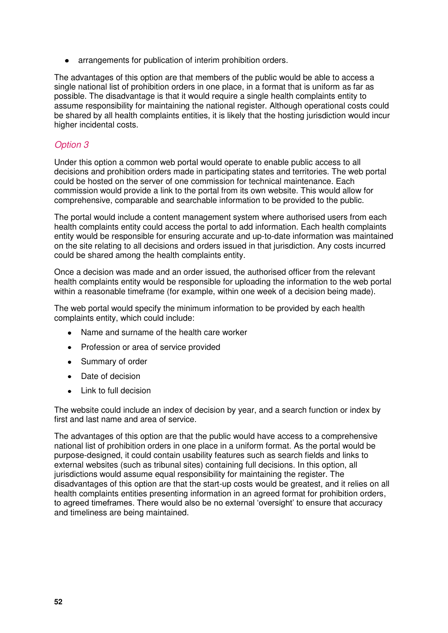arrangements for publication of interim prohibition orders.  $\bullet$ 

The advantages of this option are that members of the public would be able to access a single national list of prohibition orders in one place, in a format that is uniform as far as possible. The disadvantage is that it would require a single health complaints entity to assume responsibility for maintaining the national register. Although operational costs could be shared by all health complaints entities, it is likely that the hosting jurisdiction would incur higher incidental costs.

# *Option 3*

Under this option a common web portal would operate to enable public access to all decisions and prohibition orders made in participating states and territories. The web portal could be hosted on the server of one commission for technical maintenance. Each commission would provide a link to the portal from its own website. This would allow for comprehensive, comparable and searchable information to be provided to the public.

The portal would include a content management system where authorised users from each health complaints entity could access the portal to add information. Each health complaints entity would be responsible for ensuring accurate and up-to-date information was maintained on the site relating to all decisions and orders issued in that jurisdiction. Any costs incurred could be shared among the health complaints entity.

Once a decision was made and an order issued, the authorised officer from the relevant health complaints entity would be responsible for uploading the information to the web portal within a reasonable timeframe (for example, within one week of a decision being made).

The web portal would specify the minimum information to be provided by each health complaints entity, which could include:

- Name and surname of the health care worker
- Profession or area of service provided
- Summary of order
- Date of decision
- Link to full decision

The website could include an index of decision by year, and a search function or index by first and last name and area of service.

The advantages of this option are that the public would have access to a comprehensive national list of prohibition orders in one place in a uniform format. As the portal would be purpose-designed, it could contain usability features such as search fields and links to external websites (such as tribunal sites) containing full decisions. In this option, all jurisdictions would assume equal responsibility for maintaining the register. The disadvantages of this option are that the start-up costs would be greatest, and it relies on all health complaints entities presenting information in an agreed format for prohibition orders, to agreed timeframes. There would also be no external 'oversight' to ensure that accuracy and timeliness are being maintained.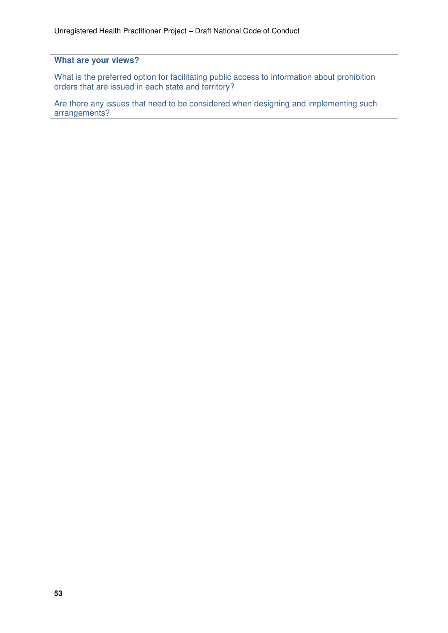# **What are your views?**

What is the preferred option for facilitating public access to information about prohibition orders that are issued in each state and territory?

Are there any issues that need to be considered when designing and implementing such arrangements?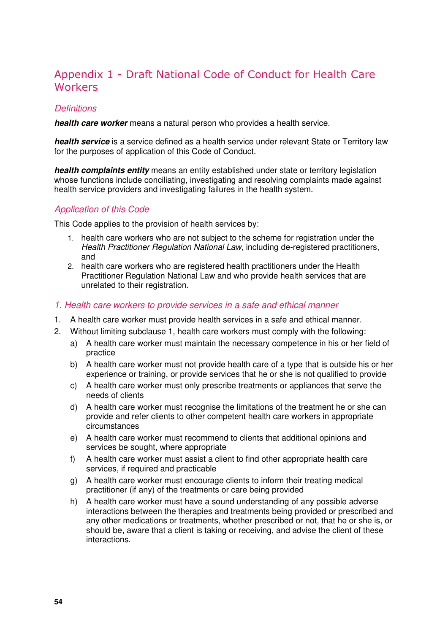# Appendix 1 - Draft National Code of Conduct for Health Care **Workers**

## *Definitions*

*health care worker* means a natural person who provides a health service.

*health service* is a service defined as a health service under relevant State or Territory law for the purposes of application of this Code of Conduct.

*health complaints entity* means an entity established under state or territory legislation whose functions include conciliating, investigating and resolving complaints made against health service providers and investigating failures in the health system.

## *Application of this Code*

This Code applies to the provision of health services by:

- 1. health care workers who are not subject to the scheme for registration under the *Health Practitioner Regulation National Law*, including de-registered practitioners, and
- 2. health care workers who are registered health practitioners under the Health Practitioner Regulation National Law and who provide health services that are unrelated to their registration.

#### *1. Health care workers to provide services in a safe and ethical manner*

- 1. A health care worker must provide health services in a safe and ethical manner.
- 2. Without limiting subclause 1, health care workers must comply with the following:
	- a) A health care worker must maintain the necessary competence in his or her field of practice
	- b) A health care worker must not provide health care of a type that is outside his or her experience or training, or provide services that he or she is not qualified to provide
	- c) A health care worker must only prescribe treatments or appliances that serve the needs of clients
	- d) A health care worker must recognise the limitations of the treatment he or she can provide and refer clients to other competent health care workers in appropriate circumstances
	- e) A health care worker must recommend to clients that additional opinions and services be sought, where appropriate
	- f) A health care worker must assist a client to find other appropriate health care services, if required and practicable
	- g) A health care worker must encourage clients to inform their treating medical practitioner (if any) of the treatments or care being provided
	- h) A health care worker must have a sound understanding of any possible adverse interactions between the therapies and treatments being provided or prescribed and any other medications or treatments, whether prescribed or not, that he or she is, or should be, aware that a client is taking or receiving, and advise the client of these interactions.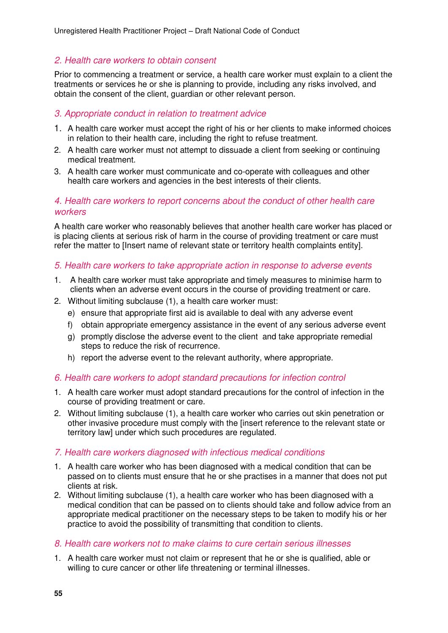# *2. Health care workers to obtain consent*

Prior to commencing a treatment or service, a health care worker must explain to a client the treatments or services he or she is planning to provide, including any risks involved, and obtain the consent of the client, guardian or other relevant person.

## *3. Appropriate conduct in relation to treatment advice*

- 1. A health care worker must accept the right of his or her clients to make informed choices in relation to their health care, including the right to refuse treatment.
- 2. A health care worker must not attempt to dissuade a client from seeking or continuing medical treatment.
- 3. A health care worker must communicate and co-operate with colleagues and other health care workers and agencies in the best interests of their clients.

## *4. Health care workers to report concerns about the conduct of other health care workers*

A health care worker who reasonably believes that another health care worker has placed or is placing clients at serious risk of harm in the course of providing treatment or care must refer the matter to [Insert name of relevant state or territory health complaints entity].

## *5. Health care workers to take appropriate action in response to adverse events*

- 1. A health care worker must take appropriate and timely measures to minimise harm to clients when an adverse event occurs in the course of providing treatment or care.
- 2. Without limiting subclause (1), a health care worker must:
	- e) ensure that appropriate first aid is available to deal with any adverse event
	- f) obtain appropriate emergency assistance in the event of any serious adverse event
	- g) promptly disclose the adverse event to the client and take appropriate remedial steps to reduce the risk of recurrence.
	- h) report the adverse event to the relevant authority, where appropriate.

## *6. Health care workers to adopt standard precautions for infection control*

- 1. A health care worker must adopt standard precautions for the control of infection in the course of providing treatment or care.
- 2. Without limiting subclause (1), a health care worker who carries out skin penetration or other invasive procedure must comply with the [insert reference to the relevant state or territory law] under which such procedures are regulated.

#### *7. Health care workers diagnosed with infectious medical conditions*

- 1. A health care worker who has been diagnosed with a medical condition that can be passed on to clients must ensure that he or she practises in a manner that does not put clients at risk.
- 2. Without limiting subclause (1), a health care worker who has been diagnosed with a medical condition that can be passed on to clients should take and follow advice from an appropriate medical practitioner on the necessary steps to be taken to modify his or her practice to avoid the possibility of transmitting that condition to clients.

#### *8. Health care workers not to make claims to cure certain serious illnesses*

1. A health care worker must not claim or represent that he or she is qualified, able or willing to cure cancer or other life threatening or terminal illnesses.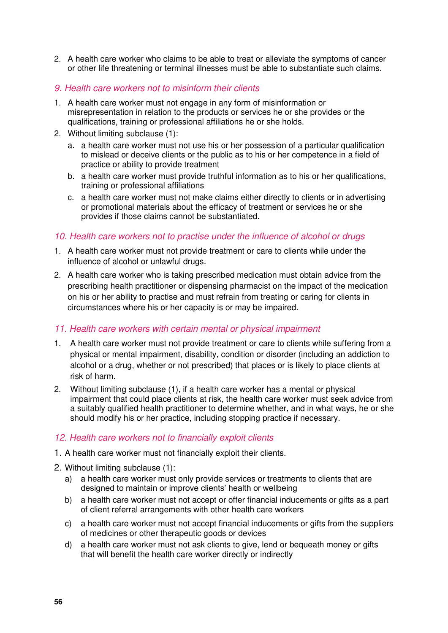- 2. A health care worker who claims to be able to treat or alleviate the symptoms of cancer or other life threatening or terminal illnesses must be able to substantiate such claims.
- *9. Health care workers not to misinform their clients*
- 1. A health care worker must not engage in any form of misinformation or misrepresentation in relation to the products or services he or she provides or the qualifications, training or professional affiliations he or she holds.
- 2. Without limiting subclause (1):
	- a. a health care worker must not use his or her possession of a particular qualification to mislead or deceive clients or the public as to his or her competence in a field of practice or ability to provide treatment
	- b. a health care worker must provide truthful information as to his or her qualifications, training or professional affiliations
	- c. a health care worker must not make claims either directly to clients or in advertising or promotional materials about the efficacy of treatment or services he or she provides if those claims cannot be substantiated.

## *10. Health care workers not to practise under the influence of alcohol or drugs*

- 1. A health care worker must not provide treatment or care to clients while under the influence of alcohol or unlawful drugs.
- 2. A health care worker who is taking prescribed medication must obtain advice from the prescribing health practitioner or dispensing pharmacist on the impact of the medication on his or her ability to practise and must refrain from treating or caring for clients in circumstances where his or her capacity is or may be impaired.

## *11. Health care workers with certain mental or physical impairment*

- 1. A health care worker must not provide treatment or care to clients while suffering from a physical or mental impairment, disability, condition or disorder (including an addiction to alcohol or a drug, whether or not prescribed) that places or is likely to place clients at risk of harm.
- 2. Without limiting subclause (1), if a health care worker has a mental or physical impairment that could place clients at risk, the health care worker must seek advice from a suitably qualified health practitioner to determine whether, and in what ways, he or she should modify his or her practice, including stopping practice if necessary.

## *12. Health care workers not to financially exploit clients*

- 1. A health care worker must not financially exploit their clients.
- 2. Without limiting subclause (1):
	- a) a health care worker must only provide services or treatments to clients that are designed to maintain or improve clients' health or wellbeing
	- b) a health care worker must not accept or offer financial inducements or gifts as a part of client referral arrangements with other health care workers
	- c) a health care worker must not accept financial inducements or gifts from the suppliers of medicines or other therapeutic goods or devices
	- d) a health care worker must not ask clients to give, lend or bequeath money or gifts that will benefit the health care worker directly or indirectly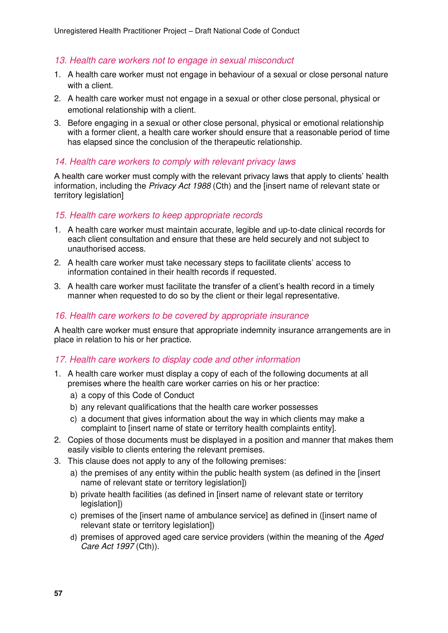## *13. Health care workers not to engage in sexual misconduct*

- 1. A health care worker must not engage in behaviour of a sexual or close personal nature with a client.
- 2. A health care worker must not engage in a sexual or other close personal, physical or emotional relationship with a client.
- 3. Before engaging in a sexual or other close personal, physical or emotional relationship with a former client, a health care worker should ensure that a reasonable period of time has elapsed since the conclusion of the therapeutic relationship.

## *14. Health care workers to comply with relevant privacy laws*

A health care worker must comply with the relevant privacy laws that apply to clients' health information, including the *Privacy Act 1988* (Cth) and the [insert name of relevant state or territory legislation]

## *15. Health care workers to keep appropriate records*

- 1. A health care worker must maintain accurate, legible and up-to-date clinical records for each client consultation and ensure that these are held securely and not subject to unauthorised access.
- 2. A health care worker must take necessary steps to facilitate clients' access to information contained in their health records if requested.
- 3. A health care worker must facilitate the transfer of a client's health record in a timely manner when requested to do so by the client or their legal representative.

#### *16. Health care workers to be covered by appropriate insurance*

A health care worker must ensure that appropriate indemnity insurance arrangements are in place in relation to his or her practice.

#### *17. Health care workers to display code and other information*

- 1. A health care worker must display a copy of each of the following documents at all premises where the health care worker carries on his or her practice:
	- a) a copy of this Code of Conduct
	- b) any relevant qualifications that the health care worker possesses
	- c) a document that gives information about the way in which clients may make a complaint to [insert name of state or territory health complaints entity].
- 2. Copies of those documents must be displayed in a position and manner that makes them easily visible to clients entering the relevant premises.
- 3. This clause does not apply to any of the following premises:
	- a) the premises of any entity within the public health system (as defined in the linsert name of relevant state or territory legislation])
	- b) private health facilities (as defined in [insert name of relevant state or territory legislation])
	- c) premises of the [insert name of ambulance service] as defined in ([insert name of relevant state or territory legislation])
	- d) premises of approved aged care service providers (within the meaning of the *[Aged](http://www.comlaw.gov.au/)  [Care Act 1997](http://www.comlaw.gov.au/)* (Cth)).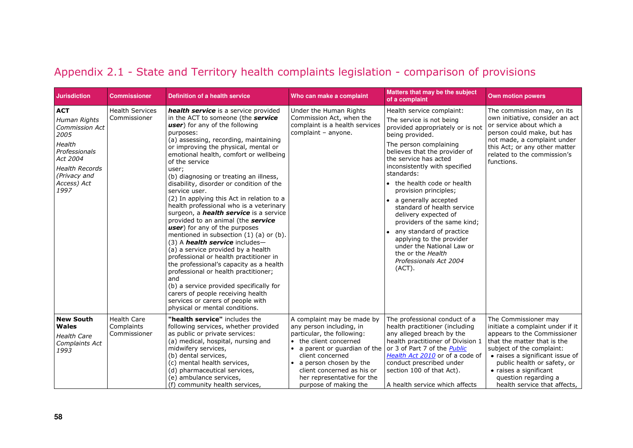|  |  |  | Appendix 2.1 - State and Territory health complaints legislation - comparison of provisions |
|--|--|--|---------------------------------------------------------------------------------------------|
|--|--|--|---------------------------------------------------------------------------------------------|

| <b>Jurisdiction</b>                                                                                                                                                | <b>Commissioner</b>                              | Definition of a health service                                                                                                                                                                                                                                                                                                                                                                                                                                                                                                                                                                                                                                                                                                                                                                                                                                                                                                                                                                                                             | Who can make a complaint                                                                                                                                                                                                                                                             | Matters that may be the subject<br>of a complaint                                                                                                                                                                                                                                                                                                                                                                                                                                                                                                                    | <b>Own motion powers</b>                                                                                                                                                                                                                                                                                |
|--------------------------------------------------------------------------------------------------------------------------------------------------------------------|--------------------------------------------------|--------------------------------------------------------------------------------------------------------------------------------------------------------------------------------------------------------------------------------------------------------------------------------------------------------------------------------------------------------------------------------------------------------------------------------------------------------------------------------------------------------------------------------------------------------------------------------------------------------------------------------------------------------------------------------------------------------------------------------------------------------------------------------------------------------------------------------------------------------------------------------------------------------------------------------------------------------------------------------------------------------------------------------------------|--------------------------------------------------------------------------------------------------------------------------------------------------------------------------------------------------------------------------------------------------------------------------------------|----------------------------------------------------------------------------------------------------------------------------------------------------------------------------------------------------------------------------------------------------------------------------------------------------------------------------------------------------------------------------------------------------------------------------------------------------------------------------------------------------------------------------------------------------------------------|---------------------------------------------------------------------------------------------------------------------------------------------------------------------------------------------------------------------------------------------------------------------------------------------------------|
| <b>ACT</b><br>Human Rights<br><b>Commission Act</b><br>2005<br>Health<br>Professionals<br>Act 2004<br><b>Health Records</b><br>(Privacy and<br>Access) Act<br>1997 | <b>Health Services</b><br>Commissioner           | <b>health service</b> is a service provided<br>in the ACT to someone (the service<br>user) for any of the following<br>purposes:<br>(a) assessing, recording, maintaining<br>or improving the physical, mental or<br>emotional health, comfort or wellbeing<br>of the service<br>user;<br>(b) diagnosing or treating an illness,<br>disability, disorder or condition of the<br>service user.<br>(2) In applying this Act in relation to a<br>health professional who is a veterinary<br>surgeon, a <i>health service</i> is a service<br>provided to an animal (the service<br><b>user</b> ) for any of the purposes<br>mentioned in subsection $(1)$ $(a)$ or $(b)$ .<br>(3) A health service includes-<br>(a) a service provided by a health<br>professional or health practitioner in<br>the professional's capacity as a health<br>professional or health practitioner;<br>and<br>(b) a service provided specifically for<br>carers of people receiving health<br>services or carers of people with<br>physical or mental conditions. | Under the Human Rights<br>Commission Act, when the<br>complaint is a health services<br>complaint - anyone.                                                                                                                                                                          | Health service complaint:<br>The service is not being<br>provided appropriately or is not<br>being provided.<br>The person complaining<br>believes that the provider of<br>the service has acted<br>inconsistently with specified<br>standards:<br>• the health code or health<br>provision principles;<br>• a generally accepted<br>standard of health service<br>delivery expected of<br>providers of the same kind;<br>any standard of practice<br>applying to the provider<br>under the National Law or<br>the or the Health<br>Professionals Act 2004<br>(ACT). | The commission may, on its<br>own initiative, consider an act<br>or service about which a<br>person could make, but has<br>not made, a complaint under<br>this Act; or any other matter<br>related to the commission's<br>functions.                                                                    |
| <b>New South</b><br>Wales<br><b>Health Care</b><br><b>Complaints Act</b><br>1993                                                                                   | <b>Health Care</b><br>Complaints<br>Commissioner | "health service" includes the<br>following services, whether provided<br>as public or private services:<br>(a) medical, hospital, nursing and<br>midwifery services,<br>(b) dental services,<br>(c) mental health services,<br>(d) pharmaceutical services,<br>(e) ambulance services,<br>(f) community health services,                                                                                                                                                                                                                                                                                                                                                                                                                                                                                                                                                                                                                                                                                                                   | A complaint may be made by<br>any person including, in<br>particular, the following:<br>• the client concerned<br>• a parent or quardian of the<br>client concerned<br>• a person chosen by the<br>client concerned as his or<br>her representative for the<br>purpose of making the | The professional conduct of a<br>health practitioner (including<br>any alleged breach by the<br>health practitioner of Division 1<br>or 3 of Part 7 of the <i>Public</i><br>Health Act 2010 or of a code of<br>conduct prescribed under<br>section 100 of that Act).<br>A health service which affects                                                                                                                                                                                                                                                               | The Commissioner may<br>initiate a complaint under if it<br>appears to the Commissioner<br>that the matter that is the<br>subject of the complaint:<br>• raises a significant issue of<br>public health or safety, or<br>• raises a significant<br>question regarding a<br>health service that affects, |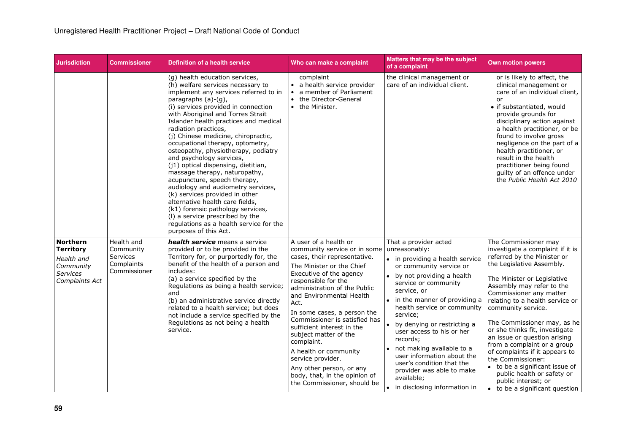| <b>Jurisdiction</b>                                                                                 | <b>Commissioner</b>                                               | Definition of a health service                                                                                                                                                                                                                                                                                                                                                                                                                                                                                                                                                                                                                                                                                                                                                                   | Who can make a complaint                                                                                                                                                                                                                                                                                                                                                                                                                                                                                                | Matters that may be the subject<br>of a complaint                                                                                                                                                                                                                                                                                                                                                                                                                                                        | <b>Own motion powers</b>                                                                                                                                                                                                                                                                                                                                                                                                                                                                                                                                                           |
|-----------------------------------------------------------------------------------------------------|-------------------------------------------------------------------|--------------------------------------------------------------------------------------------------------------------------------------------------------------------------------------------------------------------------------------------------------------------------------------------------------------------------------------------------------------------------------------------------------------------------------------------------------------------------------------------------------------------------------------------------------------------------------------------------------------------------------------------------------------------------------------------------------------------------------------------------------------------------------------------------|-------------------------------------------------------------------------------------------------------------------------------------------------------------------------------------------------------------------------------------------------------------------------------------------------------------------------------------------------------------------------------------------------------------------------------------------------------------------------------------------------------------------------|----------------------------------------------------------------------------------------------------------------------------------------------------------------------------------------------------------------------------------------------------------------------------------------------------------------------------------------------------------------------------------------------------------------------------------------------------------------------------------------------------------|------------------------------------------------------------------------------------------------------------------------------------------------------------------------------------------------------------------------------------------------------------------------------------------------------------------------------------------------------------------------------------------------------------------------------------------------------------------------------------------------------------------------------------------------------------------------------------|
|                                                                                                     |                                                                   | (g) health education services,<br>(h) welfare services necessary to<br>implement any services referred to in<br>paragraphs $(a)-(g)$ ,<br>(i) services provided in connection<br>with Aboriginal and Torres Strait<br>Islander health practices and medical<br>radiation practices,<br>(j) Chinese medicine, chiropractic,<br>occupational therapy, optometry,<br>osteopathy, physiotherapy, podiatry<br>and psychology services,<br>(j1) optical dispensing, dietitian,<br>massage therapy, naturopathy,<br>acupuncture, speech therapy,<br>audiology and audiometry services,<br>(k) services provided in other<br>alternative health care fields,<br>(k1) forensic pathology services,<br>(I) a service prescribed by the<br>regulations as a health service for the<br>purposes of this Act. | complaint<br>a health service provider<br>a member of Parliament<br>$\bullet$<br>the Director-General<br>• the Minister.                                                                                                                                                                                                                                                                                                                                                                                                | the clinical management or<br>care of an individual client.                                                                                                                                                                                                                                                                                                                                                                                                                                              | or is likely to affect, the<br>clinical management or<br>care of an individual client,<br>or<br>• if substantiated, would<br>provide grounds for<br>disciplinary action against<br>a health practitioner, or be<br>found to involve gross<br>negligence on the part of a<br>health practitioner, or<br>result in the health<br>practitioner being found<br>guilty of an offence under<br>the Public Health Act 2010                                                                                                                                                                |
| <b>Northern</b><br><b>Territory</b><br>Health and<br>Community<br><b>Services</b><br>Complaints Act | Health and<br>Community<br>Services<br>Complaints<br>Commissioner | <b>health service</b> means a service<br>provided or to be provided in the<br>Territory for, or purportedly for, the<br>benefit of the health of a person and<br>includes:<br>(a) a service specified by the<br>Regulations as being a health service;<br>and<br>(b) an administrative service directly<br>related to a health service; but does<br>not include a service specified by the<br>Regulations as not being a health<br>service.                                                                                                                                                                                                                                                                                                                                                      | A user of a health or<br>community service or in some<br>cases, their representative.<br>The Minister or the Chief<br>Executive of the agency<br>responsible for the<br>administration of the Public<br>and Environmental Health<br>Act.<br>In some cases, a person the<br>Commissioner is satisfied has<br>sufficient interest in the<br>subject matter of the<br>complaint.<br>A health or community<br>service provider.<br>Any other person, or any<br>body, that, in the opinion of<br>the Commissioner, should be | That a provider acted<br>unreasonably:<br>• in providing a health service<br>or community service or<br>• by not providing a health<br>service or community<br>service, or<br>• in the manner of providing a<br>health service or community<br>service;<br>• by denying or restricting a<br>user access to his or her<br>records;<br>• not making available to a<br>user information about the<br>user's condition that the<br>provider was able to make<br>available;<br>• in disclosing information in | The Commissioner may<br>investigate a complaint if it is<br>referred by the Minister or<br>the Legislative Assembly.<br>The Minister or Legislative<br>Assembly may refer to the<br>Commissioner any matter<br>relating to a health service or<br>community service.<br>The Commissioner may, as he<br>or she thinks fit, investigate<br>an issue or question arising<br>from a complaint or a group<br>of complaints if it appears to<br>the Commissioner:<br>• to be a significant issue of<br>public health or safety or<br>public interest; or<br>to be a significant question |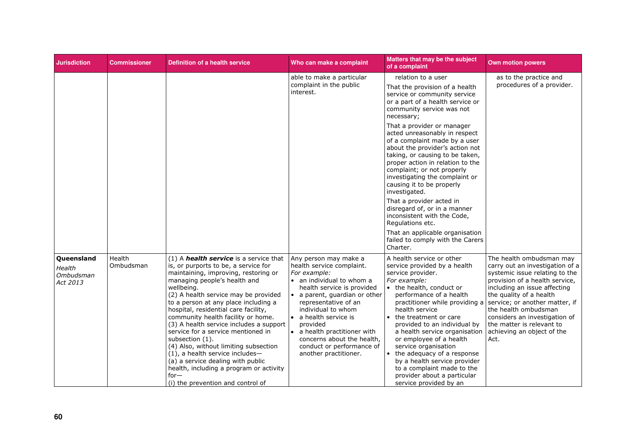| <b>Jurisdiction</b>                           | <b>Commissioner</b> | Definition of a health service                                                                                                                                                                                                                                                                                                                                                                                                                                                                                                                                                                                                                                | Who can make a complaint                                                                                                                                                                                                                                                                                                                                                                  | Matters that may be the subject<br>of a complaint                                                                                                                                                                                                                                                                                                                                                                                                                                                                                                                                                                                                                                             | <b>Own motion powers</b>                                                                                                                                                                                                                                                                                                                                 |
|-----------------------------------------------|---------------------|---------------------------------------------------------------------------------------------------------------------------------------------------------------------------------------------------------------------------------------------------------------------------------------------------------------------------------------------------------------------------------------------------------------------------------------------------------------------------------------------------------------------------------------------------------------------------------------------------------------------------------------------------------------|-------------------------------------------------------------------------------------------------------------------------------------------------------------------------------------------------------------------------------------------------------------------------------------------------------------------------------------------------------------------------------------------|-----------------------------------------------------------------------------------------------------------------------------------------------------------------------------------------------------------------------------------------------------------------------------------------------------------------------------------------------------------------------------------------------------------------------------------------------------------------------------------------------------------------------------------------------------------------------------------------------------------------------------------------------------------------------------------------------|----------------------------------------------------------------------------------------------------------------------------------------------------------------------------------------------------------------------------------------------------------------------------------------------------------------------------------------------------------|
|                                               |                     |                                                                                                                                                                                                                                                                                                                                                                                                                                                                                                                                                                                                                                                               | able to make a particular<br>complaint in the public<br>interest.                                                                                                                                                                                                                                                                                                                         | relation to a user<br>That the provision of a health<br>service or community service<br>or a part of a health service or<br>community service was not<br>necessary;<br>That a provider or manager<br>acted unreasonably in respect<br>of a complaint made by a user<br>about the provider's action not<br>taking, or causing to be taken,<br>proper action in relation to the<br>complaint; or not properly<br>investigating the complaint or<br>causing it to be properly<br>investigated.<br>That a provider acted in<br>disregard of, or in a manner<br>inconsistent with the Code,<br>Regulations etc.<br>That an applicable organisation<br>failed to comply with the Carers<br>Charter. | as to the practice and<br>procedures of a provider.                                                                                                                                                                                                                                                                                                      |
| Queensland<br>Health<br>Ombudsman<br>Act 2013 | Health<br>Ombudsman | $(1)$ A <b>health service</b> is a service that<br>is, or purports to be, a service for<br>maintaining, improving, restoring or<br>managing people's health and<br>wellbeing.<br>(2) A health service may be provided<br>to a person at any place including a<br>hospital, residential care facility,<br>community health facility or home.<br>(3) A health service includes a support<br>service for a service mentioned in<br>subsection (1).<br>(4) Also, without limiting subsection<br>$(1)$ , a health service includes-<br>(a) a service dealing with public<br>health, including a program or activity<br>$for-$<br>(i) the prevention and control of | Any person may make a<br>health service complaint.<br>For example:<br>• an individual to whom a<br>health service is provided<br>a parent, guardian or other<br>$\bullet$<br>representative of an<br>individual to whom<br>a health service is<br>provided<br>a health practitioner with<br>$\bullet$<br>concerns about the health,<br>conduct or performance of<br>another practitioner. | A health service or other<br>service provided by a health<br>service provider.<br>For example:<br>• the health, conduct or<br>performance of a health<br>practitioner while providing a<br>health service<br>• the treatment or care<br>provided to an individual by<br>a health service organisation<br>or employee of a health<br>service organisation<br>the adequacy of a response<br>by a health service provider<br>to a complaint made to the<br>provider about a particular<br>service provided by an                                                                                                                                                                                 | The health ombudsman may<br>carry out an investigation of a<br>systemic issue relating to the<br>provision of a health service,<br>including an issue affecting<br>the quality of a health<br>service; or another matter, if<br>the health ombudsman<br>considers an investigation of<br>the matter is relevant to<br>achieving an object of the<br>Act. |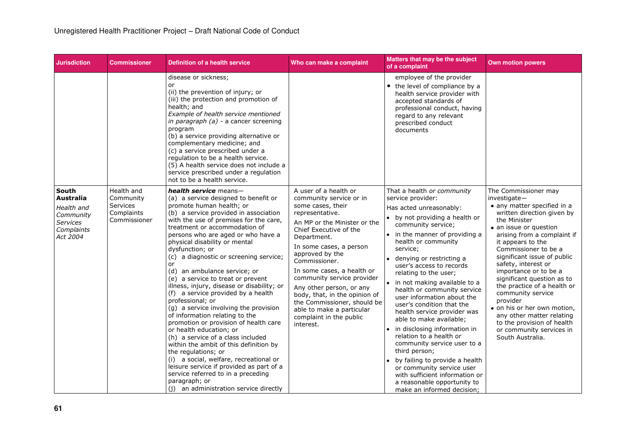| <b>Jurisdiction</b>                                                                        | <b>Commissioner</b>                                               | Definition of a health service                                                                                                                                                                                                                                                                                                                                                                                                                                                                                                                                                                                                                                                                                                                                                                                                                                                                                                                                                          | Who can make a complaint                                                                                                                                                                                                                                                                                                                                                                                                                                      | Matters that may be the subject<br>of a complaint                                                                                                                                                                                                                                                                                                                                                                                                                                                                                                                                                                                                                                                                                                                | <b>Own motion powers</b>                                                                                                                                                                                                                                                                                                                                                                                                                                                                                                                       |
|--------------------------------------------------------------------------------------------|-------------------------------------------------------------------|-----------------------------------------------------------------------------------------------------------------------------------------------------------------------------------------------------------------------------------------------------------------------------------------------------------------------------------------------------------------------------------------------------------------------------------------------------------------------------------------------------------------------------------------------------------------------------------------------------------------------------------------------------------------------------------------------------------------------------------------------------------------------------------------------------------------------------------------------------------------------------------------------------------------------------------------------------------------------------------------|---------------------------------------------------------------------------------------------------------------------------------------------------------------------------------------------------------------------------------------------------------------------------------------------------------------------------------------------------------------------------------------------------------------------------------------------------------------|------------------------------------------------------------------------------------------------------------------------------------------------------------------------------------------------------------------------------------------------------------------------------------------------------------------------------------------------------------------------------------------------------------------------------------------------------------------------------------------------------------------------------------------------------------------------------------------------------------------------------------------------------------------------------------------------------------------------------------------------------------------|------------------------------------------------------------------------------------------------------------------------------------------------------------------------------------------------------------------------------------------------------------------------------------------------------------------------------------------------------------------------------------------------------------------------------------------------------------------------------------------------------------------------------------------------|
|                                                                                            |                                                                   | disease or sickness;<br>or<br>(ii) the prevention of injury; or<br>(iii) the protection and promotion of<br>health; and<br>Example of health service mentioned<br>in paragraph $(a)$ - a cancer screening<br>program<br>(b) a service providing alternative or<br>complementary medicine; and<br>(c) a service prescribed under a<br>regulation to be a health service.<br>(5) A health service does not include a<br>service prescribed under a regulation<br>not to be a health service.                                                                                                                                                                                                                                                                                                                                                                                                                                                                                              |                                                                                                                                                                                                                                                                                                                                                                                                                                                               | employee of the provider<br>• the level of compliance by a<br>health service provider with<br>accepted standards of<br>professional conduct, having<br>regard to any relevant<br>prescribed conduct<br>documents                                                                                                                                                                                                                                                                                                                                                                                                                                                                                                                                                 |                                                                                                                                                                                                                                                                                                                                                                                                                                                                                                                                                |
| South<br>Australia<br>Health and<br>Community<br><b>Services</b><br>Complaints<br>Act 2004 | Health and<br>Community<br>Services<br>Complaints<br>Commissioner | <b>health service</b> means-<br>(a) a service designed to benefit or<br>promote human health; or<br>(b) a service provided in association<br>with the use of premises for the care,<br>treatment or accommodation of<br>persons who are aged or who have a<br>physical disability or mental<br>dysfunction; or<br>(c) a diagnostic or screening service;<br>or<br>(d) an ambulance service; or<br>(e) a service to treat or prevent<br>illness, injury, disease or disability; or<br>(f) a service provided by a health<br>professional; or<br>(g) a service involving the provision<br>of information relating to the<br>promotion or provision of health care<br>or health education; or<br>(h) a service of a class included<br>within the ambit of this definition by<br>the regulations; or<br>(i) a social, welfare, recreational or<br>leisure service if provided as part of a<br>service referred to in a preceding<br>paragraph; or<br>(j) an administration service directly | A user of a health or<br>community service or in<br>some cases, their<br>representative.<br>An MP or the Minister or the<br>Chief Executive of the<br>Department.<br>In some cases, a person<br>approved by the<br>Commissioner.<br>In some cases, a health or<br>community service provider<br>Any other person, or any<br>body, that, in the opinion of<br>the Commissioner, should be<br>able to make a particular<br>complaint in the public<br>interest. | That a health or community<br>service provider:<br>Has acted unreasonably:<br>by not providing a health or<br>community service;<br>in the manner of providing a<br>health or community<br>service;<br>• denying or restricting a<br>user's access to records<br>relating to the user;<br>in not making available to a<br>$\bullet$<br>health or community service<br>user information about the<br>user's condition that the<br>health service provider was<br>able to make available;<br>in disclosing information in<br>relation to a health or<br>community service user to a<br>third person;<br>by failing to provide a health<br>or community service user<br>with sufficient information or<br>a reasonable opportunity to<br>make an informed decision; | The Commissioner may<br>investigate-<br>• any matter specified in a<br>written direction given by<br>the Minister<br>• an issue or question<br>arising from a complaint if<br>it appears to the<br>Commissioner to be a<br>significant issue of public<br>safety, interest or<br>importance or to be a<br>significant question as to<br>the practice of a health or<br>community service<br>provider<br>· on his or her own motion,<br>any other matter relating<br>to the provision of health<br>or community services in<br>South Australia. |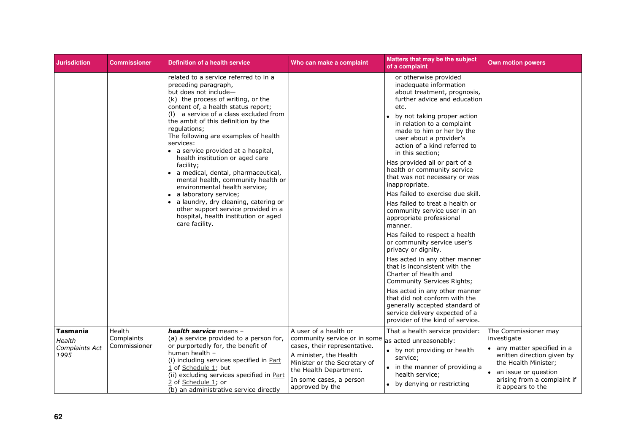| <b>Jurisdiction</b>                          | <b>Commissioner</b>                  | Definition of a health service                                                                                                                                                                                                                                                                                                                                                                                                                                                                                                                                                                                                                                                                      | Who can make a complaint                                                                                                                                                                                                                           | Matters that may be the subject<br>of a complaint                                                                                                                                                                                                                                                                                                                                                                                                                                                                                                                                                                                                                                                                                                                                                                                                                                                                                                                   | <b>Own motion powers</b>                                                                                                                                                                               |
|----------------------------------------------|--------------------------------------|-----------------------------------------------------------------------------------------------------------------------------------------------------------------------------------------------------------------------------------------------------------------------------------------------------------------------------------------------------------------------------------------------------------------------------------------------------------------------------------------------------------------------------------------------------------------------------------------------------------------------------------------------------------------------------------------------------|----------------------------------------------------------------------------------------------------------------------------------------------------------------------------------------------------------------------------------------------------|---------------------------------------------------------------------------------------------------------------------------------------------------------------------------------------------------------------------------------------------------------------------------------------------------------------------------------------------------------------------------------------------------------------------------------------------------------------------------------------------------------------------------------------------------------------------------------------------------------------------------------------------------------------------------------------------------------------------------------------------------------------------------------------------------------------------------------------------------------------------------------------------------------------------------------------------------------------------|--------------------------------------------------------------------------------------------------------------------------------------------------------------------------------------------------------|
|                                              |                                      | related to a service referred to in a<br>preceding paragraph,<br>but does not include-<br>(k) the process of writing, or the<br>content of, a health status report;<br>(I) a service of a class excluded from<br>the ambit of this definition by the<br>requlations;<br>The following are examples of health<br>services:<br>• a service provided at a hospital,<br>health institution or aged care<br>facility;<br>• a medical, dental, pharmaceutical,<br>mental health, community health or<br>environmental health service;<br>• a laboratory service;<br>a laundry, dry cleaning, catering or<br>other support service provided in a<br>hospital, health institution or aged<br>care facility. |                                                                                                                                                                                                                                                    | or otherwise provided<br>inadequate information<br>about treatment, prognosis,<br>further advice and education<br>etc.<br>by not taking proper action<br>in relation to a complaint<br>made to him or her by the<br>user about a provider's<br>action of a kind referred to<br>in this section;<br>Has provided all or part of a<br>health or community service<br>that was not necessary or was<br>inappropriate.<br>Has failed to exercise due skill.<br>Has failed to treat a health or<br>community service user in an<br>appropriate professional<br>manner.<br>Has failed to respect a health<br>or community service user's<br>privacy or dignity.<br>Has acted in any other manner<br>that is inconsistent with the<br>Charter of Health and<br><b>Community Services Rights;</b><br>Has acted in any other manner<br>that did not conform with the<br>generally accepted standard of<br>service delivery expected of a<br>provider of the kind of service. |                                                                                                                                                                                                        |
| Tasmania<br>Health<br>Complaints Act<br>1995 | Health<br>Complaints<br>Commissioner | <b>health service</b> means -<br>(a) a service provided to a person for,<br>or purportedly for, the benefit of<br>human health -<br>(i) including services specified in Part<br>1 of Schedule 1; but<br>(ii) excluding services specified in Part<br>2 of Schedule 1; or<br>(b) an administrative service directly                                                                                                                                                                                                                                                                                                                                                                                  | A user of a health or<br>community service or in some $ $ as acted unreasonably:<br>cases, their representative.<br>A minister, the Health<br>Minister or the Secretary of<br>the Health Department.<br>In some cases, a person<br>approved by the | That a health service provider:<br>• by not providing or health<br>service;<br>• in the manner of providing a<br>health service;<br>• by denying or restricting                                                                                                                                                                                                                                                                                                                                                                                                                                                                                                                                                                                                                                                                                                                                                                                                     | The Commissioner may<br>investigate<br>• any matter specified in a<br>written direction given by<br>the Health Minister;<br>• an issue or question<br>arising from a complaint if<br>it appears to the |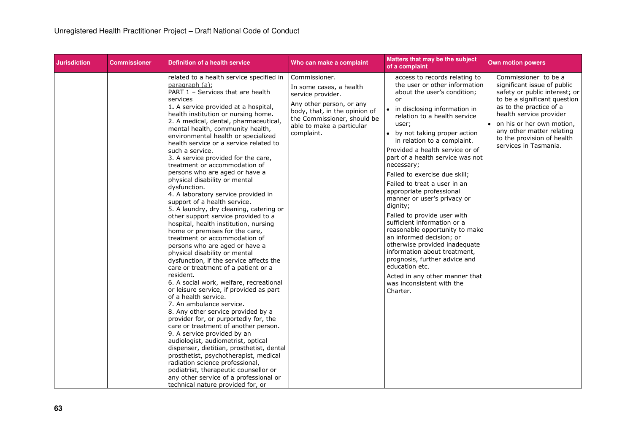| <b>Jurisdiction</b> | <b>Commissioner</b> | Definition of a health service                                                                                                                                                                                                                                                                                                                                                                                                                                                                                                                                                                                                                                                                                                                                                                                                                                                                                                                                                                                                                                                                                                                                                                                                                                                                                                                                                                                                                                                                                                                                       | Who can make a complaint                                                                                                                                                                             | Matters that may be the subject<br>of a complaint                                                                                                                                                                                                                                                                                                                                                                                                                                                                                                                                                                                                                                                                                                                                                      | <b>Own motion powers</b>                                                                                                                                                                                                                                                                    |
|---------------------|---------------------|----------------------------------------------------------------------------------------------------------------------------------------------------------------------------------------------------------------------------------------------------------------------------------------------------------------------------------------------------------------------------------------------------------------------------------------------------------------------------------------------------------------------------------------------------------------------------------------------------------------------------------------------------------------------------------------------------------------------------------------------------------------------------------------------------------------------------------------------------------------------------------------------------------------------------------------------------------------------------------------------------------------------------------------------------------------------------------------------------------------------------------------------------------------------------------------------------------------------------------------------------------------------------------------------------------------------------------------------------------------------------------------------------------------------------------------------------------------------------------------------------------------------------------------------------------------------|------------------------------------------------------------------------------------------------------------------------------------------------------------------------------------------------------|--------------------------------------------------------------------------------------------------------------------------------------------------------------------------------------------------------------------------------------------------------------------------------------------------------------------------------------------------------------------------------------------------------------------------------------------------------------------------------------------------------------------------------------------------------------------------------------------------------------------------------------------------------------------------------------------------------------------------------------------------------------------------------------------------------|---------------------------------------------------------------------------------------------------------------------------------------------------------------------------------------------------------------------------------------------------------------------------------------------|
|                     |                     | related to a health service specified in<br>paragraph (a);<br>PART 1 - Services that are health<br>services<br>1. A service provided at a hospital,<br>health institution or nursing home.<br>2. A medical, dental, pharmaceutical,<br>mental health, community health,<br>environmental health or specialized<br>health service or a service related to<br>such a service.<br>3. A service provided for the care,<br>treatment or accommodation of<br>persons who are aged or have a<br>physical disability or mental<br>dysfunction.<br>4. A laboratory service provided in<br>support of a health service.<br>5. A laundry, dry cleaning, catering or<br>other support service provided to a<br>hospital, health institution, nursing<br>home or premises for the care,<br>treatment or accommodation of<br>persons who are aged or have a<br>physical disability or mental<br>dysfunction, if the service affects the<br>care or treatment of a patient or a<br>resident.<br>6. A social work, welfare, recreational<br>or leisure service, if provided as part<br>of a health service.<br>7. An ambulance service.<br>8. Any other service provided by a<br>provider for, or purportedly for, the<br>care or treatment of another person.<br>9. A service provided by an<br>audiologist, audiometrist, optical<br>dispenser, dietitian, prosthetist, dental<br>prosthetist, psychotherapist, medical<br>radiation science professional,<br>podiatrist, therapeutic counsellor or<br>any other service of a professional or<br>technical nature provided for, or | Commissioner.<br>In some cases, a health<br>service provider.<br>Any other person, or any<br>body, that, in the opinion of<br>the Commissioner, should be<br>able to make a particular<br>complaint. | access to records relating to<br>the user or other information<br>about the user's condition;<br>or<br>• in disclosing information in<br>relation to a health service<br>user;<br>• by not taking proper action<br>in relation to a complaint.<br>Provided a health service or of<br>part of a health service was not<br>necessary;<br>Failed to exercise due skill;<br>Failed to treat a user in an<br>appropriate professional<br>manner or user's privacy or<br>dignity;<br>Failed to provide user with<br>sufficient information or a<br>reasonable opportunity to make<br>an informed decision; or<br>otherwise provided inadequate<br>information about treatment,<br>prognosis, further advice and<br>education etc.<br>Acted in any other manner that<br>was inconsistent with the<br>Charter. | Commissioner to be a<br>significant issue of public<br>safety or public interest; or<br>to be a significant question<br>as to the practice of a<br>health service provider<br>on his or her own motion,<br>any other matter relating<br>to the provision of health<br>services in Tasmania. |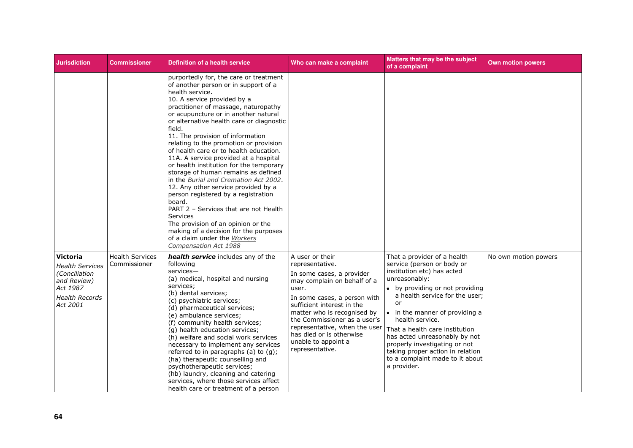| <b>Jurisdiction</b>                                                                                                 | <b>Commissioner</b>                    | Definition of a health service                                                                                                                                                                                                                                                                                                                                                                                                                                                                                                                                                                                                                                                                                                                                                                                                                                 | Who can make a complaint                                                                                                                                                                                                                                                                                                                    | Matters that may be the subject<br>of a complaint                                                                                                                                                                                                                                                                                                                                                                                  | <b>Own motion powers</b> |
|---------------------------------------------------------------------------------------------------------------------|----------------------------------------|----------------------------------------------------------------------------------------------------------------------------------------------------------------------------------------------------------------------------------------------------------------------------------------------------------------------------------------------------------------------------------------------------------------------------------------------------------------------------------------------------------------------------------------------------------------------------------------------------------------------------------------------------------------------------------------------------------------------------------------------------------------------------------------------------------------------------------------------------------------|---------------------------------------------------------------------------------------------------------------------------------------------------------------------------------------------------------------------------------------------------------------------------------------------------------------------------------------------|------------------------------------------------------------------------------------------------------------------------------------------------------------------------------------------------------------------------------------------------------------------------------------------------------------------------------------------------------------------------------------------------------------------------------------|--------------------------|
|                                                                                                                     |                                        | purportedly for, the care or treatment<br>of another person or in support of a<br>health service.<br>10. A service provided by a<br>practitioner of massage, naturopathy<br>or acupuncture or in another natural<br>or alternative health care or diagnostic<br>field.<br>11. The provision of information<br>relating to the promotion or provision<br>of health care or to health education.<br>11A. A service provided at a hospital<br>or health institution for the temporary<br>storage of human remains as defined<br>in the Burial and Cremation Act 2002.<br>12. Any other service provided by a<br>person registered by a registration<br>board.<br>PART 2 - Services that are not Health<br><b>Services</b><br>The provision of an opinion or the<br>making of a decision for the purposes<br>of a claim under the Workers<br>Compensation Act 1988 |                                                                                                                                                                                                                                                                                                                                             |                                                                                                                                                                                                                                                                                                                                                                                                                                    |                          |
| Victoria<br><b>Health Services</b><br>(Conciliation<br>and Review)<br>Act 1987<br><b>Health Records</b><br>Act 2001 | <b>Health Services</b><br>Commissioner | health service includes any of the<br>following<br>services-<br>(a) medical, hospital and nursing<br>services;<br>(b) dental services;<br>(c) psychiatric services;<br>(d) pharmaceutical services;<br>(e) ambulance services;<br>(f) community health services;<br>(g) health education services;<br>(h) welfare and social work services<br>necessary to implement any services<br>referred to in paragraphs (a) to $(g)$ ;<br>(ha) therapeutic counselling and<br>psychotherapeutic services;<br>(hb) laundry, cleaning and catering<br>services, where those services affect<br>health care or treatment of a person                                                                                                                                                                                                                                       | A user or their<br>representative.<br>In some cases, a provider<br>may complain on behalf of a<br>user.<br>In some cases, a person with<br>sufficient interest in the<br>matter who is recognised by<br>the Commissioner as a user's<br>representative, when the user<br>has died or is otherwise<br>unable to appoint a<br>representative. | That a provider of a health<br>service (person or body or<br>institution etc) has acted<br>unreasonably:<br>• by providing or not providing<br>a health service for the user:<br>or<br>• in the manner of providing a<br>health service.<br>That a health care institution<br>has acted unreasonably by not<br>properly investigating or not<br>taking proper action in relation<br>to a complaint made to it about<br>a provider. | No own motion powers     |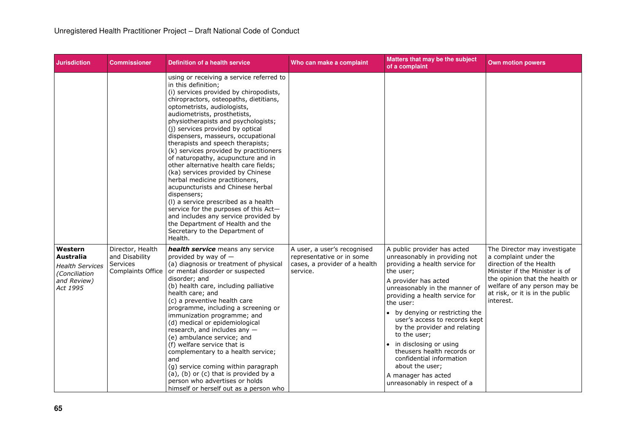| <b>Jurisdiction</b>                                                                        | <b>Commissioner</b>                                                 | Definition of a health service                                                                                                                                                                                                                                                                                                                                                                                                                                                                                                                                                                                                                                                                                                                                                                                                         | Who can make a complaint                                                                              | Matters that may be the subject<br>of a complaint                                                                                                                                                                                                                                                                                                                                                                                                                                                       | <b>Own motion powers</b>                                                                                                                                                                                                             |
|--------------------------------------------------------------------------------------------|---------------------------------------------------------------------|----------------------------------------------------------------------------------------------------------------------------------------------------------------------------------------------------------------------------------------------------------------------------------------------------------------------------------------------------------------------------------------------------------------------------------------------------------------------------------------------------------------------------------------------------------------------------------------------------------------------------------------------------------------------------------------------------------------------------------------------------------------------------------------------------------------------------------------|-------------------------------------------------------------------------------------------------------|---------------------------------------------------------------------------------------------------------------------------------------------------------------------------------------------------------------------------------------------------------------------------------------------------------------------------------------------------------------------------------------------------------------------------------------------------------------------------------------------------------|--------------------------------------------------------------------------------------------------------------------------------------------------------------------------------------------------------------------------------------|
|                                                                                            |                                                                     | using or receiving a service referred to<br>in this definition;<br>(i) services provided by chiropodists,<br>chiropractors, osteopaths, dietitians,<br>optometrists, audiologists,<br>audiometrists, prosthetists,<br>physiotherapists and psychologists;<br>(j) services provided by optical<br>dispensers, masseurs, occupational<br>therapists and speech therapists;<br>(k) services provided by practitioners<br>of naturopathy, acupuncture and in<br>other alternative health care fields;<br>(ka) services provided by Chinese<br>herbal medicine practitioners,<br>acupuncturists and Chinese herbal<br>dispensers;<br>(I) a service prescribed as a health<br>service for the purposes of this Act-<br>and includes any service provided by<br>the Department of Health and the<br>Secretary to the Department of<br>Health. |                                                                                                       |                                                                                                                                                                                                                                                                                                                                                                                                                                                                                                         |                                                                                                                                                                                                                                      |
| Western<br>Australia<br><b>Health Services</b><br>(Conciliation<br>and Review)<br>Act 1995 | Director, Health<br>and Disability<br>Services<br>Complaints Office | health service means any service<br>provided by way of $-$<br>(a) diagnosis or treatment of physical<br>or mental disorder or suspected<br>disorder; and<br>(b) health care, including palliative<br>health care; and<br>(c) a preventive health care<br>programme, including a screening or<br>immunization programme; and<br>(d) medical or epidemiological<br>research, and includes any -<br>(e) ambulance service; and<br>(f) welfare service that is<br>complementary to a health service;<br>and<br>(g) service coming within paragraph<br>(a), (b) or (c) that is provided by a<br>person who advertises or holds<br>himself or herself out as a person who                                                                                                                                                                    | A user, a user's recognised<br>representative or in some<br>cases, a provider of a health<br>service. | A public provider has acted<br>unreasonably in providing not<br>providing a health service for<br>the user;<br>A provider has acted<br>unreasonably in the manner of<br>providing a health service for<br>the user:<br>• by denying or restricting the<br>user's access to records kept<br>by the provider and relating<br>to the user;<br>• in disclosing or using<br>theusers health records or<br>confidential information<br>about the user;<br>A manager has acted<br>unreasonably in respect of a | The Director may investigate<br>a complaint under the<br>direction of the Health<br>Minister if the Minister is of<br>the opinion that the health or<br>welfare of any person may be<br>at risk, or it is in the public<br>interest. |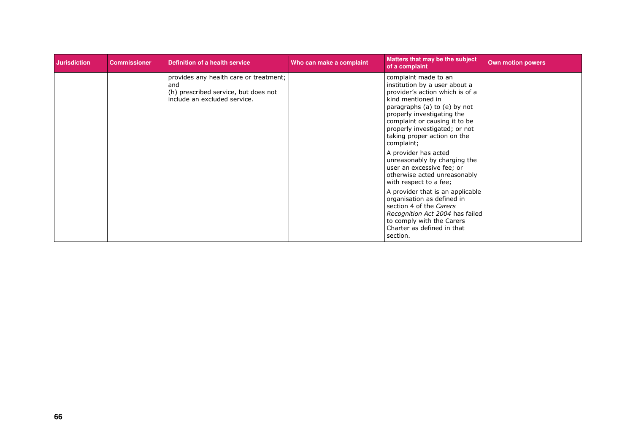| <b>Jurisdiction</b> | <b>Commissioner</b> | Definition of a health service                                                                                        | Who can make a complaint | Matters that may be the subject<br>of a complaint                                                                                                                                                                                                                                          | Own motion powers |
|---------------------|---------------------|-----------------------------------------------------------------------------------------------------------------------|--------------------------|--------------------------------------------------------------------------------------------------------------------------------------------------------------------------------------------------------------------------------------------------------------------------------------------|-------------------|
|                     |                     | provides any health care or treatment;<br>and<br>(h) prescribed service, but does not<br>include an excluded service. |                          | complaint made to an<br>institution by a user about a<br>provider's action which is of a<br>kind mentioned in<br>paragraphs (a) to (e) by not<br>properly investigating the<br>complaint or causing it to be<br>properly investigated; or not<br>taking proper action on the<br>complaint; |                   |
|                     |                     |                                                                                                                       |                          | A provider has acted<br>unreasonably by charging the<br>user an excessive fee; or<br>otherwise acted unreasonably<br>with respect to a fee;                                                                                                                                                |                   |
|                     |                     |                                                                                                                       |                          | A provider that is an applicable<br>organisation as defined in<br>section 4 of the Carers<br>Recognition Act 2004 has failed<br>to comply with the Carers<br>Charter as defined in that<br>section.                                                                                        |                   |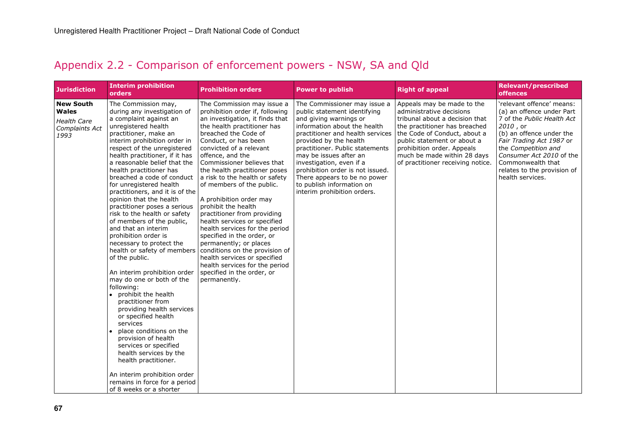# Appendix 2.2 - Comparison of enforcement powers - NSW, SA and Qld

| <b>Jurisdiction</b>                                                       | <b>Interim prohibition</b><br>orders                                                                                                                                                                                                                                                                                                                                                                                                                                                                                                                                                                                                                                                                                                                                                                                                                                                                                                                                                                                                                     | <b>Prohibition orders</b>                                                                                                                                                                                                                                                                                                                                                                                                                                                                                                                                                                                                                                                                                                 | <b>Power to publish</b>                                                                                                                                                                                                                                                                                                                                                                                       | <b>Right of appeal</b>                                                                                                                                                                                                                                                                     | <b>Relevant/prescribed</b><br><b>offences</b>                                                                                                                                                                                                                                       |
|---------------------------------------------------------------------------|----------------------------------------------------------------------------------------------------------------------------------------------------------------------------------------------------------------------------------------------------------------------------------------------------------------------------------------------------------------------------------------------------------------------------------------------------------------------------------------------------------------------------------------------------------------------------------------------------------------------------------------------------------------------------------------------------------------------------------------------------------------------------------------------------------------------------------------------------------------------------------------------------------------------------------------------------------------------------------------------------------------------------------------------------------|---------------------------------------------------------------------------------------------------------------------------------------------------------------------------------------------------------------------------------------------------------------------------------------------------------------------------------------------------------------------------------------------------------------------------------------------------------------------------------------------------------------------------------------------------------------------------------------------------------------------------------------------------------------------------------------------------------------------------|---------------------------------------------------------------------------------------------------------------------------------------------------------------------------------------------------------------------------------------------------------------------------------------------------------------------------------------------------------------------------------------------------------------|--------------------------------------------------------------------------------------------------------------------------------------------------------------------------------------------------------------------------------------------------------------------------------------------|-------------------------------------------------------------------------------------------------------------------------------------------------------------------------------------------------------------------------------------------------------------------------------------|
| <b>New South</b><br>Wales<br><b>Health Care</b><br>Complaints Act<br>1993 | The Commission may,<br>during any investigation of<br>a complaint against an<br>unregistered health<br>practitioner, make an<br>interim prohibition order in<br>respect of the unregistered<br>health practitioner, if it has<br>a reasonable belief that the<br>health practitioner has<br>breached a code of conduct<br>for unregistered health<br>practitioners, and it is of the<br>opinion that the health<br>practitioner poses a serious<br>risk to the health or safety<br>of members of the public,<br>and that an interim<br>prohibition order is<br>necessary to protect the<br>health or safety of members<br>of the public.<br>An interim prohibition order<br>may do one or both of the<br>following:<br>prohibit the health<br>practitioner from<br>providing health services<br>or specified health<br>services<br>place conditions on the<br>provision of health<br>services or specified<br>health services by the<br>health practitioner.<br>An interim prohibition order<br>remains in force for a period<br>of 8 weeks or a shorter | The Commission may issue a<br>prohibition order if, following<br>an investigation, it finds that<br>the health practitioner has<br>breached the Code of<br>Conduct, or has been<br>convicted of a relevant<br>offence, and the<br>Commissioner believes that<br>the health practitioner poses<br>a risk to the health or safety<br>of members of the public.<br>A prohibition order may<br>prohibit the health<br>practitioner from providing<br>health services or specified<br>health services for the period<br>specified in the order, or<br>permanently; or places<br>conditions on the provision of<br>health services or specified<br>health services for the period<br>specified in the order, or<br>permanently. | The Commissioner may issue a<br>public statement identifying<br>and giving warnings or<br>information about the health<br>practitioner and health services<br>provided by the health<br>practitioner. Public statements<br>may be issues after an<br>investigation, even if a<br>prohibition order is not issued.<br>There appears to be no power<br>to publish information on<br>interim prohibition orders. | Appeals may be made to the<br>administrative decisions<br>tribunal about a decision that<br>the practitioner has breached<br>the Code of Conduct, about a<br>public statement or about a<br>prohibition order. Appeals<br>much be made within 28 days<br>of practitioner receiving notice. | 'relevant offence' means:<br>(a) an offence under Part<br>7 of the Public Health Act<br>2010, or<br>(b) an offence under the<br>Fair Trading Act 1987 or<br>the Competition and<br>Consumer Act 2010 of the<br>Commonwealth that<br>relates to the provision of<br>health services. |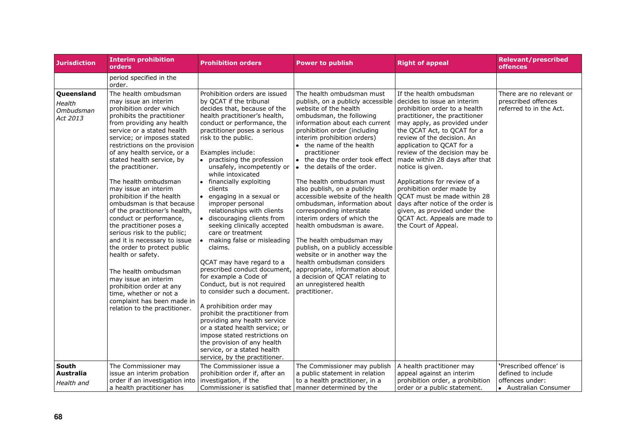| <b>Jurisdiction</b>                           | <b>Interim prohibition</b><br>orders                                                                                                                                                                                                                                                                                                                                                                                                                                                                                                                                                                                                                                                                                                                                                                       | <b>Prohibition orders</b>                                                                                                                                                                                                                                                                                                                                                                                                                                                                                                                                                                                                                                                                                                                                                                                                                                                                                                                                                                                                | <b>Power to publish</b>                                                                                                                                                                                                                                                                                                                                                                                                                                                                                                                                                                                                                                                                                                                                                                                               | <b>Right of appeal</b>                                                                                                                                                                                                                                                                                                                                                                                                                                                                                                                                               | <b>Relevant/prescribed</b><br><b>offences</b>                                             |
|-----------------------------------------------|------------------------------------------------------------------------------------------------------------------------------------------------------------------------------------------------------------------------------------------------------------------------------------------------------------------------------------------------------------------------------------------------------------------------------------------------------------------------------------------------------------------------------------------------------------------------------------------------------------------------------------------------------------------------------------------------------------------------------------------------------------------------------------------------------------|--------------------------------------------------------------------------------------------------------------------------------------------------------------------------------------------------------------------------------------------------------------------------------------------------------------------------------------------------------------------------------------------------------------------------------------------------------------------------------------------------------------------------------------------------------------------------------------------------------------------------------------------------------------------------------------------------------------------------------------------------------------------------------------------------------------------------------------------------------------------------------------------------------------------------------------------------------------------------------------------------------------------------|-----------------------------------------------------------------------------------------------------------------------------------------------------------------------------------------------------------------------------------------------------------------------------------------------------------------------------------------------------------------------------------------------------------------------------------------------------------------------------------------------------------------------------------------------------------------------------------------------------------------------------------------------------------------------------------------------------------------------------------------------------------------------------------------------------------------------|----------------------------------------------------------------------------------------------------------------------------------------------------------------------------------------------------------------------------------------------------------------------------------------------------------------------------------------------------------------------------------------------------------------------------------------------------------------------------------------------------------------------------------------------------------------------|-------------------------------------------------------------------------------------------|
|                                               | period specified in the<br>order.                                                                                                                                                                                                                                                                                                                                                                                                                                                                                                                                                                                                                                                                                                                                                                          |                                                                                                                                                                                                                                                                                                                                                                                                                                                                                                                                                                                                                                                                                                                                                                                                                                                                                                                                                                                                                          |                                                                                                                                                                                                                                                                                                                                                                                                                                                                                                                                                                                                                                                                                                                                                                                                                       |                                                                                                                                                                                                                                                                                                                                                                                                                                                                                                                                                                      |                                                                                           |
| Queensland<br>Health<br>Ombudsman<br>Act 2013 | The health ombudsman<br>may issue an interim<br>prohibition order which<br>prohibits the practitioner<br>from providing any health<br>service or a stated health<br>service; or imposes stated<br>restrictions on the provision<br>of any health service, or a<br>stated health service, by<br>the practitioner.<br>The health ombudsman<br>may issue an interim<br>prohibition if the health<br>ombudsman is that because<br>of the practitioner's health,<br>conduct or performance,<br>the practitioner poses a<br>serious risk to the public;<br>and it is necessary to issue<br>the order to protect public<br>health or safety.<br>The health ombudsman<br>may issue an interim<br>prohibition order at any<br>time, whether or not a<br>complaint has been made in<br>relation to the practitioner. | Prohibition orders are issued<br>by OCAT if the tribunal<br>decides that, because of the<br>health practitioner's health,<br>conduct or performance, the<br>practitioner poses a serious<br>risk to the public.<br><b>Examples include:</b><br>• practising the profession<br>unsafely, incompetently or<br>while intoxicated<br>• financially exploiting<br>clients<br>engaging in a sexual or<br>$\bullet$<br>improper personal<br>relationships with clients<br>discouraging clients from<br>seeking clinically accepted<br>care or treatment<br>$\bullet$ making false or misleading<br>claims.<br>QCAT may have regard to a<br>prescribed conduct document,<br>for example a Code of<br>Conduct, but is not required<br>to consider such a document.<br>A prohibition order may<br>prohibit the practitioner from<br>providing any health service<br>or a stated health service; or<br>impose stated restrictions on<br>the provision of any health<br>service, or a stated health<br>service, by the practitioner. | The health ombudsman must<br>publish, on a publicly accessible<br>website of the health<br>ombudsman, the following<br>information about each current<br>prohibition order (including<br>interim prohibition orders)<br>• the name of the health<br>practitioner<br>• the day the order took effect<br>the details of the order.<br>$\bullet$<br>The health ombudsman must<br>also publish, on a publicly<br>accessible website of the health<br>ombudsman, information about<br>corresponding interstate<br>interim orders of which the<br>health ombudsman is aware.<br>The health ombudsman may<br>publish, on a publicly accessible<br>website or in another way the<br>health ombudsman considers<br>appropriate, information about<br>a decision of QCAT relating to<br>an unregistered health<br>practitioner. | If the health ombudsman<br>decides to issue an interim<br>prohibition order to a health<br>practitioner, the practitioner<br>may apply, as provided under<br>the QCAT Act, to QCAT for a<br>review of the decision. An<br>application to QCAT for a<br>review of the decision may be<br>made within 28 days after that<br>notice is given.<br>Applications for review of a<br>prohibition order made by<br>QCAT must be made within 28<br>days after notice of the order is<br>given, as provided under the<br>QCAT Act. Appeals are made to<br>the Court of Appeal. | There are no relevant or<br>prescribed offences<br>referred to in the Act.                |
| South<br><b>Australia</b><br>Health and       | The Commissioner may<br>issue an interim probation<br>order if an investigation into<br>a health practitioner has                                                                                                                                                                                                                                                                                                                                                                                                                                                                                                                                                                                                                                                                                          | The Commissioner issue a<br>prohibition order if, after an<br>investigation, if the<br>Commissioner is satisfied that   manner determined by the                                                                                                                                                                                                                                                                                                                                                                                                                                                                                                                                                                                                                                                                                                                                                                                                                                                                         | The Commissioner may publish<br>a public statement in relation<br>to a health practitioner, in a                                                                                                                                                                                                                                                                                                                                                                                                                                                                                                                                                                                                                                                                                                                      | A health practitioner may<br>appeal against an interim<br>prohibition order, a prohibition<br>order or a public statement.                                                                                                                                                                                                                                                                                                                                                                                                                                           | 'Prescribed offence' is<br>defined to include<br>offences under:<br>• Australian Consumer |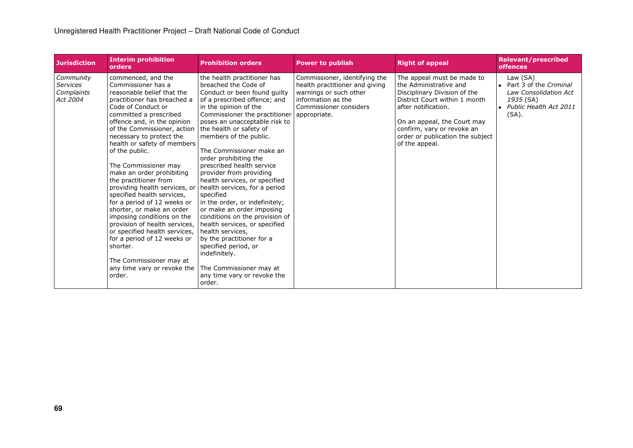| <b>Jurisdiction</b>                                    | <b>Interim prohibition</b><br><b>orders</b>                                                                                                                                                                                                                                                                                                                                                                                                                                                                                                                                                                                                                                                                              | <b>Prohibition orders</b>                                                                                                                                                                                                                                                                                                                                                                                                                                                                                                                                                                                                                                                                                                                                       | <b>Power to publish</b>                                                                                                                                   | <b>Right of appeal</b>                                                                                                                                                                                                                                          | <b>Relevant/prescribed</b><br><b>offences</b>                                                                      |
|--------------------------------------------------------|--------------------------------------------------------------------------------------------------------------------------------------------------------------------------------------------------------------------------------------------------------------------------------------------------------------------------------------------------------------------------------------------------------------------------------------------------------------------------------------------------------------------------------------------------------------------------------------------------------------------------------------------------------------------------------------------------------------------------|-----------------------------------------------------------------------------------------------------------------------------------------------------------------------------------------------------------------------------------------------------------------------------------------------------------------------------------------------------------------------------------------------------------------------------------------------------------------------------------------------------------------------------------------------------------------------------------------------------------------------------------------------------------------------------------------------------------------------------------------------------------------|-----------------------------------------------------------------------------------------------------------------------------------------------------------|-----------------------------------------------------------------------------------------------------------------------------------------------------------------------------------------------------------------------------------------------------------------|--------------------------------------------------------------------------------------------------------------------|
| Community<br><b>Services</b><br>Complaints<br>Act 2004 | commenced, and the<br>Commissioner has a<br>reasonable belief that the<br>practitioner has breached a<br>Code of Conduct or<br>committed a prescribed<br>offence and, in the opinion<br>of the Commissioner, action<br>necessary to protect the<br>health or safety of members<br>of the public.<br>The Commissioner may<br>make an order prohibiting<br>the practitioner from<br>providing health services, or<br>specified health services,<br>for a period of 12 weeks or<br>shorter, or make an order<br>imposing conditions on the<br>provision of health services,<br>or specified health services,<br>for a period of 12 weeks or<br>shorter.<br>The Commissioner may at<br>any time vary or revoke the<br>order. | the health practitioner has<br>breached the Code of<br>Conduct or been found guilty<br>of a prescribed offence; and<br>in the opinion of the<br>Commissioner the practitioner<br>poses an unacceptable risk to<br>the health or safety of<br>members of the public.<br>The Commissioner make an<br>order prohibiting the<br>prescribed health service<br>provider from providing<br>health services, or specified<br>health services, for a period<br>specified<br>in the order, or indefinitely;<br>or make an order imposing<br>conditions on the provision of<br>health services, or specified<br>health services,<br>by the practitioner for a<br>specified period, or<br>indefinitely.<br>The Commissioner may at<br>any time vary or revoke the<br>order. | Commissioner, identifying the<br>health practitioner and giving<br>warnings or such other<br>information as the<br>Commissioner considers<br>appropriate. | The appeal must be made to<br>the Administrative and<br>Disciplinary Division of the<br>District Court within 1 month<br>after notification.<br>On an appeal, the Court may<br>confirm, vary or revoke an<br>order or publication the subject<br>of the appeal. | Law (SA)<br>• Part 3 of the Criminal<br>Law Consolidation Act<br>1935 (SA)<br>• Public Health Act 2011<br>$(SA)$ . |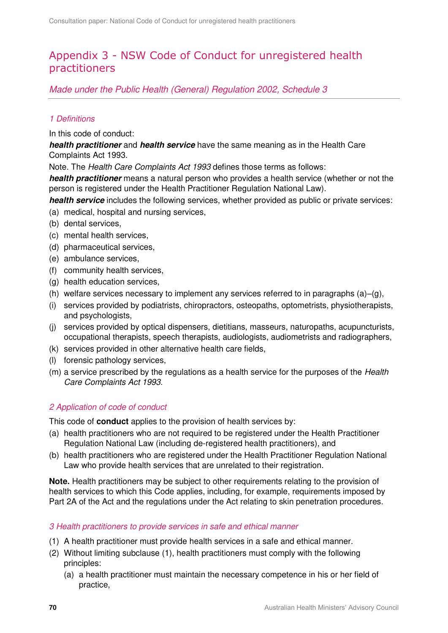# Appendix 3 - NSW Code of Conduct for unregistered health practitioners

*Made under the Public Health (General) Regulation 2002, Schedule 3* 

# *1 Definitions*

In this code of conduct:

*health practitioner* and *health service* have the same meaning as in the Health Care Complaints Act 1993.

Note. The *Health Care Complaints Act 1993* defines those terms as follows:

*health practitioner* means a natural person who provides a health service (whether or not the person is registered under the Health Practitioner Regulation National Law).

*health service* includes the following services, whether provided as public or private services:

- (a) medical, hospital and nursing services,
- (b) dental services,
- (c) mental health services,
- (d) pharmaceutical services,
- (e) ambulance services,
- (f) community health services,
- (g) health education services,
- (h) welfare services necessary to implement any services referred to in paragraphs  $(a)$ – $(g)$ ,
- (i) services provided by podiatrists, chiropractors, osteopaths, optometrists, physiotherapists, and psychologists,
- (j) services provided by optical dispensers, dietitians, masseurs, naturopaths, acupuncturists, occupational therapists, speech therapists, audiologists, audiometrists and radiographers,
- (k) services provided in other alternative health care fields,
- (l) forensic pathology services,
- (m) a service prescribed by the regulations as a health service for the purposes of the *Health Care Complaints Act 1993*.

## *2 Application of code of conduct*

This code of **conduct** applies to the provision of health services by:

- (a) health practitioners who are not required to be registered under the Health Practitioner Regulation National Law (including de-registered health practitioners), and
- (b) health practitioners who are registered under the Health Practitioner Regulation National Law who provide health services that are unrelated to their registration.

**Note.** Health practitioners may be subject to other requirements relating to the provision of health services to which this Code applies, including, for example, requirements imposed by Part 2A of the Act and the regulations under the Act relating to skin penetration procedures.

#### *3 Health practitioners to provide services in safe and ethical manner*

- (1) A health practitioner must provide health services in a safe and ethical manner.
- (2) Without limiting subclause (1), health practitioners must comply with the following principles:
	- (a) a health practitioner must maintain the necessary competence in his or her field of practice,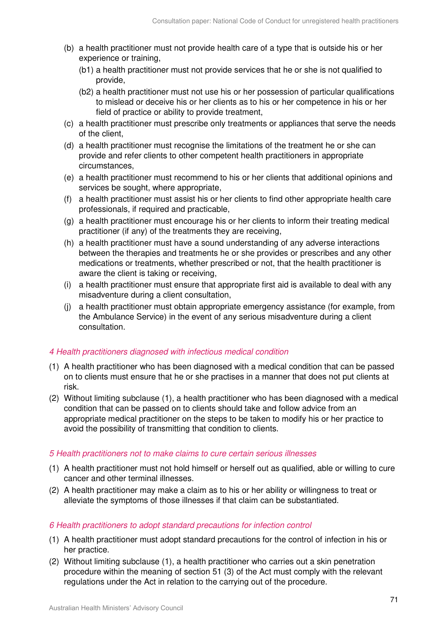- (b) a health practitioner must not provide health care of a type that is outside his or her experience or training,
	- (b1) a health practitioner must not provide services that he or she is not qualified to provide,
	- (b2) a health practitioner must not use his or her possession of particular qualifications to mislead or deceive his or her clients as to his or her competence in his or her field of practice or ability to provide treatment,
- (c) a health practitioner must prescribe only treatments or appliances that serve the needs of the client,
- (d) a health practitioner must recognise the limitations of the treatment he or she can provide and refer clients to other competent health practitioners in appropriate circumstances,
- (e) a health practitioner must recommend to his or her clients that additional opinions and services be sought, where appropriate,
- (f) a health practitioner must assist his or her clients to find other appropriate health care professionals, if required and practicable,
- (g) a health practitioner must encourage his or her clients to inform their treating medical practitioner (if any) of the treatments they are receiving,
- (h) a health practitioner must have a sound understanding of any adverse interactions between the therapies and treatments he or she provides or prescribes and any other medications or treatments, whether prescribed or not, that the health practitioner is aware the client is taking or receiving,
- (i) a health practitioner must ensure that appropriate first aid is available to deal with any misadventure during a client consultation,
- (j) a health practitioner must obtain appropriate emergency assistance (for example, from the Ambulance Service) in the event of any serious misadventure during a client consultation.

## *4 Health practitioners diagnosed with infectious medical condition*

- (1) A health practitioner who has been diagnosed with a medical condition that can be passed on to clients must ensure that he or she practises in a manner that does not put clients at risk.
- (2) Without limiting subclause (1), a health practitioner who has been diagnosed with a medical condition that can be passed on to clients should take and follow advice from an appropriate medical practitioner on the steps to be taken to modify his or her practice to avoid the possibility of transmitting that condition to clients.

## *5 Health practitioners not to make claims to cure certain serious illnesses*

- (1) A health practitioner must not hold himself or herself out as qualified, able or willing to cure cancer and other terminal illnesses.
- (2) A health practitioner may make a claim as to his or her ability or willingness to treat or alleviate the symptoms of those illnesses if that claim can be substantiated.

## *6 Health practitioners to adopt standard precautions for infection control*

- (1) A health practitioner must adopt standard precautions for the control of infection in his or her practice.
- (2) Without limiting subclause (1), a health practitioner who carries out a skin penetration procedure within the meaning of section 51 (3) of the Act must comply with the relevant regulations under the Act in relation to the carrying out of the procedure.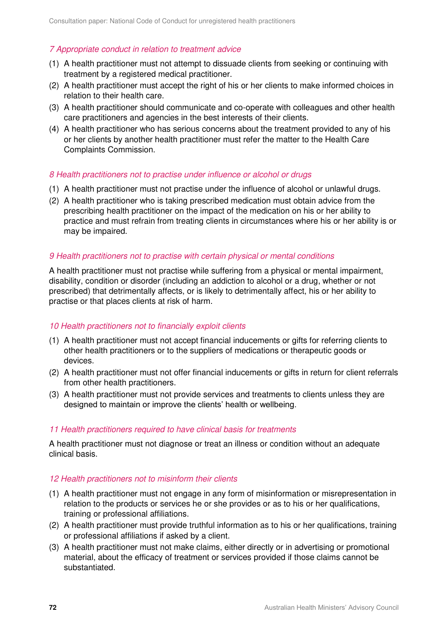## *7 Appropriate conduct in relation to treatment advice*

- (1) A health practitioner must not attempt to dissuade clients from seeking or continuing with treatment by a registered medical practitioner.
- (2) A health practitioner must accept the right of his or her clients to make informed choices in relation to their health care.
- (3) A health practitioner should communicate and co-operate with colleagues and other health care practitioners and agencies in the best interests of their clients.
- (4) A health practitioner who has serious concerns about the treatment provided to any of his or her clients by another health practitioner must refer the matter to the Health Care Complaints Commission.

#### *8 Health practitioners not to practise under influence or alcohol or drugs*

- (1) A health practitioner must not practise under the influence of alcohol or unlawful drugs.
- (2) A health practitioner who is taking prescribed medication must obtain advice from the prescribing health practitioner on the impact of the medication on his or her ability to practice and must refrain from treating clients in circumstances where his or her ability is or may be impaired.

#### *9 Health practitioners not to practise with certain physical or mental conditions*

A health practitioner must not practise while suffering from a physical or mental impairment, disability, condition or disorder (including an addiction to alcohol or a drug, whether or not prescribed) that detrimentally affects, or is likely to detrimentally affect, his or her ability to practise or that places clients at risk of harm.

#### *10 Health practitioners not to financially exploit clients*

- (1) A health practitioner must not accept financial inducements or gifts for referring clients to other health practitioners or to the suppliers of medications or therapeutic goods or devices.
- (2) A health practitioner must not offer financial inducements or gifts in return for client referrals from other health practitioners.
- (3) A health practitioner must not provide services and treatments to clients unless they are designed to maintain or improve the clients' health or wellbeing.

#### *11 Health practitioners required to have clinical basis for treatments*

A health practitioner must not diagnose or treat an illness or condition without an adequate clinical basis.

#### *12 Health practitioners not to misinform their clients*

- (1) A health practitioner must not engage in any form of misinformation or misrepresentation in relation to the products or services he or she provides or as to his or her qualifications, training or professional affiliations.
- (2) A health practitioner must provide truthful information as to his or her qualifications, training or professional affiliations if asked by a client.
- (3) A health practitioner must not make claims, either directly or in advertising or promotional material, about the efficacy of treatment or services provided if those claims cannot be substantiated.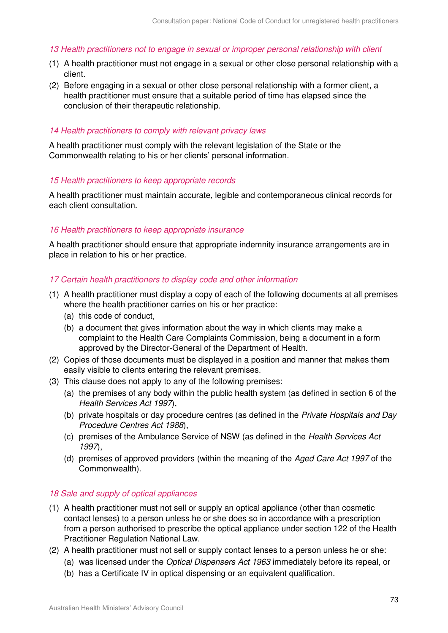## *13 Health practitioners not to engage in sexual or improper personal relationship with client*

- (1) A health practitioner must not engage in a sexual or other close personal relationship with a client.
- (2) Before engaging in a sexual or other close personal relationship with a former client, a health practitioner must ensure that a suitable period of time has elapsed since the conclusion of their therapeutic relationship.

## *14 Health practitioners to comply with relevant privacy laws*

A health practitioner must comply with the relevant legislation of the State or the Commonwealth relating to his or her clients' personal information.

## *15 Health practitioners to keep appropriate records*

A health practitioner must maintain accurate, legible and contemporaneous clinical records for each client consultation.

## *16 Health practitioners to keep appropriate insurance*

A health practitioner should ensure that appropriate indemnity insurance arrangements are in place in relation to his or her practice.

## *17 Certain health practitioners to display code and other information*

- (1) A health practitioner must display a copy of each of the following documents at all premises where the health practitioner carries on his or her practice:
	- (a) this code of conduct,
	- (b) a document that gives information about the way in which clients may make a complaint to the Health Care Complaints Commission, being a document in a form approved by the Director-General of the Department of Health.
- (2) Copies of those documents must be displayed in a position and manner that makes them easily visible to clients entering the relevant premises.
- (3) This clause does not apply to any of the following premises:
	- (a) the premises of any body within the public health system (as defined in section 6 of the *Health Services Act 1997*),
	- (b) private hospitals or day procedure centres (as defined in the *Private Hospitals and Day Procedure Centres Act 1988*),
	- (c) premises of the Ambulance Service of NSW (as defined in the *Health Services Act 1997*),
	- (d) premises of approved providers (within the meaning of the *Aged Care Act 1997* of the Commonwealth).

## *18 Sale and supply of optical appliances*

- (1) A health practitioner must not sell or supply an optical appliance (other than cosmetic contact lenses) to a person unless he or she does so in accordance with a prescription from a person authorised to prescribe the optical appliance under section 122 of the Health Practitioner Regulation National Law.
- (2) A health practitioner must not sell or supply contact lenses to a person unless he or she:
	- (a) was licensed under the *Optical Dispensers Act 1963* immediately before its repeal, or
	- (b) has a Certificate IV in optical dispensing or an equivalent qualification.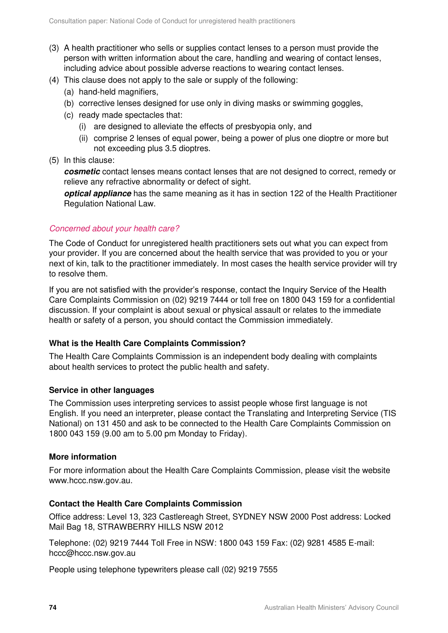- (3) A health practitioner who sells or supplies contact lenses to a person must provide the person with written information about the care, handling and wearing of contact lenses, including advice about possible adverse reactions to wearing contact lenses.
- (4) This clause does not apply to the sale or supply of the following:
	- (a) hand-held magnifiers,
	- (b) corrective lenses designed for use only in diving masks or swimming goggles,
	- (c) ready made spectacles that:
		- (i) are designed to alleviate the effects of presbyopia only, and
		- (ii) comprise 2 lenses of equal power, being a power of plus one dioptre or more but not exceeding plus 3.5 dioptres.
- (5) In this clause:

*cosmetic* contact lenses means contact lenses that are not designed to correct, remedy or relieve any refractive abnormality or defect of sight.

*optical appliance* has the same meaning as it has in section 122 of the Health Practitioner Regulation National Law.

## *Concerned about your health care?*

The Code of Conduct for unregistered health practitioners sets out what you can expect from your provider. If you are concerned about the health service that was provided to you or your next of kin, talk to the practitioner immediately. In most cases the health service provider will try to resolve them.

If you are not satisfied with the provider's response, contact the Inquiry Service of the Health Care Complaints Commission on (02) 9219 7444 or toll free on 1800 043 159 for a confidential discussion. If your complaint is about sexual or physical assault or relates to the immediate health or safety of a person, you should contact the Commission immediately.

# **What is the Health Care Complaints Commission?**

The Health Care Complaints Commission is an independent body dealing with complaints about health services to protect the public health and safety.

## **Service in other languages**

The Commission uses interpreting services to assist people whose first language is not English. If you need an interpreter, please contact the Translating and Interpreting Service (TIS National) on 131 450 and ask to be connected to the Health Care Complaints Commission on 1800 043 159 (9.00 am to 5.00 pm Monday to Friday).

## **More information**

For more information about the Health Care Complaints Commission, please visit the website www.hccc.nsw.gov.au.

# **Contact the Health Care Complaints Commission**

Office address: Level 13, 323 Castlereagh Street, SYDNEY NSW 2000 Post address: Locked Mail Bag 18, STRAWBERRY HILLS NSW 2012

Telephone: (02) 9219 7444 Toll Free in NSW: 1800 043 159 Fax: (02) 9281 4585 E-mail: hccc@hccc.nsw.gov.au

People using telephone typewriters please call (02) 9219 7555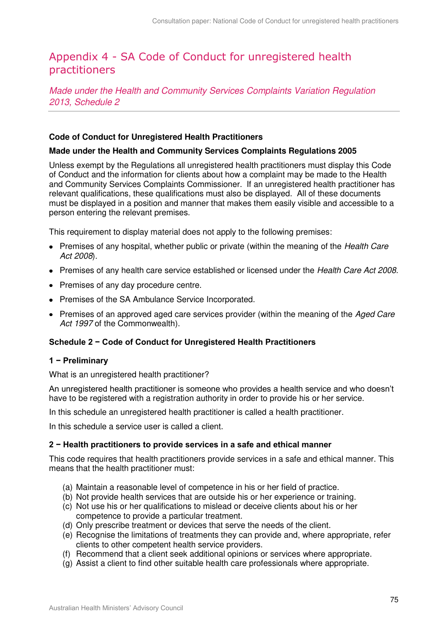# Appendix 4 - SA Code of Conduct for unregistered health practitioners

*Made under the Health and Community Services Complaints Variation Regulation 2013, Schedule 2* 

## **Code of Conduct for Unregistered Health Practitioners**

## **Made under the Health and Community Services Complaints Regulations 2005**

Unless exempt by the Regulations all unregistered health practitioners must display this Code of Conduct and the information for clients about how a complaint may be made to the Health and Community Services Complaints Commissioner. If an unregistered health practitioner has relevant qualifications, these qualifications must also be displayed. All of these documents must be displayed in a position and manner that makes them easily visible and accessible to a person entering the relevant premises.

This requirement to display material does not apply to the following premises:

- Premises of any hospital, whether public or private (within the meaning of the *Health Care Act 2008*).
- Premises of any health care service established or licensed under the *Health Care Act 2008.*
- Premises of any day procedure centre.
- Premises of the SA Ambulance Service Incorporated.
- Premises of an approved aged care services provider (within the meaning of the *Aged Care Act 1997* of the Commonwealth).

# **Schedule 2 − Code of Conduct for Unregistered Health Practitioners**

## **1 − Preliminary**

What is an unregistered health practitioner?

An unregistered health practitioner is someone who provides a health service and who doesn't have to be registered with a registration authority in order to provide his or her service.

In this schedule an unregistered health practitioner is called a health practitioner.

In this schedule a service user is called a client.

## **2 − Health practitioners to provide services in a safe and ethical manner**

This code requires that health practitioners provide services in a safe and ethical manner. This means that the health practitioner must:

- (a) Maintain a reasonable level of competence in his or her field of practice.
- (b) Not provide health services that are outside his or her experience or training.
- (c) Not use his or her qualifications to mislead or deceive clients about his or her competence to provide a particular treatment.
- (d) Only prescribe treatment or devices that serve the needs of the client.
- (e) Recognise the limitations of treatments they can provide and, where appropriate, refer clients to other competent health service providers.
- (f) Recommend that a client seek additional opinions or services where appropriate.
- (g) Assist a client to find other suitable health care professionals where appropriate.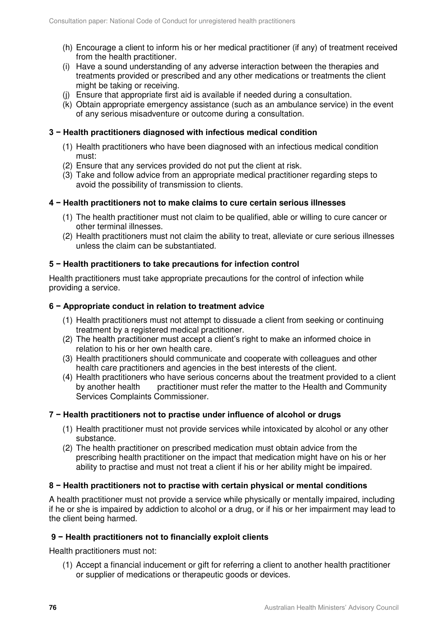- (h) Encourage a client to inform his or her medical practitioner (if any) of treatment received from the health practitioner.
- (i) Have a sound understanding of any adverse interaction between the therapies and treatments provided or prescribed and any other medications or treatments the client might be taking or receiving.
- (j) Ensure that appropriate first aid is available if needed during a consultation.
- (k) Obtain appropriate emergency assistance (such as an ambulance service) in the event of any serious misadventure or outcome during a consultation.

#### **3 − Health practitioners diagnosed with infectious medical condition**

- (1) Health practitioners who have been diagnosed with an infectious medical condition must:
- (2) Ensure that any services provided do not put the client at risk.
- (3) Take and follow advice from an appropriate medical practitioner regarding steps to avoid the possibility of transmission to clients.

#### **4 − Health practitioners not to make claims to cure certain serious illnesses**

- (1) The health practitioner must not claim to be qualified, able or willing to cure cancer or other terminal illnesses.
- (2) Health practitioners must not claim the ability to treat, alleviate or cure serious illnesses unless the claim can be substantiated.

#### **5 − Health practitioners to take precautions for infection control**

Health practitioners must take appropriate precautions for the control of infection while providing a service.

#### **6 − Appropriate conduct in relation to treatment advice**

- (1) Health practitioners must not attempt to dissuade a client from seeking or continuing treatment by a registered medical practitioner.
- (2) The health practitioner must accept a client's right to make an informed choice in relation to his or her own health care.
- (3) Health practitioners should communicate and cooperate with colleagues and other health care practitioners and agencies in the best interests of the client.
- (4) Health practitioners who have serious concerns about the treatment provided to a client by another health practitioner must refer the matter to the Health and Community Services Complaints Commissioner.

## **7 − Health practitioners not to practise under influence of alcohol or drugs**

- (1) Health practitioner must not provide services while intoxicated by alcohol or any other substance.
- (2) The health practitioner on prescribed medication must obtain advice from the prescribing health practitioner on the impact that medication might have on his or her ability to practise and must not treat a client if his or her ability might be impaired.

#### **8 − Health practitioners not to practise with certain physical or mental conditions**

A health practitioner must not provide a service while physically or mentally impaired, including if he or she is impaired by addiction to alcohol or a drug, or if his or her impairment may lead to the client being harmed.

#### **9 − Health practitioners not to financially exploit clients**

Health practitioners must not:

(1) Accept a financial inducement or gift for referring a client to another health practitioner or supplier of medications or therapeutic goods or devices.